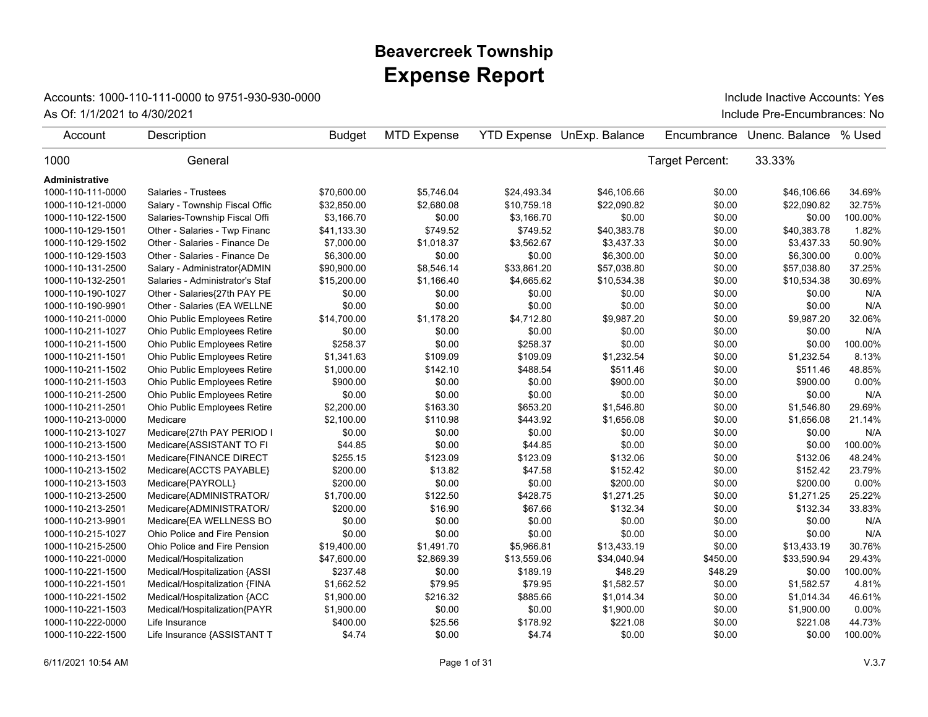## **Expense Report Beavercreek Township**

## Accounts: 1000-110-111-0000 to 9751-930-930-0000

As Of: 1/1/2021 to 4/30/2021 **Include Pre-Encumbrances: No** 

Include Inactive Accounts: Yes

| Account           | Description                     | <b>Budget</b> | <b>MTD Expense</b> |             | YTD Expense UnExp. Balance | Encumbrance            | Unenc. Balance | % Used  |
|-------------------|---------------------------------|---------------|--------------------|-------------|----------------------------|------------------------|----------------|---------|
| 1000              | General                         |               |                    |             |                            | <b>Target Percent:</b> | 33.33%         |         |
| Administrative    |                                 |               |                    |             |                            |                        |                |         |
| 1000-110-111-0000 | <b>Salaries - Trustees</b>      | \$70,600.00   | \$5,746.04         | \$24,493.34 | \$46,106.66                | \$0.00                 | \$46,106.66    | 34.69%  |
| 1000-110-121-0000 | Salary - Township Fiscal Offic  | \$32,850.00   | \$2,680.08         | \$10,759.18 | \$22,090.82                | \$0.00                 | \$22,090.82    | 32.75%  |
| 1000-110-122-1500 | Salaries-Township Fiscal Offi   | \$3,166.70    | \$0.00             | \$3,166.70  | \$0.00                     | \$0.00                 | \$0.00         | 100.00% |
| 1000-110-129-1501 | Other - Salaries - Twp Financ   | \$41,133.30   | \$749.52           | \$749.52    | \$40,383.78                | \$0.00                 | \$40,383.78    | 1.82%   |
| 1000-110-129-1502 | Other - Salaries - Finance De   | \$7,000.00    | \$1,018.37         | \$3,562.67  | \$3,437.33                 | \$0.00                 | \$3,437.33     | 50.90%  |
| 1000-110-129-1503 | Other - Salaries - Finance De   | \$6,300.00    | \$0.00             | \$0.00      | \$6,300.00                 | \$0.00                 | \$6,300.00     | 0.00%   |
| 1000-110-131-2500 | Salary - Administrator{ADMIN    | \$90,900.00   | \$8,546.14         | \$33,861.20 | \$57,038.80                | \$0.00                 | \$57,038.80    | 37.25%  |
| 1000-110-132-2501 | Salaries - Administrator's Staf | \$15,200.00   | \$1,166.40         | \$4,665.62  | \$10,534.38                | \$0.00                 | \$10,534.38    | 30.69%  |
| 1000-110-190-1027 | Other - Salaries{27th PAY PE    | \$0.00        | \$0.00             | \$0.00      | \$0.00                     | \$0.00                 | \$0.00         | N/A     |
| 1000-110-190-9901 | Other - Salaries (EA WELLNE     | \$0.00        | \$0.00             | \$0.00      | \$0.00                     | \$0.00                 | \$0.00         | N/A     |
| 1000-110-211-0000 | Ohio Public Employees Retire    | \$14,700.00   | \$1,178.20         | \$4,712.80  | \$9,987.20                 | \$0.00                 | \$9,987.20     | 32.06%  |
| 1000-110-211-1027 | Ohio Public Employees Retire    | \$0.00        | \$0.00             | \$0.00      | \$0.00                     | \$0.00                 | \$0.00         | N/A     |
| 1000-110-211-1500 | Ohio Public Employees Retire    | \$258.37      | \$0.00             | \$258.37    | \$0.00                     | \$0.00                 | \$0.00         | 100.00% |
| 1000-110-211-1501 | Ohio Public Employees Retire    | \$1,341.63    | \$109.09           | \$109.09    | \$1,232.54                 | \$0.00                 | \$1,232.54     | 8.13%   |
| 1000-110-211-1502 | Ohio Public Employees Retire    | \$1,000.00    | \$142.10           | \$488.54    | \$511.46                   | \$0.00                 | \$511.46       | 48.85%  |
| 1000-110-211-1503 | Ohio Public Employees Retire    | \$900.00      | \$0.00             | \$0.00      | \$900.00                   | \$0.00                 | \$900.00       | 0.00%   |
| 1000-110-211-2500 | Ohio Public Employees Retire    | \$0.00        | \$0.00             | \$0.00      | \$0.00                     | \$0.00                 | \$0.00         | N/A     |
| 1000-110-211-2501 | Ohio Public Employees Retire    | \$2,200.00    | \$163.30           | \$653.20    | \$1,546.80                 | \$0.00                 | \$1,546.80     | 29.69%  |
| 1000-110-213-0000 | Medicare                        | \$2,100.00    | \$110.98           | \$443.92    | \$1,656.08                 | \$0.00                 | \$1,656.08     | 21.14%  |
| 1000-110-213-1027 | Medicare{27th PAY PERIOD I      | \$0.00        | \$0.00             | \$0.00      | \$0.00                     | \$0.00                 | \$0.00         | N/A     |
| 1000-110-213-1500 | Medicare{ASSISTANT TO FI        | \$44.85       | \$0.00             | \$44.85     | \$0.00                     | \$0.00                 | \$0.00         | 100.00% |
| 1000-110-213-1501 | Medicare{FINANCE DIRECT         | \$255.15      | \$123.09           | \$123.09    | \$132.06                   | \$0.00                 | \$132.06       | 48.24%  |
| 1000-110-213-1502 | Medicare{ACCTS PAYABLE}         | \$200.00      | \$13.82            | \$47.58     | \$152.42                   | \$0.00                 | \$152.42       | 23.79%  |
| 1000-110-213-1503 | Medicare{PAYROLL}               | \$200.00      | \$0.00             | \$0.00      | \$200.00                   | \$0.00                 | \$200.00       | 0.00%   |
| 1000-110-213-2500 | Medicare{ADMINISTRATOR/         | \$1,700.00    | \$122.50           | \$428.75    | \$1,271.25                 | \$0.00                 | \$1,271.25     | 25.22%  |
| 1000-110-213-2501 | Medicare{ADMINISTRATOR/         | \$200.00      | \$16.90            | \$67.66     | \$132.34                   | \$0.00                 | \$132.34       | 33.83%  |
| 1000-110-213-9901 | Medicare{EA WELLNESS BO         | \$0.00        | \$0.00             | \$0.00      | \$0.00                     | \$0.00                 | \$0.00         | N/A     |
| 1000-110-215-1027 | Ohio Police and Fire Pension    | \$0.00        | \$0.00             | \$0.00      | \$0.00                     | \$0.00                 | \$0.00         | N/A     |
| 1000-110-215-2500 | Ohio Police and Fire Pension    | \$19,400.00   | \$1,491.70         | \$5,966.81  | \$13,433.19                | \$0.00                 | \$13,433.19    | 30.76%  |
| 1000-110-221-0000 | Medical/Hospitalization         | \$47,600.00   | \$2,869.39         | \$13,559.06 | \$34,040.94                | \$450.00               | \$33,590.94    | 29.43%  |
| 1000-110-221-1500 | Medical/Hospitalization {ASSI   | \$237.48      | \$0.00             | \$189.19    | \$48.29                    | \$48.29                | \$0.00         | 100.00% |
| 1000-110-221-1501 | Medical/Hospitalization {FINA   | \$1,662.52    | \$79.95            | \$79.95     | \$1,582.57                 | \$0.00                 | \$1,582.57     | 4.81%   |
| 1000-110-221-1502 | Medical/Hospitalization {ACC    | \$1,900.00    | \$216.32           | \$885.66    | \$1,014.34                 | \$0.00                 | \$1,014.34     | 46.61%  |
| 1000-110-221-1503 | Medical/Hospitalization{PAYR    | \$1,900.00    | \$0.00             | \$0.00      | \$1,900.00                 | \$0.00                 | \$1,900.00     | 0.00%   |
| 1000-110-222-0000 | Life Insurance                  | \$400.00      | \$25.56            | \$178.92    | \$221.08                   | \$0.00                 | \$221.08       | 44.73%  |
| 1000-110-222-1500 | Life Insurance {ASSISTANT T     | \$4.74        | \$0.00             | \$4.74      | \$0.00                     | \$0.00                 | \$0.00         | 100.00% |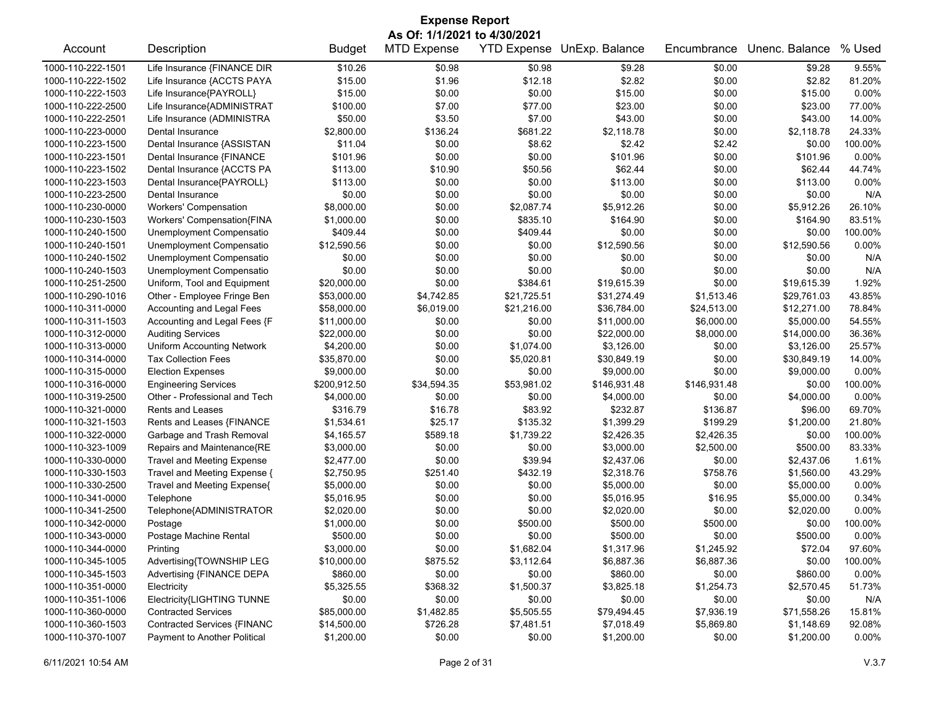| <b>Expense Report</b>        |                                   |               |                    |                    |                |              |                |          |  |
|------------------------------|-----------------------------------|---------------|--------------------|--------------------|----------------|--------------|----------------|----------|--|
| As Of: 1/1/2021 to 4/30/2021 |                                   |               |                    |                    |                |              |                |          |  |
| Account                      | Description                       | <b>Budget</b> | <b>MTD Expense</b> | <b>YTD Expense</b> | UnExp. Balance | Encumbrance  | Unenc. Balance | % Used   |  |
| 1000-110-222-1501            | Life Insurance {FINANCE DIR       | \$10.26       | \$0.98             | \$0.98             | \$9.28         | \$0.00       | \$9.28         | 9.55%    |  |
| 1000-110-222-1502            | Life Insurance {ACCTS PAYA        | \$15.00       | \$1.96             | \$12.18            | \$2.82         | \$0.00       | \$2.82         | 81.20%   |  |
| 1000-110-222-1503            | Life Insurance{PAYROLL}           | \$15.00       | \$0.00             | \$0.00             | \$15.00        | \$0.00       | \$15.00        | 0.00%    |  |
| 1000-110-222-2500            | Life Insurance{ADMINISTRAT        | \$100.00      | \$7.00             | \$77.00            | \$23.00        | \$0.00       | \$23.00        | 77.00%   |  |
| 1000-110-222-2501            | Life Insurance (ADMINISTRA        | \$50.00       | \$3.50             | \$7.00             | \$43.00        | \$0.00       | \$43.00        | 14.00%   |  |
| 1000-110-223-0000            | Dental Insurance                  | \$2,800.00    | \$136.24           | \$681.22           | \$2,118.78     | \$0.00       | \$2,118.78     | 24.33%   |  |
| 1000-110-223-1500            | Dental Insurance {ASSISTAN        | \$11.04       | \$0.00             | \$8.62             | \$2.42         | \$2.42       | \$0.00         | 100.00%  |  |
| 1000-110-223-1501            | Dental Insurance {FINANCE         | \$101.96      | \$0.00             | \$0.00             | \$101.96       | \$0.00       | \$101.96       | 0.00%    |  |
| 1000-110-223-1502            | Dental Insurance {ACCTS PA        | \$113.00      | \$10.90            | \$50.56            | \$62.44        | \$0.00       | \$62.44        | 44.74%   |  |
| 1000-110-223-1503            | Dental Insurance{PAYROLL}         | \$113.00      | \$0.00             | \$0.00             | \$113.00       | \$0.00       | \$113.00       | 0.00%    |  |
| 1000-110-223-2500            | Dental Insurance                  | \$0.00        | \$0.00             | \$0.00             | \$0.00         | \$0.00       | \$0.00         | N/A      |  |
| 1000-110-230-0000            | <b>Workers' Compensation</b>      | \$8,000.00    | \$0.00             | \$2,087.74         | \$5,912.26     | \$0.00       | \$5,912.26     | 26.10%   |  |
| 1000-110-230-1503            | Workers' Compensation{FINA        | \$1,000.00    | \$0.00             | \$835.10           | \$164.90       | \$0.00       | \$164.90       | 83.51%   |  |
| 1000-110-240-1500            | Unemployment Compensatio          | \$409.44      | \$0.00             | \$409.44           | \$0.00         | \$0.00       | \$0.00         | 100.00%  |  |
| 1000-110-240-1501            | Unemployment Compensatio          | \$12,590.56   | \$0.00             | \$0.00             | \$12,590.56    | \$0.00       | \$12,590.56    | 0.00%    |  |
| 1000-110-240-1502            | Unemployment Compensatio          | \$0.00        | \$0.00             | \$0.00             | \$0.00         | \$0.00       | \$0.00         | N/A      |  |
| 1000-110-240-1503            | Unemployment Compensatio          | \$0.00        | \$0.00             | \$0.00             | \$0.00         | \$0.00       | \$0.00         | N/A      |  |
| 1000-110-251-2500            | Uniform, Tool and Equipment       | \$20,000.00   | \$0.00             | \$384.61           | \$19,615.39    | \$0.00       | \$19,615.39    | 1.92%    |  |
| 1000-110-290-1016            | Other - Employee Fringe Ben       | \$53,000.00   | \$4,742.85         | \$21,725.51        | \$31,274.49    | \$1,513.46   | \$29,761.03    | 43.85%   |  |
| 1000-110-311-0000            | Accounting and Legal Fees         | \$58,000.00   | \$6,019.00         | \$21,216.00        | \$36,784.00    | \$24,513.00  | \$12,271.00    | 78.84%   |  |
| 1000-110-311-1503            | Accounting and Legal Fees {F      | \$11,000.00   | \$0.00             | \$0.00             | \$11,000.00    | \$6,000.00   | \$5,000.00     | 54.55%   |  |
| 1000-110-312-0000            | <b>Auditing Services</b>          | \$22,000.00   | \$0.00             | \$0.00             | \$22,000.00    | \$8,000.00   | \$14,000.00    | 36.36%   |  |
| 1000-110-313-0000            | <b>Uniform Accounting Network</b> | \$4,200.00    | \$0.00             | \$1,074.00         | \$3,126.00     | \$0.00       | \$3,126.00     | 25.57%   |  |
| 1000-110-314-0000            | <b>Tax Collection Fees</b>        | \$35,870.00   | \$0.00             | \$5,020.81         | \$30,849.19    | \$0.00       | \$30,849.19    | 14.00%   |  |
| 1000-110-315-0000            | <b>Election Expenses</b>          | \$9,000.00    | \$0.00             | \$0.00             | \$9,000.00     | \$0.00       | \$9,000.00     | 0.00%    |  |
| 1000-110-316-0000            | <b>Engineering Services</b>       | \$200,912.50  | \$34,594.35        | \$53,981.02        | \$146,931.48   | \$146,931.48 | \$0.00         | 100.00%  |  |
| 1000-110-319-2500            | Other - Professional and Tech     | \$4,000.00    | \$0.00             | \$0.00             | \$4,000.00     | \$0.00       | \$4,000.00     | 0.00%    |  |
| 1000-110-321-0000            | Rents and Leases                  | \$316.79      | \$16.78            | \$83.92            | \$232.87       | \$136.87     | \$96.00        | 69.70%   |  |
| 1000-110-321-1503            | Rents and Leases {FINANCE         | \$1,534.61    | \$25.17            | \$135.32           | \$1,399.29     | \$199.29     | \$1,200.00     | 21.80%   |  |
| 1000-110-322-0000            | Garbage and Trash Removal         | \$4,165.57    | \$589.18           | \$1,739.22         | \$2,426.35     | \$2,426.35   | \$0.00         | 100.00%  |  |
| 1000-110-323-1009            | Repairs and Maintenance{RE        | \$3,000.00    | \$0.00             | \$0.00             | \$3,000.00     | \$2,500.00   | \$500.00       | 83.33%   |  |
| 1000-110-330-0000            | <b>Travel and Meeting Expense</b> | \$2,477.00    | \$0.00             | \$39.94            | \$2,437.06     | \$0.00       | \$2,437.06     | 1.61%    |  |
| 1000-110-330-1503            | Travel and Meeting Expense {      | \$2,750.95    | \$251.40           | \$432.19           | \$2,318.76     | \$758.76     | \$1,560.00     | 43.29%   |  |
| 1000-110-330-2500            | Travel and Meeting Expense{       | \$5,000.00    | \$0.00             | \$0.00             | \$5,000.00     | \$0.00       | \$5,000.00     | 0.00%    |  |
| 1000-110-341-0000            | Telephone                         | \$5,016.95    | \$0.00             | \$0.00             | \$5,016.95     | \$16.95      | \$5,000.00     | 0.34%    |  |
| 1000-110-341-2500            | Telephone{ADMINISTRATOR           | \$2,020.00    | \$0.00             | \$0.00             | \$2,020.00     | \$0.00       | \$2,020.00     | 0.00%    |  |
| 1000-110-342-0000            | Postage                           | \$1,000.00    | \$0.00             | \$500.00           | \$500.00       | \$500.00     | \$0.00         | 100.00%  |  |
| 1000-110-343-0000            | Postage Machine Rental            | \$500.00      | \$0.00             | \$0.00             | \$500.00       | \$0.00       | \$500.00       | $0.00\%$ |  |
| 1000-110-344-0000            | Printing                          | \$3,000.00    | \$0.00             | \$1,682.04         | \$1,317.96     | \$1,245.92   | \$72.04        | 97.60%   |  |
| 1000-110-345-1005            | Advertising{TOWNSHIP LEG          | \$10,000.00   | \$875.52           | \$3,112.64         | \$6,887.36     | \$6,887.36   | \$0.00         | 100.00%  |  |
| 1000-110-345-1503            | Advertising {FINANCE DEPA         | \$860.00      | \$0.00             | \$0.00             | \$860.00       | \$0.00       | \$860.00       | 0.00%    |  |
| 1000-110-351-0000            | Electricity                       | \$5,325.55    | \$368.32           | \$1,500.37         | \$3,825.18     | \$1,254.73   | \$2,570.45     | 51.73%   |  |
| 1000-110-351-1006            | Electricity{LIGHTING TUNNE        | \$0.00        | \$0.00             | \$0.00             | \$0.00         | \$0.00       | \$0.00         | N/A      |  |
| 1000-110-360-0000            | <b>Contracted Services</b>        | \$85,000.00   | \$1,482.85         | \$5,505.55         | \$79,494.45    | \$7,936.19   | \$71,558.26    | 15.81%   |  |
| 1000-110-360-1503            | Contracted Services {FINANC       | \$14,500.00   | \$726.28           | \$7,481.51         | \$7,018.49     | \$5,869.80   | \$1,148.69     | 92.08%   |  |
| 1000-110-370-1007            | Payment to Another Political      | \$1,200.00    | \$0.00             | \$0.00             | \$1,200.00     | \$0.00       | \$1,200.00     | 0.00%    |  |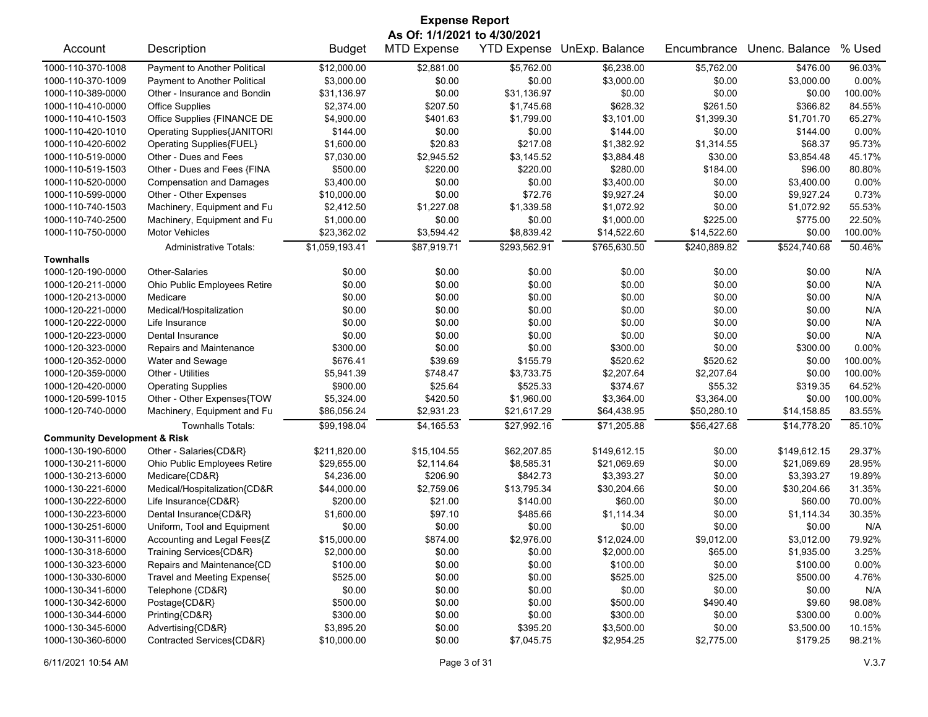| <b>Expense Report</b>                   |                                    |                |                    |              |                            |              |                |         |  |
|-----------------------------------------|------------------------------------|----------------|--------------------|--------------|----------------------------|--------------|----------------|---------|--|
|                                         | As Of: 1/1/2021 to 4/30/2021       |                |                    |              |                            |              |                |         |  |
| Account                                 | Description                        | <b>Budget</b>  | <b>MTD Expense</b> |              | YTD Expense UnExp. Balance | Encumbrance  | Unenc. Balance | % Used  |  |
| 1000-110-370-1008                       | Payment to Another Political       | \$12,000.00    | \$2,881.00         | \$5,762.00   | \$6,238.00                 | \$5,762.00   | \$476.00       | 96.03%  |  |
| 1000-110-370-1009                       | Payment to Another Political       | \$3,000.00     | \$0.00             | \$0.00       | \$3,000.00                 | \$0.00       | \$3,000.00     | 0.00%   |  |
| 1000-110-389-0000                       | Other - Insurance and Bondin       | \$31,136.97    | \$0.00             | \$31,136.97  | \$0.00                     | \$0.00       | \$0.00         | 100.00% |  |
| 1000-110-410-0000                       | <b>Office Supplies</b>             | \$2,374.00     | \$207.50           | \$1,745.68   | \$628.32                   | \$261.50     | \$366.82       | 84.55%  |  |
| 1000-110-410-1503                       | Office Supplies {FINANCE DE        | \$4,900.00     | \$401.63           | \$1,799.00   | \$3,101.00                 | \$1,399.30   | \$1,701.70     | 65.27%  |  |
| 1000-110-420-1010                       | <b>Operating Supplies{JANITORI</b> | \$144.00       | \$0.00             | \$0.00       | \$144.00                   | \$0.00       | \$144.00       | 0.00%   |  |
| 1000-110-420-6002                       | Operating Supplies{FUEL}           | \$1,600.00     | \$20.83            | \$217.08     | \$1,382.92                 | \$1,314.55   | \$68.37        | 95.73%  |  |
| 1000-110-519-0000                       | Other - Dues and Fees              | \$7,030.00     | \$2,945.52         | \$3,145.52   | \$3,884.48                 | \$30.00      | \$3,854.48     | 45.17%  |  |
| 1000-110-519-1503                       | Other - Dues and Fees {FINA        | \$500.00       | \$220.00           | \$220.00     | \$280.00                   | \$184.00     | \$96.00        | 80.80%  |  |
| 1000-110-520-0000                       | <b>Compensation and Damages</b>    | \$3,400.00     | \$0.00             | \$0.00       | \$3,400.00                 | \$0.00       | \$3,400.00     | 0.00%   |  |
| 1000-110-599-0000                       | Other - Other Expenses             | \$10,000.00    | \$0.00             | \$72.76      | \$9,927.24                 | \$0.00       | \$9,927.24     | 0.73%   |  |
| 1000-110-740-1503                       | Machinery, Equipment and Fu        | \$2,412.50     | \$1,227.08         | \$1,339.58   | \$1,072.92                 | \$0.00       | \$1,072.92     | 55.53%  |  |
| 1000-110-740-2500                       | Machinery, Equipment and Fu        | \$1,000.00     | \$0.00             | \$0.00       | \$1,000.00                 | \$225.00     | \$775.00       | 22.50%  |  |
| 1000-110-750-0000                       | <b>Motor Vehicles</b>              | \$23,362.02    | \$3,594.42         | \$8,839.42   | \$14,522.60                | \$14,522.60  | \$0.00         | 100.00% |  |
|                                         | <b>Administrative Totals:</b>      | \$1,059,193.41 | \$87,919.71        | \$293,562.91 | \$765,630.50               | \$240,889.82 | \$524,740.68   | 50.46%  |  |
| <b>Townhalls</b>                        |                                    |                |                    |              |                            |              |                |         |  |
| 1000-120-190-0000                       | <b>Other-Salaries</b>              | \$0.00         | \$0.00             | \$0.00       | \$0.00                     | \$0.00       | \$0.00         | N/A     |  |
| 1000-120-211-0000                       | Ohio Public Employees Retire       | \$0.00         | \$0.00             | \$0.00       | \$0.00                     | \$0.00       | \$0.00         | N/A     |  |
| 1000-120-213-0000                       | Medicare                           | \$0.00         | \$0.00             | \$0.00       | \$0.00                     | \$0.00       | \$0.00         | N/A     |  |
| 1000-120-221-0000                       | Medical/Hospitalization            | \$0.00         | \$0.00             | \$0.00       | \$0.00                     | \$0.00       | \$0.00         | N/A     |  |
| 1000-120-222-0000                       | Life Insurance                     | \$0.00         | \$0.00             | \$0.00       | \$0.00                     | \$0.00       | \$0.00         | N/A     |  |
| 1000-120-223-0000                       | Dental Insurance                   | \$0.00         | \$0.00             | \$0.00       | \$0.00                     | \$0.00       | \$0.00         | N/A     |  |
| 1000-120-323-0000                       | Repairs and Maintenance            | \$300.00       | \$0.00             | \$0.00       | \$300.00                   | \$0.00       | \$300.00       | 0.00%   |  |
| 1000-120-352-0000                       | Water and Sewage                   | \$676.41       | \$39.69            | \$155.79     | \$520.62                   | \$520.62     | \$0.00         | 100.00% |  |
| 1000-120-359-0000                       | Other - Utilities                  | \$5,941.39     | \$748.47           | \$3,733.75   | \$2,207.64                 | \$2,207.64   | \$0.00         | 100.00% |  |
| 1000-120-420-0000                       | <b>Operating Supplies</b>          | \$900.00       | \$25.64            | \$525.33     | \$374.67                   | \$55.32      | \$319.35       | 64.52%  |  |
| 1000-120-599-1015                       | Other - Other Expenses{TOW         | \$5,324.00     | \$420.50           | \$1,960.00   | \$3,364.00                 | \$3,364.00   | \$0.00         | 100.00% |  |
| 1000-120-740-0000                       | Machinery, Equipment and Fu        | \$86,056.24    | \$2,931.23         | \$21,617.29  | \$64,438.95                | \$50,280.10  | \$14,158.85    | 83.55%  |  |
|                                         | <b>Townhalls Totals:</b>           | \$99,198.04    | \$4,165.53         | \$27,992.16  | \$71,205.88                | \$56,427.68  | \$14,778.20    | 85.10%  |  |
| <b>Community Development &amp; Risk</b> |                                    |                |                    |              |                            |              |                |         |  |
| 1000-130-190-6000                       | Other - Salaries{CD&R}             | \$211,820.00   | \$15,104.55        | \$62,207.85  | \$149,612.15               | \$0.00       | \$149,612.15   | 29.37%  |  |
| 1000-130-211-6000                       | Ohio Public Employees Retire       | \$29,655.00    | \$2,114.64         | \$8,585.31   | \$21,069.69                | \$0.00       | \$21,069.69    | 28.95%  |  |
| 1000-130-213-6000                       | Medicare{CD&R}                     | \$4,236.00     | \$206.90           | \$842.73     | \$3,393.27                 | \$0.00       | \$3,393.27     | 19.89%  |  |
| 1000-130-221-6000                       | Medical/Hospitalization{CD&R       | \$44,000.00    | \$2,759.06         | \$13,795.34  | \$30,204.66                | \$0.00       | \$30,204.66    | 31.35%  |  |
| 1000-130-222-6000                       | Life Insurance{CD&R}               | \$200.00       | \$21.00            | \$140.00     | \$60.00                    | \$0.00       | \$60.00        | 70.00%  |  |
| 1000-130-223-6000                       | Dental Insurance{CD&R}             | \$1,600.00     | \$97.10            | \$485.66     | \$1,114.34                 | \$0.00       | \$1,114.34     | 30.35%  |  |
| 1000-130-251-6000                       | Uniform, Tool and Equipment        | \$0.00         | \$0.00             | \$0.00       | \$0.00                     | \$0.00       | \$0.00         | N/A     |  |
| 1000-130-311-6000                       | Accounting and Legal Fees{Z        | \$15,000.00    | \$874.00           | \$2,976.00   | \$12,024.00                | \$9,012.00   | \$3,012.00     | 79.92%  |  |
| 1000-130-318-6000                       | Training Services{CD&R}            | \$2,000.00     | \$0.00             | \$0.00       | \$2,000.00                 | \$65.00      | \$1,935.00     | 3.25%   |  |
| 1000-130-323-6000                       | Repairs and Maintenance{CD         | \$100.00       | \$0.00             | \$0.00       | \$100.00                   | \$0.00       | \$100.00       | 0.00%   |  |
| 1000-130-330-6000                       | Travel and Meeting Expense{        | \$525.00       | \$0.00             | \$0.00       | \$525.00                   | \$25.00      | \$500.00       | 4.76%   |  |
| 1000-130-341-6000                       | Telephone {CD&R}                   | \$0.00         | \$0.00             | \$0.00       | \$0.00                     | \$0.00       | \$0.00         | N/A     |  |
| 1000-130-342-6000                       | Postage{CD&R}                      | \$500.00       | \$0.00             | \$0.00       | \$500.00                   | \$490.40     | \$9.60         | 98.08%  |  |
| 1000-130-344-6000                       | Printing{CD&R}                     | \$300.00       | \$0.00             | \$0.00       | \$300.00                   | \$0.00       | \$300.00       | 0.00%   |  |
| 1000-130-345-6000                       | Advertising{CD&R}                  | \$3,895.20     | \$0.00             | \$395.20     | \$3,500.00                 | \$0.00       | \$3,500.00     | 10.15%  |  |
| 1000-130-360-6000                       | Contracted Services{CD&R}          | \$10,000.00    | \$0.00             | \$7,045.75   | \$2,954.25                 | \$2,775.00   | \$179.25       | 98.21%  |  |
|                                         |                                    |                |                    |              |                            |              |                |         |  |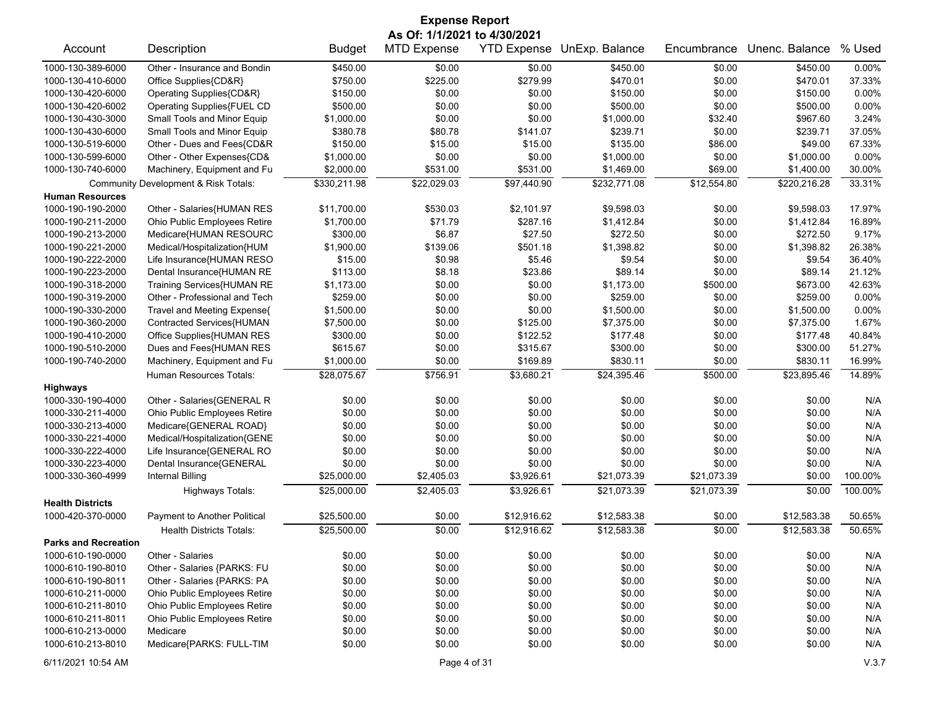| <b>Expense Report</b>       |                                                 |               |                              |             |                            |             |                |         |  |
|-----------------------------|-------------------------------------------------|---------------|------------------------------|-------------|----------------------------|-------------|----------------|---------|--|
|                             |                                                 |               | As Of: 1/1/2021 to 4/30/2021 |             |                            |             |                |         |  |
| Account                     | Description                                     | <b>Budget</b> | <b>MTD Expense</b>           |             | YTD Expense UnExp. Balance | Encumbrance | Unenc. Balance | % Used  |  |
| 1000-130-389-6000           | Other - Insurance and Bondin                    | \$450.00      | \$0.00                       | \$0.00      | \$450.00                   | \$0.00      | \$450.00       | 0.00%   |  |
| 1000-130-410-6000           | Office Supplies{CD&R}                           | \$750.00      | \$225.00                     | \$279.99    | \$470.01                   | \$0.00      | \$470.01       | 37.33%  |  |
| 1000-130-420-6000           | Operating Supplies{CD&R}                        | \$150.00      | \$0.00                       | \$0.00      | \$150.00                   | \$0.00      | \$150.00       | 0.00%   |  |
| 1000-130-420-6002           | Operating Supplies{FUEL CD                      | \$500.00      | \$0.00                       | \$0.00      | \$500.00                   | \$0.00      | \$500.00       | 0.00%   |  |
| 1000-130-430-3000           | Small Tools and Minor Equip                     | \$1,000.00    | \$0.00                       | \$0.00      | \$1,000.00                 | \$32.40     | \$967.60       | 3.24%   |  |
| 1000-130-430-6000           | Small Tools and Minor Equip                     | \$380.78      | \$80.78                      | \$141.07    | \$239.71                   | \$0.00      | \$239.71       | 37.05%  |  |
| 1000-130-519-6000           | Other - Dues and Fees{CD&R                      | \$150.00      | \$15.00                      | \$15.00     | \$135.00                   | \$86.00     | \$49.00        | 67.33%  |  |
| 1000-130-599-6000           | Other - Other Expenses{CD&                      | \$1,000.00    | \$0.00                       | \$0.00      | \$1,000.00                 | \$0.00      | \$1,000.00     | 0.00%   |  |
| 1000-130-740-6000           | Machinery, Equipment and Fu                     | \$2,000.00    | \$531.00                     | \$531.00    | \$1,469.00                 | \$69.00     | \$1,400.00     | 30.00%  |  |
|                             | <b>Community Development &amp; Risk Totals:</b> | \$330,211.98  | \$22,029.03                  | \$97,440.90 | \$232,771.08               | \$12,554.80 | \$220,216.28   | 33.31%  |  |
| <b>Human Resources</b>      |                                                 |               |                              |             |                            |             |                |         |  |
| 1000-190-190-2000           | Other - Salaries{HUMAN RES                      | \$11,700.00   | \$530.03                     | \$2,101.97  | \$9,598.03                 | \$0.00      | \$9,598.03     | 17.97%  |  |
| 1000-190-211-2000           | Ohio Public Employees Retire                    | \$1,700.00    | \$71.79                      | \$287.16    | \$1,412.84                 | \$0.00      | \$1,412.84     | 16.89%  |  |
| 1000-190-213-2000           | Medicare{HUMAN RESOURC                          | \$300.00      | \$6.87                       | \$27.50     | \$272.50                   | \$0.00      | \$272.50       | 9.17%   |  |
| 1000-190-221-2000           | Medical/Hospitalization{HUM                     | \$1,900.00    | \$139.06                     | \$501.18    | \$1,398.82                 | \$0.00      | \$1,398.82     | 26.38%  |  |
| 1000-190-222-2000           | Life Insurance{HUMAN RESO                       | \$15.00       | \$0.98                       | \$5.46      | \$9.54                     | \$0.00      | \$9.54         | 36.40%  |  |
| 1000-190-223-2000           | Dental Insurance{HUMAN RE                       | \$113.00      | \$8.18                       | \$23.86     | \$89.14                    | \$0.00      | \$89.14        | 21.12%  |  |
| 1000-190-318-2000           | Training Services{HUMAN RE                      | \$1,173.00    | \$0.00                       | \$0.00      | \$1,173.00                 | \$500.00    | \$673.00       | 42.63%  |  |
| 1000-190-319-2000           | Other - Professional and Tech                   | \$259.00      | \$0.00                       | \$0.00      | \$259.00                   | \$0.00      | \$259.00       | 0.00%   |  |
| 1000-190-330-2000           | Travel and Meeting Expense{                     | \$1,500.00    | \$0.00                       | \$0.00      | \$1,500.00                 | \$0.00      | \$1,500.00     | 0.00%   |  |
| 1000-190-360-2000           | Contracted Services{HUMAN                       | \$7,500.00    | \$0.00                       | \$125.00    | \$7,375.00                 | \$0.00      | \$7,375.00     | 1.67%   |  |
| 1000-190-410-2000           | Office Supplies{HUMAN RES                       | \$300.00      | \$0.00                       | \$122.52    | \$177.48                   | \$0.00      | \$177.48       | 40.84%  |  |
| 1000-190-510-2000           | Dues and Fees{HUMAN RES                         | \$615.67      | \$0.00                       | \$315.67    | \$300.00                   | \$0.00      | \$300.00       | 51.27%  |  |
| 1000-190-740-2000           | Machinery, Equipment and Fu                     | \$1,000.00    | \$0.00                       | \$169.89    | \$830.11                   | \$0.00      | \$830.11       | 16.99%  |  |
|                             | Human Resources Totals:                         | \$28,075.67   | \$756.91                     | \$3,680.21  | \$24,395.46                | \$500.00    | \$23,895.46    | 14.89%  |  |
| <b>Highways</b>             |                                                 |               |                              |             |                            |             |                |         |  |
| 1000-330-190-4000           | Other - Salaries{GENERAL R                      | \$0.00        | \$0.00                       | \$0.00      | \$0.00                     | \$0.00      | \$0.00         | N/A     |  |
| 1000-330-211-4000           | Ohio Public Employees Retire                    | \$0.00        | \$0.00                       | \$0.00      | \$0.00                     | \$0.00      | \$0.00         | N/A     |  |
| 1000-330-213-4000           | Medicare{GENERAL ROAD}                          | \$0.00        | \$0.00                       | \$0.00      | \$0.00                     | \$0.00      | \$0.00         | N/A     |  |
| 1000-330-221-4000           | Medical/Hospitalization{GENE                    | \$0.00        | \$0.00                       | \$0.00      | \$0.00                     | \$0.00      | \$0.00         | N/A     |  |
| 1000-330-222-4000           | Life Insurance{GENERAL RO                       | \$0.00        | \$0.00                       | \$0.00      | \$0.00                     | \$0.00      | \$0.00         | N/A     |  |
| 1000-330-223-4000           | Dental Insurance{GENERAL                        | \$0.00        | \$0.00                       | \$0.00      | \$0.00                     | \$0.00      | \$0.00         | N/A     |  |
| 1000-330-360-4999           | <b>Internal Billing</b>                         | \$25,000.00   | \$2,405.03                   | \$3,926.61  | \$21,073.39                | \$21,073.39 | \$0.00         | 100.00% |  |
|                             | Highways Totals:                                | \$25,000.00   | \$2,405.03                   | \$3,926.61  | \$21,073.39                | \$21,073.39 | \$0.00         | 100.00% |  |
| <b>Health Districts</b>     |                                                 |               |                              |             |                            |             |                |         |  |
| 1000-420-370-0000           | Payment to Another Political                    | \$25,500.00   | \$0.00                       | \$12,916.62 | \$12,583.38                | \$0.00      | \$12,583.38    | 50.65%  |  |
|                             | <b>Health Districts Totals:</b>                 | \$25,500.00   | \$0.00                       | \$12,916.62 | \$12,583.38                | \$0.00      | \$12,583.38    | 50.65%  |  |
| <b>Parks and Recreation</b> |                                                 |               |                              |             |                            |             |                |         |  |
| 1000-610-190-0000           | Other - Salaries                                | \$0.00        | \$0.00                       | \$0.00      | \$0.00                     | \$0.00      | \$0.00         | N/A     |  |
| 1000-610-190-8010           | Other - Salaries {PARKS: FU                     | \$0.00        | \$0.00                       | \$0.00      | \$0.00                     | \$0.00      | \$0.00         | N/A     |  |
| 1000-610-190-8011           | Other - Salaries {PARKS: PA                     | \$0.00        | \$0.00                       | \$0.00      | \$0.00                     | \$0.00      | \$0.00         | N/A     |  |
| 1000-610-211-0000           | Ohio Public Employees Retire                    | \$0.00        | \$0.00                       | \$0.00      | \$0.00                     | \$0.00      | \$0.00         | N/A     |  |
| 1000-610-211-8010           | Ohio Public Employees Retire                    | \$0.00        | \$0.00                       | \$0.00      | \$0.00                     | \$0.00      | \$0.00         | N/A     |  |
| 1000-610-211-8011           | Ohio Public Employees Retire                    | \$0.00        | \$0.00                       | \$0.00      | \$0.00                     | \$0.00      | \$0.00         | N/A     |  |
| 1000-610-213-0000           | Medicare                                        | \$0.00        | \$0.00                       | \$0.00      | \$0.00                     | \$0.00      | \$0.00         | N/A     |  |
| 1000-610-213-8010           | Medicare{PARKS: FULL-TIM                        | \$0.00        | \$0.00                       | \$0.00      | \$0.00                     | \$0.00      | \$0.00         | N/A     |  |
| 6/11/2021 10:54 AM          |                                                 |               | Page 4 of 31                 |             |                            |             |                | V.3.7   |  |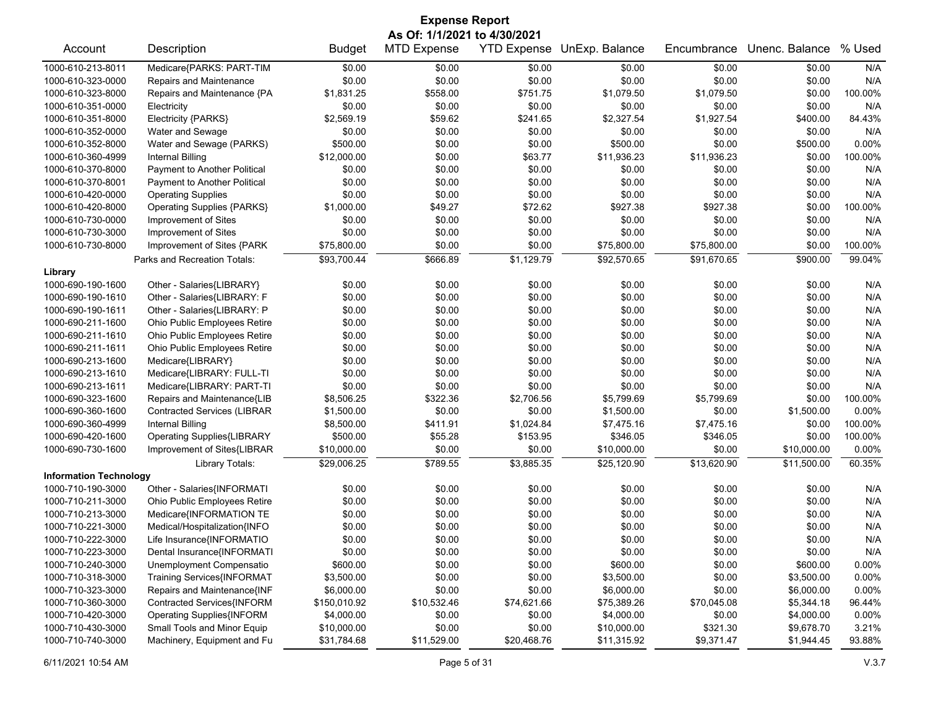| <b>Expense Report</b>         |                                                            |               |                              |                       |                           |                       |                |         |  |
|-------------------------------|------------------------------------------------------------|---------------|------------------------------|-----------------------|---------------------------|-----------------------|----------------|---------|--|
|                               |                                                            |               | As Of: 1/1/2021 to 4/30/2021 |                       |                           |                       |                |         |  |
| Account                       | Description                                                | <b>Budget</b> | <b>MTD Expense</b>           | <b>YTD Expense</b>    | UnExp. Balance            | Encumbrance           | Unenc. Balance | % Used  |  |
| 1000-610-213-8011             | Medicare{PARKS: PART-TIM                                   | \$0.00        | \$0.00                       | \$0.00                | \$0.00                    | \$0.00                | \$0.00         | N/A     |  |
| 1000-610-323-0000             | Repairs and Maintenance                                    | \$0.00        | \$0.00                       | \$0.00                | \$0.00                    | \$0.00                | \$0.00         | N/A     |  |
| 1000-610-323-8000             | Repairs and Maintenance {PA                                | \$1,831.25    | \$558.00                     | \$751.75              | \$1,079.50                | \$1,079.50            | \$0.00         | 100.00% |  |
| 1000-610-351-0000             | Electricity                                                | \$0.00        | \$0.00                       | \$0.00                | \$0.00                    | \$0.00                | \$0.00         | N/A     |  |
| 1000-610-351-8000             | Electricity {PARKS}                                        | \$2,569.19    | \$59.62                      | \$241.65              | \$2,327.54                | \$1,927.54            | \$400.00       | 84.43%  |  |
| 1000-610-352-0000             | Water and Sewage                                           | \$0.00        | \$0.00                       | \$0.00                | \$0.00                    | \$0.00                | \$0.00         | N/A     |  |
| 1000-610-352-8000             | Water and Sewage (PARKS)                                   | \$500.00      | \$0.00                       | \$0.00                | \$500.00                  | \$0.00                | \$500.00       | 0.00%   |  |
| 1000-610-360-4999             | <b>Internal Billing</b>                                    | \$12,000.00   | \$0.00                       | \$63.77               | \$11,936.23               | \$11,936.23           | \$0.00         | 100.00% |  |
| 1000-610-370-8000             | Payment to Another Political                               | \$0.00        | \$0.00                       | \$0.00                | \$0.00                    | \$0.00                | \$0.00         | N/A     |  |
| 1000-610-370-8001             | Payment to Another Political                               | \$0.00        | \$0.00                       | \$0.00                | \$0.00                    | \$0.00                | \$0.00         | N/A     |  |
| 1000-610-420-0000             | <b>Operating Supplies</b>                                  | \$0.00        | \$0.00                       | \$0.00                | \$0.00                    | \$0.00                | \$0.00         | N/A     |  |
| 1000-610-420-8000             | <b>Operating Supplies {PARKS}</b>                          | \$1,000.00    | \$49.27                      | \$72.62               | \$927.38                  | \$927.38              | \$0.00         | 100.00% |  |
| 1000-610-730-0000             | Improvement of Sites                                       | \$0.00        | \$0.00                       | \$0.00                | \$0.00                    | \$0.00                | \$0.00         | N/A     |  |
| 1000-610-730-3000             | Improvement of Sites                                       | \$0.00        | \$0.00                       | \$0.00                | \$0.00                    | \$0.00                | \$0.00         | N/A     |  |
| 1000-610-730-8000             | Improvement of Sites {PARK                                 | \$75,800.00   | \$0.00                       | \$0.00                | \$75,800.00               | \$75,800.00           | \$0.00         | 100.00% |  |
|                               | Parks and Recreation Totals:                               | \$93,700.44   | \$666.89                     | \$1,129.79            | \$92,570.65               | \$91,670.65           | \$900.00       | 99.04%  |  |
| Library                       |                                                            |               |                              |                       |                           |                       |                |         |  |
| 1000-690-190-1600             | Other - Salaries{LIBRARY}                                  | \$0.00        | \$0.00                       | \$0.00                | \$0.00                    | \$0.00                | \$0.00         | N/A     |  |
| 1000-690-190-1610             | Other - Salaries{LIBRARY: F                                | \$0.00        | \$0.00                       | \$0.00                | \$0.00                    | \$0.00                | \$0.00         | N/A     |  |
| 1000-690-190-1611             | Other - Salaries{LIBRARY: P                                | \$0.00        | \$0.00                       | \$0.00                | \$0.00                    | \$0.00                | \$0.00         | N/A     |  |
| 1000-690-211-1600             | Ohio Public Employees Retire                               | \$0.00        | \$0.00                       | \$0.00                | \$0.00                    | \$0.00                | \$0.00         | N/A     |  |
| 1000-690-211-1610             | Ohio Public Employees Retire                               | \$0.00        | \$0.00                       | \$0.00                | \$0.00                    | \$0.00                | \$0.00         | N/A     |  |
| 1000-690-211-1611             | Ohio Public Employees Retire                               | \$0.00        | \$0.00                       | \$0.00                | \$0.00                    | \$0.00                | \$0.00         | N/A     |  |
| 1000-690-213-1600             | Medicare{LIBRARY}                                          | \$0.00        | \$0.00                       | \$0.00                | \$0.00                    | \$0.00                | \$0.00         | N/A     |  |
| 1000-690-213-1610             | Medicare{LIBRARY: FULL-TI                                  | \$0.00        | \$0.00                       | \$0.00                | \$0.00                    | \$0.00                | \$0.00         | N/A     |  |
| 1000-690-213-1611             | Medicare{LIBRARY: PART-TI                                  | \$0.00        | \$0.00                       | \$0.00                | \$0.00                    | \$0.00                | \$0.00         | N/A     |  |
| 1000-690-323-1600             | Repairs and Maintenance{LIB                                | \$8,506.25    | \$322.36                     | \$2,706.56            | \$5,799.69                | \$5,799.69            | \$0.00         | 100.00% |  |
| 1000-690-360-1600             | <b>Contracted Services (LIBRAR</b>                         | \$1,500.00    | \$0.00                       | \$0.00                | \$1,500.00                | \$0.00                | \$1,500.00     | 0.00%   |  |
| 1000-690-360-4999             | <b>Internal Billing</b>                                    | \$8,500.00    | \$411.91                     | \$1,024.84            | \$7,475.16                | \$7,475.16            | \$0.00         | 100.00% |  |
| 1000-690-420-1600             | <b>Operating Supplies{LIBRARY</b>                          | \$500.00      | \$55.28                      | \$153.95              | \$346.05                  | \$346.05              | \$0.00         | 100.00% |  |
| 1000-690-730-1600             | Improvement of Sites{LIBRAR                                | \$10,000.00   | \$0.00                       | \$0.00                | \$10,000.00               | \$0.00                | \$10,000.00    | 0.00%   |  |
|                               | Library Totals:                                            | \$29,006.25   | \$789.55                     | \$3,885.35            | \$25,120.90               | \$13,620.90           | \$11,500.00    | 60.35%  |  |
| <b>Information Technology</b> |                                                            |               |                              |                       |                           |                       |                |         |  |
| 1000-710-190-3000             | Other - Salaries{INFORMATI                                 | \$0.00        | \$0.00                       | \$0.00                | \$0.00                    | \$0.00                | \$0.00         | N/A     |  |
| 1000-710-211-3000             | Ohio Public Employees Retire                               | \$0.00        | \$0.00                       | \$0.00                | \$0.00                    | \$0.00                | \$0.00         | N/A     |  |
| 1000-710-213-3000             | Medicare{INFORMATION TE                                    | \$0.00        | \$0.00                       | \$0.00                | \$0.00                    | \$0.00                | \$0.00         | N/A     |  |
| 1000-710-221-3000             | Medical/Hospitalization{INFO                               | \$0.00        | \$0.00                       | \$0.00                | \$0.00                    | \$0.00                | \$0.00         | N/A     |  |
| 1000-710-222-3000             | Life Insurance{INFORMATIO                                  | \$0.00        | \$0.00                       | \$0.00                | \$0.00                    | \$0.00                | \$0.00         | N/A     |  |
| 1000-710-223-3000             | Dental Insurance{INFORMATI                                 | \$0.00        | \$0.00                       | \$0.00                | \$0.00                    | \$0.00                | \$0.00         | N/A     |  |
| 1000-710-240-3000             | Unemployment Compensatio                                   | \$600.00      | \$0.00                       | \$0.00                | \$600.00                  | \$0.00                | \$600.00       | 0.00%   |  |
| 1000-710-318-3000             | Training Services{INFORMAT                                 | \$3,500.00    | \$0.00                       | \$0.00                | \$3,500.00                | \$0.00                | \$3,500.00     | 0.00%   |  |
| 1000-710-323-3000             | Repairs and Maintenance{INF                                | \$6,000.00    | \$0.00                       | \$0.00                | \$6,000.00                | \$0.00                | \$6,000.00     | 0.00%   |  |
| 1000-710-360-3000             | Contracted Services{INFORM                                 | \$150,010.92  |                              |                       |                           |                       | \$5,344.18     | 96.44%  |  |
| 1000-710-420-3000             | <b>Operating Supplies{INFORM</b>                           | \$4,000.00    | \$10,532.46<br>\$0.00        | \$74,621.66<br>\$0.00 | \$75,389.26<br>\$4,000.00 | \$70,045.08<br>\$0.00 | \$4,000.00     | 0.00%   |  |
| 1000-710-430-3000             |                                                            |               | \$0.00                       | \$0.00                |                           |                       | \$9,678.70     | 3.21%   |  |
| 1000-710-740-3000             | Small Tools and Minor Equip<br>Machinery, Equipment and Fu | \$10,000.00   |                              |                       | \$10,000.00               | \$321.30              |                |         |  |
|                               |                                                            | \$31,784.68   | \$11,529.00                  | \$20,468.76           | \$11,315.92               | \$9,371.47            | \$1,944.45     | 93.88%  |  |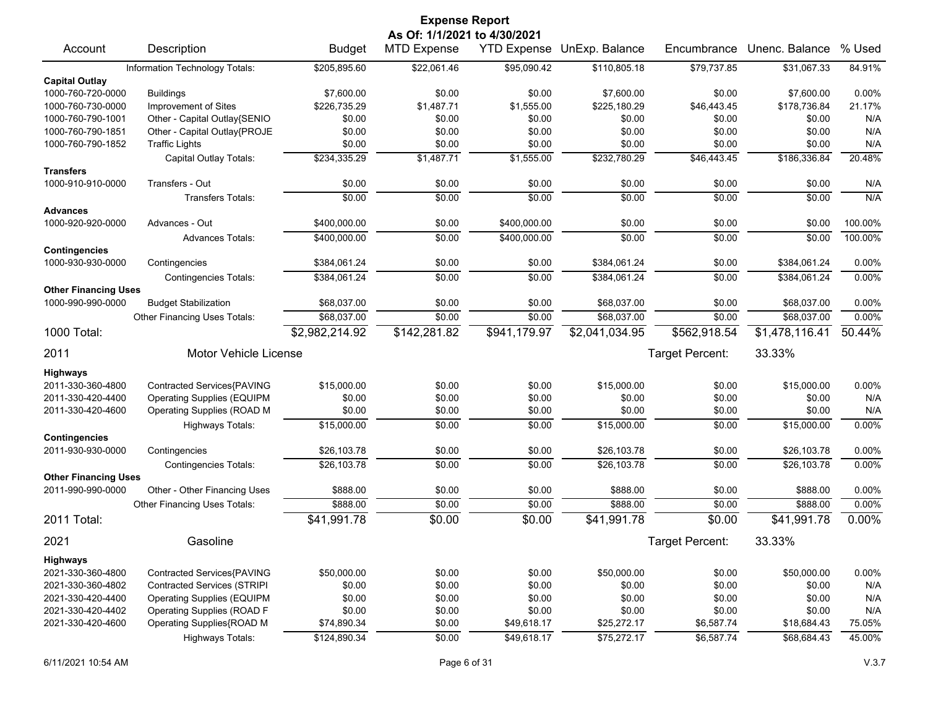|                                           |                                                                 |                       | <b>Expense Report</b>        |                  |                            |                  |                       |              |
|-------------------------------------------|-----------------------------------------------------------------|-----------------------|------------------------------|------------------|----------------------------|------------------|-----------------------|--------------|
|                                           |                                                                 |                       | As Of: 1/1/2021 to 4/30/2021 |                  |                            |                  |                       |              |
| Account                                   | Description                                                     | <b>Budget</b>         | <b>MTD Expense</b>           |                  | YTD Expense UnExp. Balance | Encumbrance      | Unenc. Balance        | % Used       |
|                                           | Information Technology Totals:                                  | \$205,895.60          | \$22,061.46                  | \$95,090.42      | \$110,805.18               | \$79,737.85      | \$31,067.33           | 84.91%       |
| <b>Capital Outlay</b>                     |                                                                 |                       |                              |                  |                            |                  |                       |              |
| 1000-760-720-0000                         | <b>Buildings</b>                                                | \$7,600.00            | \$0.00                       | \$0.00           | \$7,600.00                 | \$0.00           | \$7,600.00            | 0.00%        |
| 1000-760-730-0000                         | Improvement of Sites                                            | \$226,735.29          | \$1,487.71                   | \$1,555.00       | \$225,180.29               | \$46,443.45      | \$178,736.84          | 21.17%       |
| 1000-760-790-1001                         | Other - Capital Outlay{SENIO                                    | \$0.00                | \$0.00                       | \$0.00           | \$0.00                     | \$0.00           | \$0.00                | N/A          |
| 1000-760-790-1851                         | Other - Capital Outlay{PROJE                                    | \$0.00                | \$0.00                       | \$0.00           | \$0.00                     | \$0.00           | \$0.00                | N/A          |
| 1000-760-790-1852                         | <b>Traffic Lights</b>                                           | \$0.00                | \$0.00                       | \$0.00           | \$0.00                     | \$0.00           | \$0.00                | N/A          |
|                                           | Capital Outlay Totals:                                          | \$234,335.29          | \$1,487.71                   | \$1,555.00       | \$232,780.29               | \$46,443.45      | \$186,336.84          | 20.48%       |
| <b>Transfers</b>                          |                                                                 |                       |                              |                  |                            |                  |                       |              |
| 1000-910-910-0000                         | Transfers - Out                                                 | \$0.00                | \$0.00                       | \$0.00           | \$0.00                     | \$0.00           | \$0.00                | N/A          |
|                                           | <b>Transfers Totals:</b>                                        | \$0.00                | \$0.00                       | \$0.00           | \$0.00                     | \$0.00           | \$0.00                | N/A          |
| <b>Advances</b>                           |                                                                 |                       |                              |                  |                            |                  |                       |              |
| 1000-920-920-0000                         | Advances - Out                                                  | \$400,000.00          | \$0.00                       | \$400,000.00     | \$0.00                     | \$0.00           | \$0.00                | 100.00%      |
|                                           | <b>Advances Totals:</b>                                         | \$400,000.00          | \$0.00                       | \$400,000.00     | \$0.00                     | \$0.00           | \$0.00                | 100.00%      |
| <b>Contingencies</b>                      |                                                                 |                       |                              |                  |                            |                  |                       |              |
| 1000-930-930-0000                         | Contingencies                                                   | \$384,061.24          | \$0.00                       | \$0.00           | \$384,061.24               | \$0.00           | \$384,061.24          | 0.00%        |
|                                           | <b>Contingencies Totals:</b>                                    | \$384,061.24          | \$0.00                       | \$0.00           | \$384,061.24               | \$0.00           | \$384,061.24          | 0.00%        |
| <b>Other Financing Uses</b>               |                                                                 |                       |                              |                  |                            |                  |                       |              |
| 1000-990-990-0000                         | <b>Budget Stabilization</b>                                     | \$68,037.00           | \$0.00                       | \$0.00           | \$68,037.00                | \$0.00           | \$68,037.00           | 0.00%        |
|                                           | Other Financing Uses Totals:                                    | \$68,037.00           | \$0.00                       | \$0.00           | \$68,037.00                | \$0.00           | \$68,037.00           | 0.00%        |
| 1000 Total:                               |                                                                 | \$2,982,214.92        | \$142,281.82                 | \$941,179.97     | \$2,041,034.95             | \$562,918.54     | \$1,478,116.41        | 50.44%       |
| 2011                                      | <b>Motor Vehicle License</b>                                    |                       |                              |                  |                            | Target Percent:  | 33.33%                |              |
|                                           |                                                                 |                       |                              |                  |                            |                  |                       |              |
| <b>Highways</b><br>2011-330-360-4800      |                                                                 |                       | \$0.00                       |                  |                            |                  |                       |              |
|                                           | Contracted Services{PAVING                                      | \$15,000.00<br>\$0.00 | \$0.00                       | \$0.00           | \$15,000.00<br>\$0.00      | \$0.00           | \$15,000.00<br>\$0.00 | 0.00%<br>N/A |
| 2011-330-420-4400<br>2011-330-420-4600    | <b>Operating Supplies (EQUIPM</b><br>Operating Supplies (ROAD M | \$0.00                | \$0.00                       | \$0.00<br>\$0.00 | \$0.00                     | \$0.00<br>\$0.00 | \$0.00                | N/A          |
|                                           |                                                                 |                       |                              |                  |                            |                  |                       |              |
|                                           | <b>Highways Totals:</b>                                         | \$15,000.00           | \$0.00                       | \$0.00           | \$15,000.00                | \$0.00           | \$15,000.00           | 0.00%        |
| <b>Contingencies</b><br>2011-930-930-0000 | Contingencies                                                   | \$26,103.78           | \$0.00                       | \$0.00           | \$26,103.78                | \$0.00           | \$26,103.78           | 0.00%        |
|                                           | <b>Contingencies Totals:</b>                                    | \$26,103.78           | \$0.00                       | \$0.00           | \$26,103.78                | \$0.00           | \$26,103.78           | 0.00%        |
| <b>Other Financing Uses</b>               |                                                                 |                       |                              |                  |                            |                  |                       |              |
| 2011-990-990-0000                         | Other - Other Financing Uses                                    | \$888.00              | \$0.00                       | \$0.00           | \$888.00                   | \$0.00           | \$888.00              | 0.00%        |
|                                           | Other Financing Uses Totals:                                    | \$888.00              | \$0.00                       | \$0.00           | \$888.00                   | \$0.00           | \$888.00              | 0.00%        |
| 2011 Total:                               |                                                                 | \$41,991.78           | \$0.00                       | \$0.00           | \$41,991.78                | \$0.00           | \$41,991.78           | 0.00%        |
|                                           |                                                                 |                       |                              |                  |                            |                  |                       |              |
| 2021                                      | Gasoline                                                        |                       |                              |                  |                            | Target Percent:  | 33.33%                |              |
| <b>Highways</b>                           |                                                                 |                       |                              |                  |                            |                  |                       |              |
| 2021-330-360-4800                         | Contracted Services{PAVING                                      | \$50,000.00           | \$0.00                       | \$0.00           | \$50,000.00                | \$0.00           | \$50,000.00           | 0.00%        |
| 2021-330-360-4802                         | <b>Contracted Services (STRIPI</b>                              | \$0.00                | \$0.00                       | \$0.00           | \$0.00                     | \$0.00           | \$0.00                | N/A          |
| 2021-330-420-4400                         | <b>Operating Supplies (EQUIPM</b>                               | \$0.00                | \$0.00                       | \$0.00           | \$0.00                     | \$0.00           | \$0.00                | N/A          |
| 2021-330-420-4402                         | Operating Supplies (ROAD F                                      | \$0.00                | \$0.00                       | \$0.00           | \$0.00                     | \$0.00           | \$0.00                | N/A          |
| 2021-330-420-4600                         | Operating Supplies{ROAD M                                       | \$74,890.34           | \$0.00                       | \$49,618.17      | \$25,272.17                | \$6,587.74       | \$18,684.43           | 75.05%       |
|                                           | Highways Totals:                                                | \$124,890.34          | \$0.00                       | \$49,618.17      | \$75,272.17                | \$6,587.74       | \$68,684.43           | 45.00%       |
|                                           |                                                                 |                       |                              |                  |                            |                  |                       |              |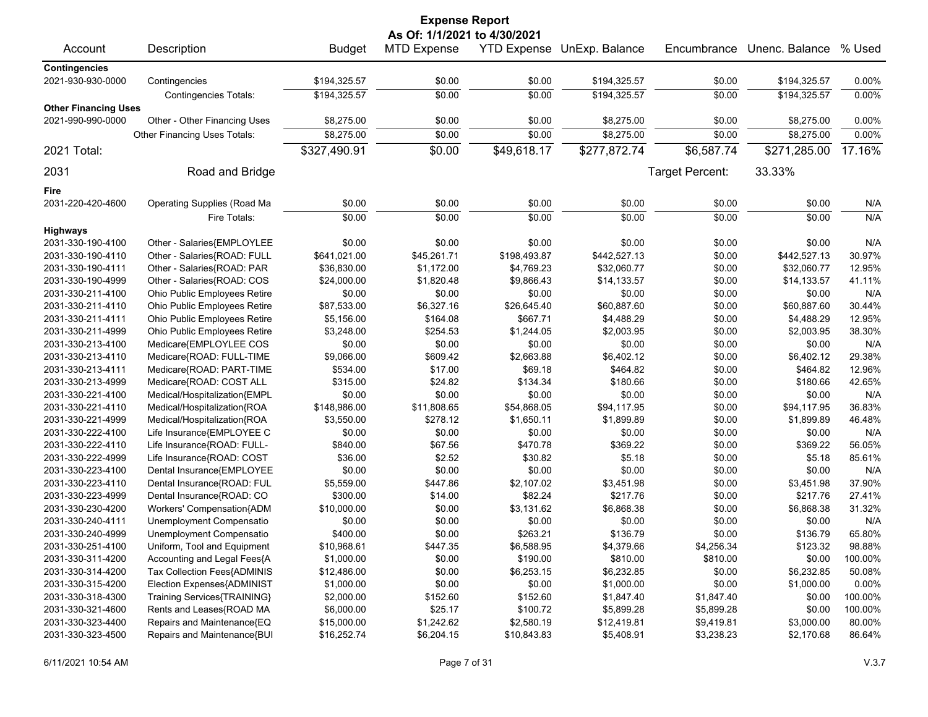| <b>Expense Report</b>                |                              |               |                              |              |                            |                 |                |         |  |  |
|--------------------------------------|------------------------------|---------------|------------------------------|--------------|----------------------------|-----------------|----------------|---------|--|--|
|                                      |                              |               | As Of: 1/1/2021 to 4/30/2021 |              |                            |                 |                |         |  |  |
| Account                              | Description                  | <b>Budget</b> | <b>MTD Expense</b>           |              | YTD Expense UnExp. Balance | Encumbrance     | Unenc. Balance | % Used  |  |  |
| <b>Contingencies</b>                 |                              |               |                              |              |                            |                 |                |         |  |  |
| 2021-930-930-0000                    | Contingencies                | \$194,325.57  | \$0.00                       | \$0.00       | \$194,325.57               | \$0.00          | \$194,325.57   | 0.00%   |  |  |
|                                      | <b>Contingencies Totals:</b> | \$194,325.57  | \$0.00                       | \$0.00       | \$194,325.57               | \$0.00          | \$194,325.57   | 0.00%   |  |  |
| <b>Other Financing Uses</b>          |                              |               |                              |              |                            |                 |                |         |  |  |
| 2021-990-990-0000                    | Other - Other Financing Uses | \$8,275.00    | \$0.00                       | \$0.00       | \$8,275.00                 | \$0.00          | \$8,275.00     | 0.00%   |  |  |
|                                      | Other Financing Uses Totals: | \$8,275.00    | \$0.00                       | \$0.00       | \$8,275.00                 | \$0.00          | \$8,275.00     | 0.00%   |  |  |
| 2021 Total:                          |                              | \$327,490.91  | \$0.00                       | \$49,618.17  | \$277,872.74               | \$6,587.74      | \$271,285.00   | 17.16%  |  |  |
| 2031                                 | Road and Bridge              |               |                              |              |                            | Target Percent: | 33.33%         |         |  |  |
| Fire                                 |                              |               |                              |              |                            |                 |                |         |  |  |
| 2031-220-420-4600                    | Operating Supplies (Road Ma  | \$0.00        | \$0.00                       | \$0.00       | \$0.00                     | \$0.00          | \$0.00         | N/A     |  |  |
|                                      |                              | \$0.00        | \$0.00                       | \$0.00       | \$0.00                     | \$0.00          | \$0.00         | N/A     |  |  |
|                                      | Fire Totals:                 |               |                              |              |                            |                 |                |         |  |  |
| <b>Highways</b><br>2031-330-190-4100 | Other - Salaries{EMPLOYLEE   | \$0.00        | \$0.00                       | \$0.00       | \$0.00                     | \$0.00          | \$0.00         | N/A     |  |  |
| 2031-330-190-4110                    | Other - Salaries{ROAD: FULL  | \$641,021.00  | \$45,261.71                  | \$198,493.87 | \$442,527.13               | \$0.00          | \$442,527.13   | 30.97%  |  |  |
| 2031-330-190-4111                    | Other - Salaries{ROAD: PAR   | \$36,830.00   | \$1,172.00                   | \$4,769.23   | \$32,060.77                | \$0.00          | \$32,060.77    | 12.95%  |  |  |
| 2031-330-190-4999                    | Other - Salaries{ROAD: COS   | \$24,000.00   | \$1,820.48                   | \$9,866.43   | \$14,133.57                | \$0.00          | \$14,133.57    | 41.11%  |  |  |
|                                      |                              | \$0.00        | \$0.00                       | \$0.00       | \$0.00                     | \$0.00          | \$0.00         | N/A     |  |  |
| 2031-330-211-4100                    | Ohio Public Employees Retire |               |                              |              |                            |                 |                | 30.44%  |  |  |
| 2031-330-211-4110                    | Ohio Public Employees Retire | \$87,533.00   | \$6,327.16                   | \$26,645.40  | \$60,887.60                | \$0.00          | \$60,887.60    |         |  |  |
| 2031-330-211-4111                    | Ohio Public Employees Retire | \$5,156.00    | \$164.08                     | \$667.71     | \$4,488.29                 | \$0.00          | \$4,488.29     | 12.95%  |  |  |
| 2031-330-211-4999                    | Ohio Public Employees Retire | \$3,248.00    | \$254.53                     | \$1,244.05   | \$2,003.95                 | \$0.00          | \$2,003.95     | 38.30%  |  |  |
| 2031-330-213-4100                    | Medicare{EMPLOYLEE COS       | \$0.00        | \$0.00                       | \$0.00       | \$0.00                     | \$0.00          | \$0.00         | N/A     |  |  |
| 2031-330-213-4110                    | Medicare{ROAD: FULL-TIME     | \$9,066.00    | \$609.42                     | \$2,663.88   | \$6,402.12                 | \$0.00          | \$6,402.12     | 29.38%  |  |  |
| 2031-330-213-4111                    | Medicare{ROAD: PART-TIME     | \$534.00      | \$17.00                      | \$69.18      | \$464.82                   | \$0.00          | \$464.82       | 12.96%  |  |  |
| 2031-330-213-4999                    | Medicare{ROAD: COST ALL      | \$315.00      | \$24.82                      | \$134.34     | \$180.66                   | \$0.00          | \$180.66       | 42.65%  |  |  |
| 2031-330-221-4100                    | Medical/Hospitalization{EMPL | \$0.00        | \$0.00                       | \$0.00       | \$0.00                     | \$0.00          | \$0.00         | N/A     |  |  |
| 2031-330-221-4110                    | Medical/Hospitalization{ROA  | \$148,986.00  | \$11,808.65                  | \$54,868.05  | \$94,117.95                | \$0.00          | \$94,117.95    | 36.83%  |  |  |
| 2031-330-221-4999                    | Medical/Hospitalization{ROA  | \$3,550.00    | \$278.12                     | \$1,650.11   | \$1,899.89                 | \$0.00          | \$1,899.89     | 46.48%  |  |  |
| 2031-330-222-4100                    | Life Insurance{EMPLOYEE C    | \$0.00        | \$0.00                       | \$0.00       | \$0.00                     | \$0.00          | \$0.00         | N/A     |  |  |
| 2031-330-222-4110                    | Life Insurance{ROAD: FULL-   | \$840.00      | \$67.56                      | \$470.78     | \$369.22                   | \$0.00          | \$369.22       | 56.05%  |  |  |
| 2031-330-222-4999                    | Life Insurance{ROAD: COST    | \$36.00       | \$2.52                       | \$30.82      | \$5.18                     | \$0.00          | \$5.18         | 85.61%  |  |  |
| 2031-330-223-4100                    | Dental Insurance{EMPLOYEE    | \$0.00        | \$0.00                       | \$0.00       | \$0.00                     | \$0.00          | \$0.00         | N/A     |  |  |
| 2031-330-223-4110                    | Dental Insurance{ROAD: FUL   | \$5,559.00    | \$447.86                     | \$2,107.02   | \$3,451.98                 | \$0.00          | \$3,451.98     | 37.90%  |  |  |
| 2031-330-223-4999                    | Dental Insurance{ROAD: CO    | \$300.00      | \$14.00                      | \$82.24      | \$217.76                   | \$0.00          | \$217.76       | 27.41%  |  |  |
| 2031-330-230-4200                    | Workers' Compensation{ADM    | \$10,000.00   | \$0.00                       | \$3,131.62   | \$6,868.38                 | \$0.00          | \$6,868.38     | 31.32%  |  |  |
| 2031-330-240-4111                    | Unemployment Compensatio     | \$0.00        | \$0.00                       | \$0.00       | \$0.00                     | \$0.00          | \$0.00         | N/A     |  |  |
| 2031-330-240-4999                    | Unemployment Compensatio     | \$400.00      | \$0.00                       | \$263.21     | \$136.79                   | \$0.00          | \$136.79       | 65.80%  |  |  |
| 2031-330-251-4100                    | Uniform, Tool and Equipment  | \$10,968.61   | \$447.35                     | \$6,588.95   | \$4,379.66                 | \$4,256.34      | \$123.32       | 98.88%  |  |  |
| 2031-330-311-4200                    | Accounting and Legal Fees{A  | \$1,000.00    | \$0.00                       | \$190.00     | \$810.00                   | \$810.00        | \$0.00         | 100.00% |  |  |
| 2031-330-314-4200                    | Tax Collection Fees{ADMINIS  | \$12,486.00   | \$0.00                       | \$6,253.15   | \$6,232.85                 | \$0.00          | \$6,232.85     | 50.08%  |  |  |
| 2031-330-315-4200                    | Election Expenses{ADMINIST   | \$1,000.00    | \$0.00                       | \$0.00       | \$1,000.00                 | \$0.00          | \$1,000.00     | 0.00%   |  |  |
| 2031-330-318-4300                    | Training Services{TRAINING}  | \$2,000.00    | \$152.60                     | \$152.60     | \$1,847.40                 | \$1,847.40      | \$0.00         | 100.00% |  |  |
| 2031-330-321-4600                    | Rents and Leases{ROAD MA     | \$6,000.00    | \$25.17                      | \$100.72     | \$5,899.28                 | \$5,899.28      | \$0.00         | 100.00% |  |  |
| 2031-330-323-4400                    | Repairs and Maintenance{EQ   | \$15,000.00   | \$1,242.62                   | \$2,580.19   | \$12,419.81                | \$9,419.81      | \$3,000.00     | 80.00%  |  |  |
| 2031-330-323-4500                    | Repairs and Maintenance{BUI  | \$16,252.74   | \$6,204.15                   | \$10,843.83  | \$5,408.91                 | \$3,238.23      | \$2,170.68     | 86.64%  |  |  |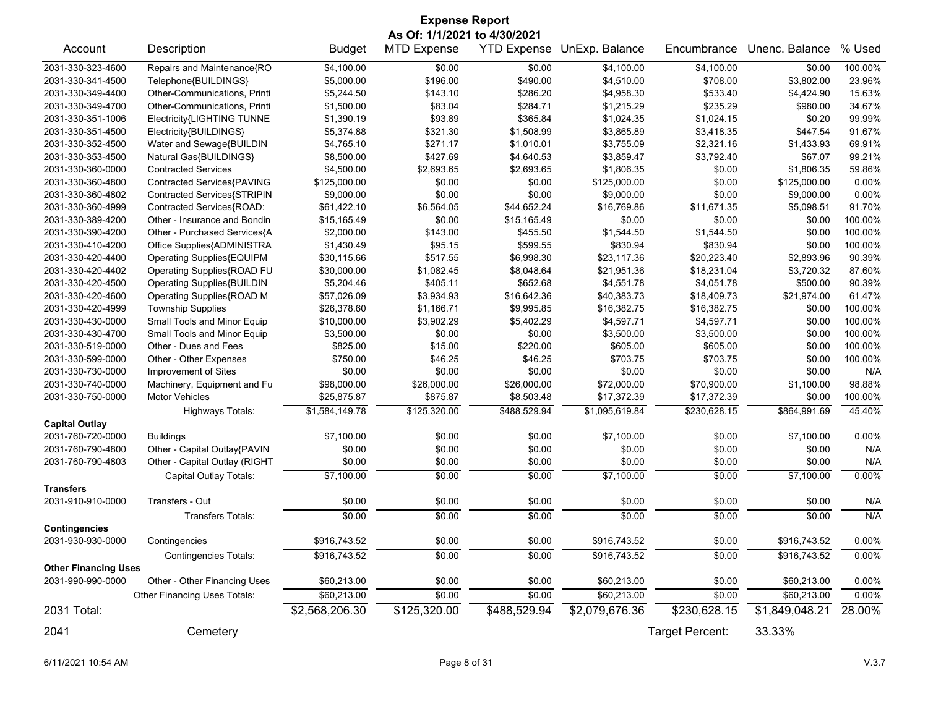|                             | <b>Expense Report</b>             |                |                              |              |                            |                 |                |          |  |  |
|-----------------------------|-----------------------------------|----------------|------------------------------|--------------|----------------------------|-----------------|----------------|----------|--|--|
|                             |                                   |                | As Of: 1/1/2021 to 4/30/2021 |              |                            |                 |                |          |  |  |
| Account                     | Description                       | <b>Budget</b>  | <b>MTD Expense</b>           |              | YTD Expense UnExp. Balance | Encumbrance     | Unenc. Balance | % Used   |  |  |
| 2031-330-323-4600           | Repairs and Maintenance{RO        | \$4,100.00     | \$0.00                       | \$0.00       | \$4,100.00                 | \$4,100.00      | \$0.00         | 100.00%  |  |  |
| 2031-330-341-4500           | Telephone{BUILDINGS}              | \$5,000.00     | \$196.00                     | \$490.00     | \$4,510.00                 | \$708.00        | \$3,802.00     | 23.96%   |  |  |
| 2031-330-349-4400           | Other-Communications, Printi      | \$5,244.50     | \$143.10                     | \$286.20     | \$4,958.30                 | \$533.40        | \$4,424.90     | 15.63%   |  |  |
| 2031-330-349-4700           | Other-Communications, Printi      | \$1,500.00     | \$83.04                      | \$284.71     | \$1,215.29                 | \$235.29        | \$980.00       | 34.67%   |  |  |
| 2031-330-351-1006           | Electricity{LIGHTING TUNNE        | \$1,390.19     | \$93.89                      | \$365.84     | \$1,024.35                 | \$1,024.15      | \$0.20         | 99.99%   |  |  |
| 2031-330-351-4500           | Electricity{BUILDINGS}            | \$5,374.88     | \$321.30                     | \$1,508.99   | \$3,865.89                 | \$3,418.35      | \$447.54       | 91.67%   |  |  |
| 2031-330-352-4500           | Water and Sewage{BUILDIN          | \$4,765.10     | \$271.17                     | \$1,010.01   | \$3,755.09                 | \$2,321.16      | \$1,433.93     | 69.91%   |  |  |
| 2031-330-353-4500           | Natural Gas{BUILDINGS}            | \$8,500.00     | \$427.69                     | \$4,640.53   | \$3,859.47                 | \$3,792.40      | \$67.07        | 99.21%   |  |  |
| 2031-330-360-0000           | <b>Contracted Services</b>        | \$4,500.00     | \$2,693.65                   | \$2,693.65   | \$1,806.35                 | \$0.00          | \$1.806.35     | 59.86%   |  |  |
| 2031-330-360-4800           | Contracted Services{PAVING        | \$125,000.00   | \$0.00                       | \$0.00       | \$125,000.00               | \$0.00          | \$125,000.00   | $0.00\%$ |  |  |
| 2031-330-360-4802           | Contracted Services{STRIPIN       | \$9,000.00     | \$0.00                       | \$0.00       | \$9,000.00                 | \$0.00          | \$9,000.00     | 0.00%    |  |  |
| 2031-330-360-4999           | Contracted Services{ROAD:         | \$61,422.10    | \$6,564.05                   | \$44,652.24  | \$16,769.86                | \$11,671.35     | \$5,098.51     | 91.70%   |  |  |
| 2031-330-389-4200           | Other - Insurance and Bondin      | \$15,165.49    | \$0.00                       | \$15,165.49  | \$0.00                     | \$0.00          | \$0.00         | 100.00%  |  |  |
| 2031-330-390-4200           | Other - Purchased Services{A      | \$2,000.00     | \$143.00                     | \$455.50     | \$1,544.50                 | \$1,544.50      | \$0.00         | 100.00%  |  |  |
| 2031-330-410-4200           | Office Supplies{ADMINISTRA        | \$1,430.49     | \$95.15                      | \$599.55     | \$830.94                   | \$830.94        | \$0.00         | 100.00%  |  |  |
| 2031-330-420-4400           | Operating Supplies{EQUIPM         | \$30,115.66    | \$517.55                     | \$6,998.30   | \$23,117.36                | \$20,223.40     | \$2,893.96     | 90.39%   |  |  |
| 2031-330-420-4402           | Operating Supplies{ROAD FU        | \$30,000.00    | \$1,082.45                   | \$8,048.64   | \$21,951.36                | \$18,231.04     | \$3,720.32     | 87.60%   |  |  |
| 2031-330-420-4500           | <b>Operating Supplies{BUILDIN</b> | \$5,204.46     | \$405.11                     | \$652.68     | \$4,551.78                 | \$4,051.78      | \$500.00       | 90.39%   |  |  |
| 2031-330-420-4600           | Operating Supplies{ROAD M         | \$57,026.09    | \$3,934.93                   | \$16,642.36  | \$40,383.73                | \$18,409.73     | \$21,974.00    | 61.47%   |  |  |
| 2031-330-420-4999           | <b>Township Supplies</b>          | \$26,378.60    | \$1,166.71                   | \$9,995.85   | \$16,382.75                | \$16,382.75     | \$0.00         | 100.00%  |  |  |
| 2031-330-430-0000           | Small Tools and Minor Equip       | \$10,000.00    | \$3,902.29                   | \$5,402.29   | \$4,597.71                 | \$4,597.71      | \$0.00         | 100.00%  |  |  |
| 2031-330-430-4700           | Small Tools and Minor Equip       | \$3,500.00     | \$0.00                       | \$0.00       | \$3,500.00                 | \$3,500.00      | \$0.00         | 100.00%  |  |  |
| 2031-330-519-0000           | Other - Dues and Fees             | \$825.00       | \$15.00                      | \$220.00     | \$605.00                   | \$605.00        | \$0.00         | 100.00%  |  |  |
| 2031-330-599-0000           | Other - Other Expenses            | \$750.00       | \$46.25                      | \$46.25      | \$703.75                   | \$703.75        | \$0.00         | 100.00%  |  |  |
| 2031-330-730-0000           | Improvement of Sites              | \$0.00         | \$0.00                       | \$0.00       | \$0.00                     | \$0.00          | \$0.00         | N/A      |  |  |
| 2031-330-740-0000           | Machinery, Equipment and Fu       | \$98,000.00    | \$26,000.00                  | \$26,000.00  | \$72,000.00                | \$70,900.00     | \$1,100.00     | 98.88%   |  |  |
| 2031-330-750-0000           | <b>Motor Vehicles</b>             | \$25,875.87    | \$875.87                     | \$8,503.48   | \$17,372.39                | \$17,372.39     | \$0.00         | 100.00%  |  |  |
|                             | <b>Highways Totals:</b>           | \$1,584,149.78 | \$125,320.00                 | \$488,529.94 | \$1,095,619.84             | \$230,628.15    | \$864,991.69   | 45.40%   |  |  |
| <b>Capital Outlay</b>       |                                   |                |                              |              |                            |                 |                |          |  |  |
| 2031-760-720-0000           | <b>Buildings</b>                  | \$7,100.00     | \$0.00                       | \$0.00       | \$7,100.00                 | \$0.00          | \$7,100.00     | 0.00%    |  |  |
| 2031-760-790-4800           | Other - Capital Outlay{PAVIN      | \$0.00         | \$0.00                       | \$0.00       | \$0.00                     | \$0.00          | \$0.00         | N/A      |  |  |
| 2031-760-790-4803           | Other - Capital Outlay (RIGHT     | \$0.00         | \$0.00                       | \$0.00       | \$0.00                     | \$0.00          | \$0.00         | N/A      |  |  |
|                             | Capital Outlay Totals:            | \$7,100.00     | \$0.00                       | \$0.00       | \$7,100.00                 | \$0.00          | \$7,100.00     | 0.00%    |  |  |
| <b>Transfers</b>            |                                   |                |                              |              |                            |                 |                |          |  |  |
| 2031-910-910-0000           | Transfers - Out                   | \$0.00         | \$0.00                       | \$0.00       | \$0.00                     | \$0.00          | \$0.00         | N/A      |  |  |
|                             | <b>Transfers Totals:</b>          | \$0.00         | \$0.00                       | \$0.00       | \$0.00                     | \$0.00          | \$0.00         | N/A      |  |  |
| <b>Contingencies</b>        |                                   |                |                              |              |                            |                 |                |          |  |  |
| 2031-930-930-0000           | Contingencies                     | \$916,743.52   | \$0.00                       | \$0.00       | \$916,743.52               | \$0.00          | \$916,743.52   | 0.00%    |  |  |
|                             | <b>Contingencies Totals:</b>      | \$916,743.52   | \$0.00                       | \$0.00       | \$916,743.52               | \$0.00          | \$916,743.52   | 0.00%    |  |  |
| <b>Other Financing Uses</b> |                                   |                |                              |              |                            |                 |                |          |  |  |
| 2031-990-990-0000           | Other - Other Financing Uses      | \$60,213.00    | \$0.00                       | \$0.00       | \$60,213.00                | \$0.00          | \$60,213.00    | 0.00%    |  |  |
|                             | Other Financing Uses Totals:      | \$60,213.00    | \$0.00                       | \$0.00       | \$60,213.00                | \$0.00          | \$60,213.00    | $0.00\%$ |  |  |
| 2031 Total:                 |                                   | \$2,568,206.30 | \$125,320.00                 | \$488,529.94 | \$2,079,676.36             | \$230,628.15    | \$1,849,048.21 | 28.00%   |  |  |
|                             |                                   |                |                              |              |                            |                 |                |          |  |  |
| 2041                        | Cemetery                          |                |                              |              |                            | Target Percent: | 33.33%         |          |  |  |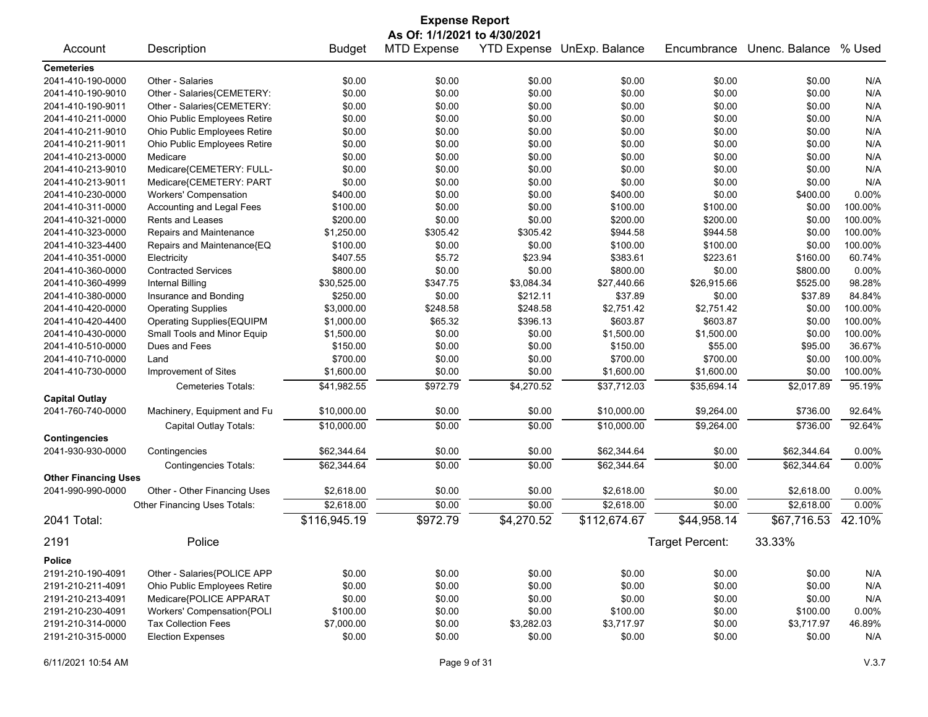| <b>Expense Report</b>                  |                                                          |                  |                              |                  |                            |                  |                |            |
|----------------------------------------|----------------------------------------------------------|------------------|------------------------------|------------------|----------------------------|------------------|----------------|------------|
|                                        |                                                          |                  | As Of: 1/1/2021 to 4/30/2021 |                  |                            |                  |                |            |
| Account                                | Description                                              | <b>Budget</b>    | <b>MTD Expense</b>           |                  | YTD Expense UnExp. Balance | Encumbrance      | Unenc. Balance | % Used     |
| <b>Cemeteries</b>                      |                                                          |                  |                              |                  |                            |                  |                |            |
| 2041-410-190-0000                      | Other - Salaries                                         | \$0.00           | \$0.00                       | \$0.00           | \$0.00                     | \$0.00           | \$0.00         | N/A        |
| 2041-410-190-9010                      | Other - Salaries{CEMETERY:                               | \$0.00           | \$0.00                       | \$0.00           | \$0.00                     | \$0.00           | \$0.00         | N/A        |
| 2041-410-190-9011                      | Other - Salaries{CEMETERY:                               | \$0.00           | \$0.00                       | \$0.00           | \$0.00                     | \$0.00           | \$0.00         | N/A        |
| 2041-410-211-0000                      | Ohio Public Employees Retire                             | \$0.00           | \$0.00                       | \$0.00           | \$0.00                     | \$0.00           | \$0.00         | N/A        |
| 2041-410-211-9010                      | Ohio Public Employees Retire                             | \$0.00           | \$0.00                       | \$0.00           | \$0.00                     | \$0.00           | \$0.00         | N/A        |
| 2041-410-211-9011                      | Ohio Public Employees Retire                             | \$0.00           | \$0.00                       | \$0.00           | \$0.00                     | \$0.00           | \$0.00         | N/A        |
| 2041-410-213-0000                      | Medicare                                                 | \$0.00           | \$0.00                       | \$0.00           | \$0.00                     | \$0.00           | \$0.00         | N/A        |
| 2041-410-213-9010                      | Medicare{CEMETERY: FULL-                                 | \$0.00           | \$0.00                       | \$0.00           | \$0.00                     | \$0.00           | \$0.00         | N/A        |
| 2041-410-213-9011                      | Medicare{CEMETERY: PART                                  | \$0.00           | \$0.00                       | \$0.00           | \$0.00                     | \$0.00           | \$0.00         | N/A        |
| 2041-410-230-0000                      | <b>Workers' Compensation</b>                             | \$400.00         | \$0.00                       | \$0.00           | \$400.00                   | \$0.00           | \$400.00       | 0.00%      |
| 2041-410-311-0000                      | Accounting and Legal Fees                                | \$100.00         | \$0.00                       | \$0.00           | \$100.00                   | \$100.00         | \$0.00         | 100.00%    |
| 2041-410-321-0000                      | Rents and Leases                                         | \$200.00         | \$0.00                       | \$0.00           | \$200.00                   | \$200.00         | \$0.00         | 100.00%    |
| 2041-410-323-0000                      | Repairs and Maintenance                                  | \$1,250.00       | \$305.42                     | \$305.42         | \$944.58                   | \$944.58         | \$0.00         | 100.00%    |
| 2041-410-323-4400                      | Repairs and Maintenance{EQ                               | \$100.00         | \$0.00                       | \$0.00           | \$100.00                   | \$100.00         | \$0.00         | 100.00%    |
| 2041-410-351-0000                      | Electricity                                              | \$407.55         | \$5.72                       | \$23.94          | \$383.61                   | \$223.61         | \$160.00       | 60.74%     |
| 2041-410-360-0000                      | <b>Contracted Services</b>                               | \$800.00         | \$0.00                       | \$0.00           | \$800.00                   | \$0.00           | \$800.00       | 0.00%      |
| 2041-410-360-4999                      | Internal Billing                                         | \$30,525.00      | \$347.75                     | \$3,084.34       | \$27,440.66                | \$26,915.66      | \$525.00       | 98.28%     |
| 2041-410-380-0000                      | Insurance and Bonding                                    | \$250.00         | \$0.00                       | \$212.11         | \$37.89                    | \$0.00           | \$37.89        | 84.84%     |
| 2041-410-420-0000                      | <b>Operating Supplies</b>                                | \$3,000.00       | \$248.58                     | \$248.58         | \$2,751.42                 | \$2,751.42       | \$0.00         | 100.00%    |
| 2041-410-420-4400                      | Operating Supplies{EQUIPM                                | \$1,000.00       | \$65.32                      | \$396.13         | \$603.87                   | \$603.87         | \$0.00         | 100.00%    |
| 2041-410-430-0000                      | Small Tools and Minor Equip                              | \$1,500.00       | \$0.00                       | \$0.00           | \$1,500.00                 | \$1,500.00       | \$0.00         | 100.00%    |
| 2041-410-510-0000                      | Dues and Fees                                            | \$150.00         | \$0.00                       | \$0.00           | \$150.00                   | \$55.00          | \$95.00        | 36.67%     |
| 2041-410-710-0000                      | Land                                                     | \$700.00         | \$0.00                       | \$0.00           | \$700.00                   | \$700.00         | \$0.00         | 100.00%    |
| 2041-410-730-0000                      | Improvement of Sites                                     | \$1,600.00       | \$0.00                       | \$0.00           | \$1,600.00                 | \$1,600.00       | \$0.00         | 100.00%    |
|                                        |                                                          |                  |                              |                  |                            |                  |                |            |
|                                        | Cemeteries Totals:                                       | \$41,982.55      | \$972.79                     | \$4,270.52       | \$37,712.03                | \$35,694.14      | \$2,017.89     | 95.19%     |
| <b>Capital Outlay</b>                  |                                                          |                  |                              |                  |                            |                  |                |            |
| 2041-760-740-0000                      | Machinery, Equipment and Fu                              | \$10,000.00      | \$0.00                       | \$0.00           | \$10,000.00                | \$9,264.00       | \$736.00       | 92.64%     |
|                                        | Capital Outlay Totals:                                   | \$10,000.00      | \$0.00                       | \$0.00           | \$10,000.00                | \$9,264.00       | \$736.00       | 92.64%     |
| <b>Contingencies</b>                   |                                                          |                  |                              |                  |                            |                  |                |            |
| 2041-930-930-0000                      | Contingencies                                            | \$62,344.64      | \$0.00                       | \$0.00           | \$62,344.64                | \$0.00           | \$62,344.64    | 0.00%      |
|                                        | <b>Contingencies Totals:</b>                             | \$62,344.64      | \$0.00                       | \$0.00           | \$62,344.64                | \$0.00           | \$62,344.64    | 0.00%      |
| <b>Other Financing Uses</b>            |                                                          |                  |                              |                  |                            |                  |                |            |
| 2041-990-990-0000                      | Other - Other Financing Uses                             | \$2,618.00       | \$0.00                       | \$0.00           | \$2,618.00                 | \$0.00           | \$2,618.00     | 0.00%      |
|                                        | Other Financing Uses Totals:                             | \$2,618.00       | \$0.00                       | \$0.00           | \$2,618.00                 | \$0.00           | \$2,618.00     | 0.00%      |
| 2041 Total:                            |                                                          | \$116,945.19     | \$972.79                     | \$4,270.52       | \$112,674.67               | \$44,958.14      | \$67,716.53    | 42.10%     |
| 2191                                   | Police                                                   |                  |                              |                  |                            | Target Percent:  | 33.33%         |            |
| <b>Police</b>                          |                                                          |                  |                              |                  |                            |                  |                |            |
| 2191-210-190-4091                      | Other - Salaries{POLICE APP                              | \$0.00           | \$0.00                       | \$0.00           | \$0.00                     | \$0.00           |                |            |
|                                        |                                                          |                  |                              |                  |                            |                  | \$0.00         | N/A        |
| 2191-210-211-4091<br>2191-210-213-4091 | Ohio Public Employees Retire<br>Medicare{POLICE APPARAT  | \$0.00<br>\$0.00 | \$0.00<br>\$0.00             | \$0.00<br>\$0.00 | \$0.00<br>\$0.00           | \$0.00<br>\$0.00 | \$0.00         | N/A<br>N/A |
|                                        |                                                          |                  |                              |                  |                            |                  | \$0.00         |            |
| 2191-210-230-4091<br>2191-210-314-0000 | Workers' Compensation{POLI<br><b>Tax Collection Fees</b> | \$100.00         | \$0.00                       | \$0.00           | \$100.00<br>\$3,717.97     | \$0.00           | \$100.00       | 0.00%      |
|                                        |                                                          | \$7,000.00       | \$0.00                       | \$3,282.03       |                            | \$0.00           | \$3,717.97     | 46.89%     |
| 2191-210-315-0000                      | <b>Election Expenses</b>                                 | \$0.00           | \$0.00                       | \$0.00           | \$0.00                     | \$0.00           | \$0.00         | N/A        |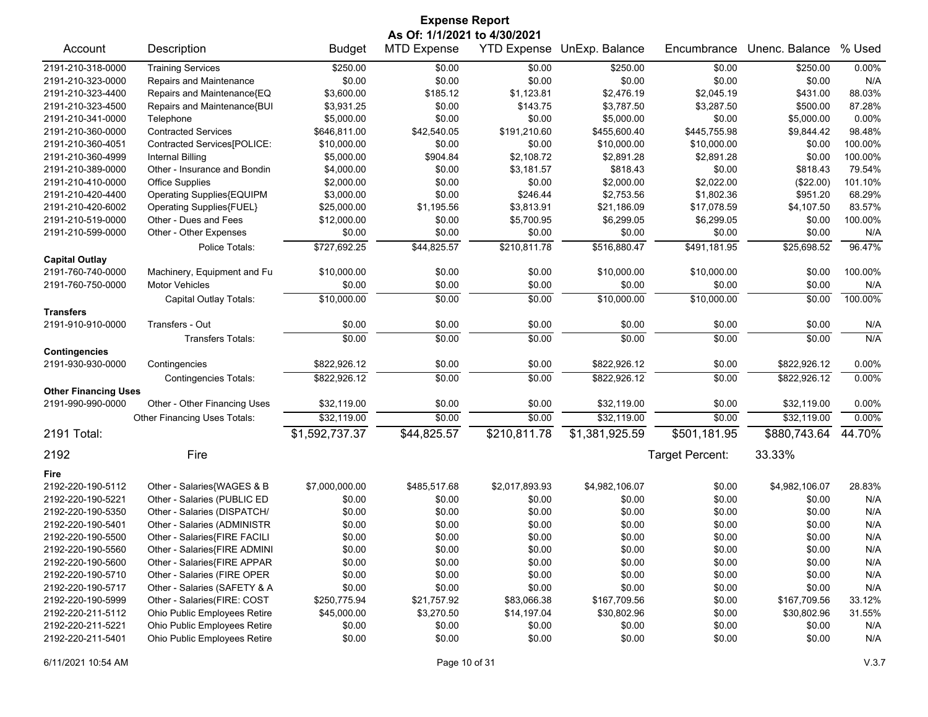| <b>Expense Report</b>        |                              |                |                    |                    |                |                 |                |         |
|------------------------------|------------------------------|----------------|--------------------|--------------------|----------------|-----------------|----------------|---------|
| As Of: 1/1/2021 to 4/30/2021 |                              |                |                    |                    |                |                 |                |         |
| Account                      | Description                  | <b>Budget</b>  | <b>MTD Expense</b> | <b>YTD Expense</b> | UnExp. Balance | Encumbrance     | Unenc. Balance | % Used  |
| 2191-210-318-0000            | <b>Training Services</b>     | \$250.00       | \$0.00             | \$0.00             | \$250.00       | \$0.00          | \$250.00       | 0.00%   |
| 2191-210-323-0000            | Repairs and Maintenance      | \$0.00         | \$0.00             | \$0.00             | \$0.00         | \$0.00          | \$0.00         | N/A     |
| 2191-210-323-4400            | Repairs and Maintenance{EQ   | \$3,600.00     | \$185.12           | \$1,123.81         | \$2,476.19     | \$2,045.19      | \$431.00       | 88.03%  |
| 2191-210-323-4500            | Repairs and Maintenance{BUI  | \$3,931.25     | \$0.00             | \$143.75           | \$3,787.50     | \$3,287.50      | \$500.00       | 87.28%  |
| 2191-210-341-0000            | Telephone                    | \$5,000.00     | \$0.00             | \$0.00             | \$5,000.00     | \$0.00          | \$5,000.00     | 0.00%   |
| 2191-210-360-0000            | <b>Contracted Services</b>   | \$646,811.00   | \$42,540.05        | \$191,210.60       | \$455,600.40   | \$445,755.98    | \$9,844.42     | 98.48%  |
| 2191-210-360-4051            | Contracted Services[POLICE:  | \$10,000.00    | \$0.00             | \$0.00             | \$10,000.00    | \$10,000.00     | \$0.00         | 100.00% |
| 2191-210-360-4999            | Internal Billing             | \$5,000.00     | \$904.84           | \$2,108.72         | \$2,891.28     | \$2,891.28      | \$0.00         | 100.00% |
| 2191-210-389-0000            | Other - Insurance and Bondin | \$4,000.00     | \$0.00             | \$3,181.57         | \$818.43       | \$0.00          | \$818.43       | 79.54%  |
| 2191-210-410-0000            | <b>Office Supplies</b>       | \$2,000.00     | \$0.00             | \$0.00             | \$2,000.00     | \$2,022.00      | (\$22.00)      | 101.10% |
| 2191-210-420-4400            | Operating Supplies{EQUIPM    | \$3,000.00     | \$0.00             | \$246.44           | \$2,753.56     | \$1,802.36      | \$951.20       | 68.29%  |
| 2191-210-420-6002            | Operating Supplies{FUEL}     | \$25,000.00    | \$1,195.56         | \$3,813.91         | \$21,186.09    | \$17,078.59     | \$4,107.50     | 83.57%  |
| 2191-210-519-0000            | Other - Dues and Fees        | \$12,000.00    | \$0.00             | \$5,700.95         | \$6,299.05     | \$6,299.05      | \$0.00         | 100.00% |
| 2191-210-599-0000            | Other - Other Expenses       | \$0.00         | \$0.00             | \$0.00             | \$0.00         | \$0.00          | \$0.00         | N/A     |
|                              | Police Totals:               | \$727,692.25   | \$44,825.57        | \$210,811.78       | \$516,880.47   | \$491,181.95    | \$25,698.52    | 96.47%  |
| <b>Capital Outlay</b>        |                              |                |                    |                    |                |                 |                |         |
| 2191-760-740-0000            | Machinery, Equipment and Fu  | \$10,000.00    | \$0.00             | \$0.00             | \$10,000.00    | \$10,000.00     | \$0.00         | 100.00% |
| 2191-760-750-0000            | <b>Motor Vehicles</b>        | \$0.00         | \$0.00             | \$0.00             | \$0.00         | \$0.00          | \$0.00         | N/A     |
|                              | Capital Outlay Totals:       | \$10,000.00    | \$0.00             | \$0.00             | \$10,000.00    | \$10,000.00     | \$0.00         | 100.00% |
| <b>Transfers</b>             |                              |                |                    |                    |                |                 |                |         |
| 2191-910-910-0000            | Transfers - Out              | \$0.00         | \$0.00             | \$0.00             | \$0.00         | \$0.00          | \$0.00         | N/A     |
|                              | <b>Transfers Totals:</b>     | \$0.00         | \$0.00             | \$0.00             | \$0.00         | \$0.00          | \$0.00         | N/A     |
| <b>Contingencies</b>         |                              |                |                    |                    |                |                 |                |         |
| 2191-930-930-0000            | Contingencies                | \$822,926.12   | \$0.00             | \$0.00             | \$822,926.12   | \$0.00          | \$822,926.12   | 0.00%   |
|                              | <b>Contingencies Totals:</b> | \$822,926.12   | $\frac{1}{00}$     | \$0.00             | \$822,926.12   | \$0.00          | \$822,926.12   | 0.00%   |
| <b>Other Financing Uses</b>  |                              |                |                    |                    |                |                 |                |         |
| 2191-990-990-0000            | Other - Other Financing Uses | \$32,119.00    | \$0.00             | \$0.00             | \$32,119.00    | \$0.00          | \$32,119.00    | 0.00%   |
|                              | Other Financing Uses Totals: | \$32,119.00    | \$0.00             | \$0.00             | \$32,119.00    | \$0.00          | \$32,119.00    | 0.00%   |
| 2191 Total:                  |                              | \$1,592,737.37 | \$44,825.57        | \$210,811.78       | \$1,381,925.59 | \$501,181.95    | \$880,743.64   | 44.70%  |
| 2192                         | Fire                         |                |                    |                    |                | Target Percent: | 33.33%         |         |
| Fire                         |                              |                |                    |                    |                |                 |                |         |
| 2192-220-190-5112            | Other - Salaries{WAGES & B   | \$7,000,000.00 | \$485,517.68       | \$2,017,893.93     | \$4,982,106.07 | \$0.00          | \$4,982,106.07 | 28.83%  |
| 2192-220-190-5221            | Other - Salaries (PUBLIC ED  | \$0.00         | \$0.00             | \$0.00             | \$0.00         | \$0.00          | \$0.00         | N/A     |
| 2192-220-190-5350            | Other - Salaries (DISPATCH/  | \$0.00         | \$0.00             | \$0.00             | \$0.00         | \$0.00          | \$0.00         | N/A     |
| 2192-220-190-5401            | Other - Salaries (ADMINISTR  | \$0.00         | \$0.00             | \$0.00             | \$0.00         | \$0.00          | \$0.00         | N/A     |
| 2192-220-190-5500            | Other - Salaries{FIRE FACILI | \$0.00         | \$0.00             | \$0.00             | \$0.00         | \$0.00          | \$0.00         | N/A     |
| 2192-220-190-5560            | Other - Salaries{FIRE ADMINI | \$0.00         | \$0.00             | \$0.00             | \$0.00         | \$0.00          | \$0.00         | N/A     |
| 2192-220-190-5600            | Other - Salaries{FIRE APPAR  | \$0.00         | \$0.00             | \$0.00             | \$0.00         | \$0.00          | \$0.00         | N/A     |
| 2192-220-190-5710            | Other - Salaries (FIRE OPER  | \$0.00         | \$0.00             | \$0.00             | \$0.00         | \$0.00          | \$0.00         | N/A     |
| 2192-220-190-5717            | Other - Salaries (SAFETY & A | \$0.00         | \$0.00             | \$0.00             | \$0.00         | \$0.00          | \$0.00         | N/A     |
| 2192-220-190-5999            | Other - Salaries(FIRE: COST  | \$250,775.94   | \$21,757.92        | \$83,066.38        | \$167,709.56   | \$0.00          | \$167,709.56   | 33.12%  |
| 2192-220-211-5112            | Ohio Public Employees Retire | \$45,000.00    | \$3,270.50         | \$14,197.04        | \$30,802.96    | \$0.00          | \$30,802.96    | 31.55%  |
| 2192-220-211-5221            | Ohio Public Employees Retire | \$0.00         | \$0.00             | \$0.00             | \$0.00         | \$0.00          | \$0.00         | N/A     |
| 2192-220-211-5401            | Ohio Public Employees Retire | \$0.00         | \$0.00             | \$0.00             | \$0.00         | \$0.00          | \$0.00         | N/A     |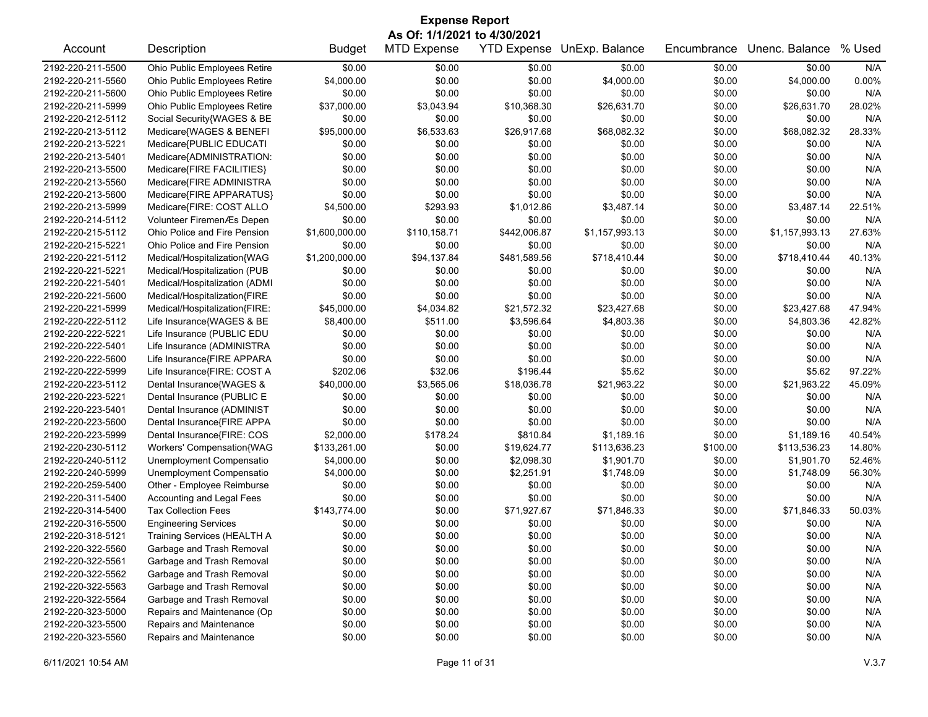| <b>Expense Report</b> |                                     |                |                              |              |                            |             |                |        |  |  |
|-----------------------|-------------------------------------|----------------|------------------------------|--------------|----------------------------|-------------|----------------|--------|--|--|
|                       |                                     |                | As Of: 1/1/2021 to 4/30/2021 |              |                            |             |                |        |  |  |
| Account               | Description                         | <b>Budget</b>  | <b>MTD Expense</b>           |              | YTD Expense UnExp. Balance | Encumbrance | Unenc. Balance | % Used |  |  |
| 2192-220-211-5500     | Ohio Public Employees Retire        | \$0.00         | \$0.00                       | \$0.00       | \$0.00                     | \$0.00      | \$0.00         | N/A    |  |  |
| 2192-220-211-5560     | Ohio Public Employees Retire        | \$4,000.00     | \$0.00                       | \$0.00       | \$4,000.00                 | \$0.00      | \$4,000.00     | 0.00%  |  |  |
| 2192-220-211-5600     | Ohio Public Employees Retire        | \$0.00         | \$0.00                       | \$0.00       | \$0.00                     | \$0.00      | \$0.00         | N/A    |  |  |
| 2192-220-211-5999     | Ohio Public Employees Retire        | \$37,000.00    | \$3,043.94                   | \$10,368.30  | \$26,631.70                | \$0.00      | \$26,631.70    | 28.02% |  |  |
| 2192-220-212-5112     | Social Security{WAGES & BE          | \$0.00         | \$0.00                       | \$0.00       | \$0.00                     | \$0.00      | \$0.00         | N/A    |  |  |
| 2192-220-213-5112     | Medicare{WAGES & BENEFI             | \$95,000.00    | \$6,533.63                   | \$26,917.68  | \$68,082.32                | \$0.00      | \$68,082.32    | 28.33% |  |  |
| 2192-220-213-5221     | Medicare{PUBLIC EDUCATI             | \$0.00         | \$0.00                       | \$0.00       | \$0.00                     | \$0.00      | \$0.00         | N/A    |  |  |
| 2192-220-213-5401     | Medicare{ADMINISTRATION:            | \$0.00         | \$0.00                       | \$0.00       | \$0.00                     | \$0.00      | \$0.00         | N/A    |  |  |
| 2192-220-213-5500     | Medicare{FIRE FACILITIES}           | \$0.00         | \$0.00                       | \$0.00       | \$0.00                     | \$0.00      | \$0.00         | N/A    |  |  |
| 2192-220-213-5560     | Medicare{FIRE ADMINISTRA            | \$0.00         | \$0.00                       | \$0.00       | \$0.00                     | \$0.00      | \$0.00         | N/A    |  |  |
| 2192-220-213-5600     | Medicare{FIRE APPARATUS}            | \$0.00         | \$0.00                       | \$0.00       | \$0.00                     | \$0.00      | \$0.00         | N/A    |  |  |
| 2192-220-213-5999     | Medicare{FIRE: COST ALLO            | \$4,500.00     | \$293.93                     | \$1,012.86   | \$3,487.14                 | \$0.00      | \$3,487.14     | 22.51% |  |  |
| 2192-220-214-5112     | Volunteer FiremenÆs Depen           | \$0.00         | \$0.00                       | \$0.00       | \$0.00                     | \$0.00      | \$0.00         | N/A    |  |  |
| 2192-220-215-5112     | Ohio Police and Fire Pension        | \$1,600,000.00 | \$110,158.71                 | \$442,006.87 | \$1,157,993.13             | \$0.00      | \$1,157,993.13 | 27.63% |  |  |
| 2192-220-215-5221     | <b>Ohio Police and Fire Pension</b> | \$0.00         | \$0.00                       | \$0.00       | \$0.00                     | \$0.00      | \$0.00         | N/A    |  |  |
| 2192-220-221-5112     | Medical/Hospitalization{WAG         | \$1,200,000.00 | \$94,137.84                  | \$481,589.56 | \$718,410.44               | \$0.00      | \$718,410.44   | 40.13% |  |  |
| 2192-220-221-5221     | Medical/Hospitalization (PUB        | \$0.00         | \$0.00                       | \$0.00       | \$0.00                     | \$0.00      | \$0.00         | N/A    |  |  |
| 2192-220-221-5401     | Medical/Hospitalization (ADMI       | \$0.00         | \$0.00                       | \$0.00       | \$0.00                     | \$0.00      | \$0.00         | N/A    |  |  |
| 2192-220-221-5600     | Medical/Hospitalization{FIRE        | \$0.00         | \$0.00                       | \$0.00       | \$0.00                     | \$0.00      | \$0.00         | N/A    |  |  |
| 2192-220-221-5999     | Medical/Hospitalization{FIRE:       | \$45,000.00    | \$4,034.82                   | \$21,572.32  | \$23,427.68                | \$0.00      | \$23,427.68    | 47.94% |  |  |
| 2192-220-222-5112     | Life Insurance{WAGES & BE           | \$8,400.00     | \$511.00                     | \$3,596.64   | \$4,803.36                 | \$0.00      | \$4,803.36     | 42.82% |  |  |
| 2192-220-222-5221     | Life Insurance (PUBLIC EDU          | \$0.00         | \$0.00                       | \$0.00       | \$0.00                     | \$0.00      | \$0.00         | N/A    |  |  |
| 2192-220-222-5401     | Life Insurance (ADMINISTRA          | \$0.00         | \$0.00                       | \$0.00       | \$0.00                     | \$0.00      | \$0.00         | N/A    |  |  |
| 2192-220-222-5600     | Life Insurance{FIRE APPARA          | \$0.00         | \$0.00                       | \$0.00       | \$0.00                     | \$0.00      | \$0.00         | N/A    |  |  |
| 2192-220-222-5999     | Life Insurance{FIRE: COST A         | \$202.06       | \$32.06                      | \$196.44     | \$5.62                     | \$0.00      | \$5.62         | 97.22% |  |  |
| 2192-220-223-5112     | Dental Insurance{WAGES &            | \$40,000.00    | \$3,565.06                   | \$18,036.78  | \$21,963.22                | \$0.00      | \$21,963.22    | 45.09% |  |  |
| 2192-220-223-5221     | Dental Insurance (PUBLIC E          | \$0.00         | \$0.00                       | \$0.00       | \$0.00                     | \$0.00      | \$0.00         | N/A    |  |  |
| 2192-220-223-5401     | Dental Insurance (ADMINIST          | \$0.00         | \$0.00                       | \$0.00       | \$0.00                     | \$0.00      | \$0.00         | N/A    |  |  |
| 2192-220-223-5600     | Dental Insurance{FIRE APPA          | \$0.00         | \$0.00                       | \$0.00       | \$0.00                     | \$0.00      | \$0.00         | N/A    |  |  |
| 2192-220-223-5999     | Dental Insurance{FIRE: COS          | \$2,000.00     | \$178.24                     | \$810.84     | \$1,189.16                 | \$0.00      | \$1,189.16     | 40.54% |  |  |
| 2192-220-230-5112     | Workers' Compensation{WAG           | \$133,261.00   | \$0.00                       | \$19,624.77  | \$113,636.23               | \$100.00    | \$113,536.23   | 14.80% |  |  |
| 2192-220-240-5112     | Unemployment Compensatio            | \$4,000.00     | \$0.00                       | \$2,098.30   | \$1,901.70                 | \$0.00      | \$1,901.70     | 52.46% |  |  |
| 2192-220-240-5999     | Unemployment Compensatio            | \$4,000.00     | \$0.00                       | \$2,251.91   | \$1,748.09                 | \$0.00      | \$1,748.09     | 56.30% |  |  |
| 2192-220-259-5400     | Other - Employee Reimburse          | \$0.00         | \$0.00                       | \$0.00       | \$0.00                     | \$0.00      | \$0.00         | N/A    |  |  |
| 2192-220-311-5400     | Accounting and Legal Fees           | \$0.00         | \$0.00                       | \$0.00       | \$0.00                     | \$0.00      | \$0.00         | N/A    |  |  |
| 2192-220-314-5400     | <b>Tax Collection Fees</b>          | \$143,774.00   | \$0.00                       | \$71,927.67  | \$71,846.33                | \$0.00      | \$71,846.33    | 50.03% |  |  |
| 2192-220-316-5500     | <b>Engineering Services</b>         | \$0.00         | \$0.00                       | \$0.00       | \$0.00                     | \$0.00      | \$0.00         | N/A    |  |  |
| 2192-220-318-5121     | Training Services (HEALTH A         | \$0.00         | \$0.00                       | \$0.00       | \$0.00                     | \$0.00      | \$0.00         | N/A    |  |  |
| 2192-220-322-5560     | Garbage and Trash Removal           | \$0.00         | \$0.00                       | \$0.00       | \$0.00                     | \$0.00      | \$0.00         | N/A    |  |  |
| 2192-220-322-5561     | Garbage and Trash Removal           | \$0.00         | \$0.00                       | \$0.00       | \$0.00                     | \$0.00      | \$0.00         | N/A    |  |  |
| 2192-220-322-5562     | Garbage and Trash Removal           | \$0.00         | \$0.00                       | \$0.00       | \$0.00                     | \$0.00      | \$0.00         | N/A    |  |  |
| 2192-220-322-5563     | Garbage and Trash Removal           | \$0.00         | \$0.00                       | \$0.00       | \$0.00                     | \$0.00      | \$0.00         | N/A    |  |  |
| 2192-220-322-5564     | Garbage and Trash Removal           | \$0.00         | \$0.00                       | \$0.00       | \$0.00                     | \$0.00      | \$0.00         | N/A    |  |  |
| 2192-220-323-5000     | Repairs and Maintenance (Op         | \$0.00         | \$0.00                       | \$0.00       | \$0.00                     | \$0.00      | \$0.00         | N/A    |  |  |
| 2192-220-323-5500     | Repairs and Maintenance             | \$0.00         | \$0.00                       | \$0.00       | \$0.00                     | \$0.00      | \$0.00         | N/A    |  |  |
| 2192-220-323-5560     | Repairs and Maintenance             | \$0.00         | \$0.00                       | \$0.00       | \$0.00                     | \$0.00      | \$0.00         | N/A    |  |  |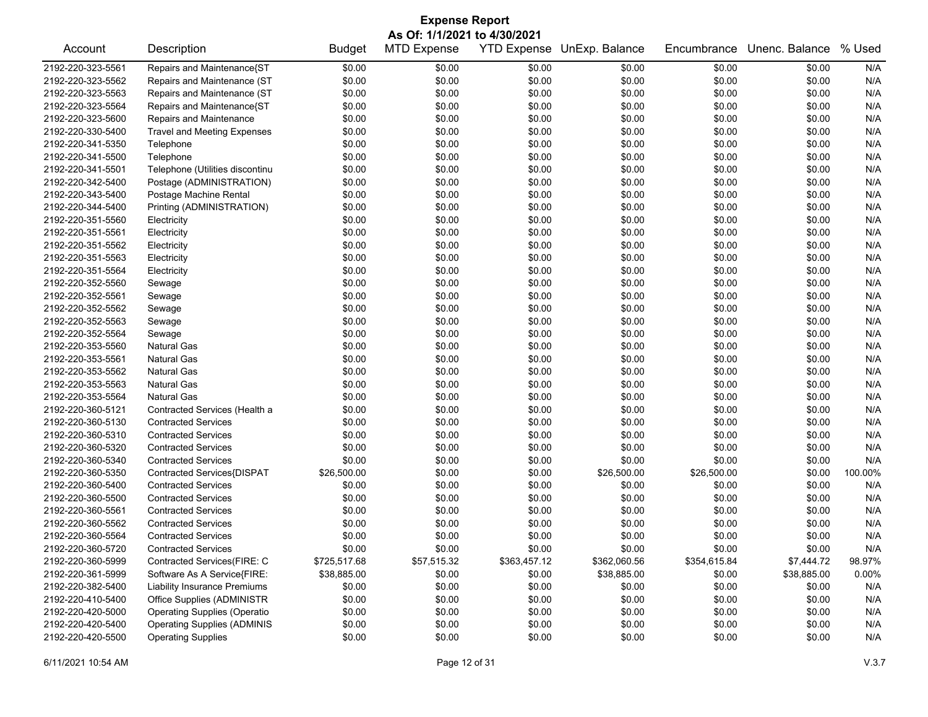| <b>Expense Report</b><br>As Of: 1/1/2021 to 4/30/2021 |                                     |               |                    |              |                            |              |                |         |
|-------------------------------------------------------|-------------------------------------|---------------|--------------------|--------------|----------------------------|--------------|----------------|---------|
| Account                                               | Description                         | <b>Budget</b> | <b>MTD Expense</b> |              | YTD Expense UnExp. Balance | Encumbrance  | Unenc. Balance | % Used  |
| 2192-220-323-5561                                     | Repairs and Maintenance{ST          | \$0.00        | \$0.00             | \$0.00       | \$0.00                     | \$0.00       | \$0.00         | N/A     |
| 2192-220-323-5562                                     | Repairs and Maintenance (ST         | \$0.00        | \$0.00             | \$0.00       | \$0.00                     | \$0.00       | \$0.00         | N/A     |
| 2192-220-323-5563                                     | Repairs and Maintenance (ST         | \$0.00        | \$0.00             | \$0.00       | \$0.00                     | \$0.00       | \$0.00         | N/A     |
| 2192-220-323-5564                                     | Repairs and Maintenance{ST          | \$0.00        | \$0.00             | \$0.00       | \$0.00                     | \$0.00       | \$0.00         | N/A     |
| 2192-220-323-5600                                     | Repairs and Maintenance             | \$0.00        | \$0.00             | \$0.00       | \$0.00                     | \$0.00       | \$0.00         | N/A     |
| 2192-220-330-5400                                     | <b>Travel and Meeting Expenses</b>  | \$0.00        | \$0.00             | \$0.00       | \$0.00                     | \$0.00       | \$0.00         | N/A     |
| 2192-220-341-5350                                     | Telephone                           | \$0.00        | \$0.00             | \$0.00       | \$0.00                     | \$0.00       | \$0.00         | N/A     |
| 2192-220-341-5500                                     | Telephone                           | \$0.00        | \$0.00             | \$0.00       | \$0.00                     | \$0.00       | \$0.00         | N/A     |
| 2192-220-341-5501                                     | Telephone (Utilities discontinu     | \$0.00        | \$0.00             | \$0.00       | \$0.00                     | \$0.00       | \$0.00         | N/A     |
| 2192-220-342-5400                                     | Postage (ADMINISTRATION)            | \$0.00        | \$0.00             | \$0.00       | \$0.00                     | \$0.00       | \$0.00         | N/A     |
| 2192-220-343-5400                                     | Postage Machine Rental              | \$0.00        | \$0.00             | \$0.00       | \$0.00                     | \$0.00       | \$0.00         | N/A     |
| 2192-220-344-5400                                     | Printing (ADMINISTRATION)           | \$0.00        | \$0.00             | \$0.00       | \$0.00                     | \$0.00       | \$0.00         | N/A     |
| 2192-220-351-5560                                     | Electricity                         | \$0.00        | \$0.00             | \$0.00       | \$0.00                     | \$0.00       | \$0.00         | N/A     |
| 2192-220-351-5561                                     | Electricity                         | \$0.00        | \$0.00             | \$0.00       | \$0.00                     | \$0.00       | \$0.00         | N/A     |
| 2192-220-351-5562                                     | Electricity                         | \$0.00        | \$0.00             | \$0.00       | \$0.00                     | \$0.00       | \$0.00         | N/A     |
| 2192-220-351-5563                                     | Electricity                         | \$0.00        | \$0.00             | \$0.00       | \$0.00                     | \$0.00       | \$0.00         | N/A     |
| 2192-220-351-5564                                     | Electricity                         | \$0.00        | \$0.00             | \$0.00       | \$0.00                     | \$0.00       | \$0.00         | N/A     |
| 2192-220-352-5560                                     | Sewage                              | \$0.00        | \$0.00             | \$0.00       | \$0.00                     | \$0.00       | \$0.00         | N/A     |
| 2192-220-352-5561                                     | Sewage                              | \$0.00        | \$0.00             | \$0.00       | \$0.00                     | \$0.00       | \$0.00         | N/A     |
| 2192-220-352-5562                                     | Sewage                              | \$0.00        | \$0.00             | \$0.00       | \$0.00                     | \$0.00       | \$0.00         | N/A     |
| 2192-220-352-5563                                     | Sewage                              | \$0.00        | \$0.00             | \$0.00       | \$0.00                     | \$0.00       | \$0.00         | N/A     |
| 2192-220-352-5564                                     | Sewage                              | \$0.00        | \$0.00             | \$0.00       | \$0.00                     | \$0.00       | \$0.00         | N/A     |
| 2192-220-353-5560                                     | <b>Natural Gas</b>                  | \$0.00        | \$0.00             | \$0.00       | \$0.00                     | \$0.00       | \$0.00         | N/A     |
| 2192-220-353-5561                                     | <b>Natural Gas</b>                  | \$0.00        | \$0.00             | \$0.00       | \$0.00                     | \$0.00       | \$0.00         | N/A     |
| 2192-220-353-5562                                     | <b>Natural Gas</b>                  | \$0.00        | \$0.00             | \$0.00       | \$0.00                     | \$0.00       | \$0.00         | N/A     |
| 2192-220-353-5563                                     | <b>Natural Gas</b>                  | \$0.00        | \$0.00             | \$0.00       | \$0.00                     | \$0.00       | \$0.00         | N/A     |
| 2192-220-353-5564                                     | <b>Natural Gas</b>                  | \$0.00        | \$0.00             | \$0.00       | \$0.00                     | \$0.00       | \$0.00         | N/A     |
| 2192-220-360-5121                                     | Contracted Services (Health a       | \$0.00        | \$0.00             | \$0.00       | \$0.00                     | \$0.00       | \$0.00         | N/A     |
| 2192-220-360-5130                                     | <b>Contracted Services</b>          | \$0.00        | \$0.00             | \$0.00       | \$0.00                     | \$0.00       | \$0.00         | N/A     |
| 2192-220-360-5310                                     | <b>Contracted Services</b>          | \$0.00        | \$0.00             | \$0.00       | \$0.00                     | \$0.00       | \$0.00         | N/A     |
| 2192-220-360-5320                                     | <b>Contracted Services</b>          | \$0.00        | \$0.00             | \$0.00       | \$0.00                     | \$0.00       | \$0.00         | N/A     |
| 2192-220-360-5340                                     | <b>Contracted Services</b>          | \$0.00        | \$0.00             | \$0.00       | \$0.00                     | \$0.00       | \$0.00         | N/A     |
| 2192-220-360-5350                                     | Contracted Services{DISPAT          | \$26,500.00   | \$0.00             | \$0.00       | \$26,500.00                | \$26,500.00  | \$0.00         | 100.00% |
| 2192-220-360-5400                                     | <b>Contracted Services</b>          | \$0.00        | \$0.00             | \$0.00       | \$0.00                     | \$0.00       | \$0.00         | N/A     |
| 2192-220-360-5500                                     | <b>Contracted Services</b>          | \$0.00        | \$0.00             | \$0.00       | \$0.00                     | \$0.00       | \$0.00         | N/A     |
| 2192-220-360-5561                                     | <b>Contracted Services</b>          | \$0.00        | \$0.00             | \$0.00       | \$0.00                     | \$0.00       | \$0.00         | N/A     |
| 2192-220-360-5562                                     | <b>Contracted Services</b>          | \$0.00        | \$0.00             | \$0.00       | \$0.00                     | \$0.00       | \$0.00         | N/A     |
| 2192-220-360-5564                                     | <b>Contracted Services</b>          | \$0.00        | \$0.00             | \$0.00       | \$0.00                     | \$0.00       | \$0.00         | N/A     |
| 2192-220-360-5720                                     | <b>Contracted Services</b>          | \$0.00        | \$0.00             | \$0.00       | \$0.00                     | \$0.00       | \$0.00         | N/A     |
| 2192-220-360-5999                                     | Contracted Services(FIRE: C         | \$725,517.68  | \$57,515.32        | \$363,457.12 | \$362,060.56               | \$354,615.84 | \$7,444.72     | 98.97%  |
| 2192-220-361-5999                                     | Software As A Service{FIRE:         | \$38,885.00   | \$0.00             | \$0.00       | \$38,885.00                | \$0.00       | \$38,885.00    | 0.00%   |
| 2192-220-382-5400                                     | <b>Liability Insurance Premiums</b> | \$0.00        | \$0.00             | \$0.00       | \$0.00                     | \$0.00       | \$0.00         | N/A     |
| 2192-220-410-5400                                     | Office Supplies (ADMINISTR          | \$0.00        | \$0.00             | \$0.00       | \$0.00                     | \$0.00       | \$0.00         | N/A     |
| 2192-220-420-5000                                     | <b>Operating Supplies (Operatio</b> | \$0.00        | \$0.00             | \$0.00       | \$0.00                     | \$0.00       | \$0.00         | N/A     |
| 2192-220-420-5400                                     | <b>Operating Supplies (ADMINIS</b>  | \$0.00        | \$0.00             | \$0.00       | \$0.00                     | \$0.00       | \$0.00         | N/A     |
| 2192-220-420-5500                                     | <b>Operating Supplies</b>           | \$0.00        | \$0.00             | \$0.00       | \$0.00                     | \$0.00       | \$0.00         | N/A     |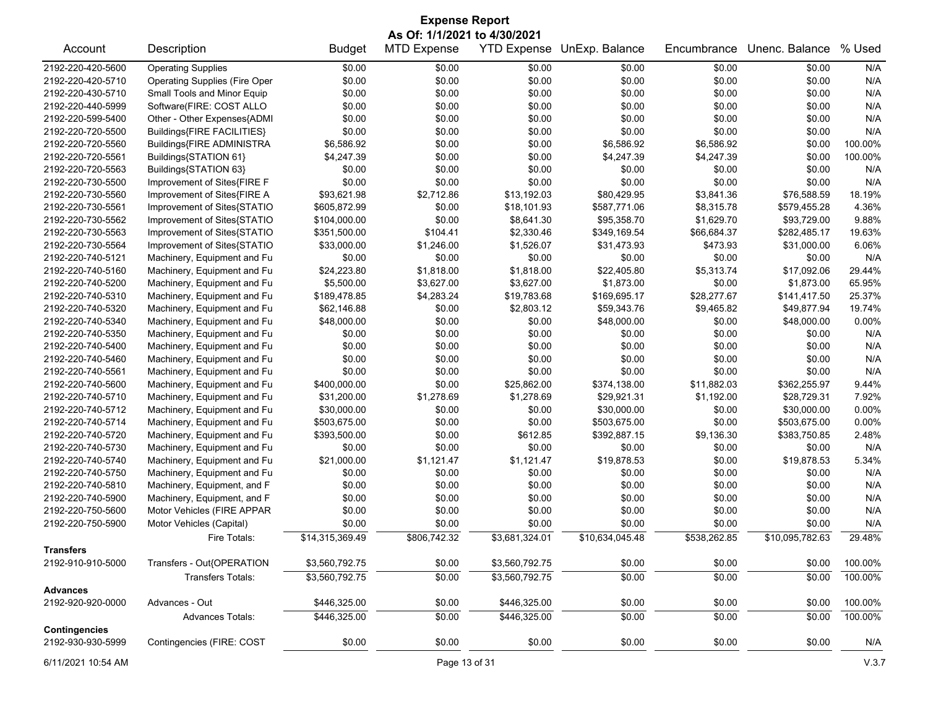|                                       | <b>Expense Report</b>                |                 |                                                    |                    |                 |              |                 |         |  |  |
|---------------------------------------|--------------------------------------|-----------------|----------------------------------------------------|--------------------|-----------------|--------------|-----------------|---------|--|--|
|                                       | Description                          |                 | As Of: 1/1/2021 to 4/30/2021<br><b>MTD Expense</b> |                    | UnExp. Balance  |              | Unenc. Balance  | % Used  |  |  |
| Account                               |                                      | <b>Budget</b>   |                                                    | <b>YTD Expense</b> |                 | Encumbrance  |                 |         |  |  |
| 2192-220-420-5600                     | <b>Operating Supplies</b>            | \$0.00          | \$0.00                                             | \$0.00             | \$0.00          | \$0.00       | \$0.00          | N/A     |  |  |
| 2192-220-420-5710                     | <b>Operating Supplies (Fire Oper</b> | \$0.00          | \$0.00                                             | \$0.00             | \$0.00          | \$0.00       | \$0.00          | N/A     |  |  |
| 2192-220-430-5710                     | Small Tools and Minor Equip          | \$0.00          | \$0.00                                             | \$0.00             | \$0.00          | \$0.00       | \$0.00          | N/A     |  |  |
| 2192-220-440-5999                     | Software(FIRE: COST ALLO             | \$0.00          | \$0.00                                             | \$0.00             | \$0.00          | \$0.00       | \$0.00          | N/A     |  |  |
| 2192-220-599-5400                     | Other - Other Expenses{ADMI          | \$0.00          | \$0.00                                             | \$0.00             | \$0.00          | \$0.00       | \$0.00          | N/A     |  |  |
| 2192-220-720-5500                     | Buildings{FIRE FACILITIES}           | \$0.00          | \$0.00                                             | \$0.00             | \$0.00          | \$0.00       | \$0.00          | N/A     |  |  |
| 2192-220-720-5560                     | Buildings{FIRE ADMINISTRA            | \$6,586.92      | \$0.00                                             | \$0.00             | \$6,586.92      | \$6,586.92   | \$0.00          | 100.00% |  |  |
| 2192-220-720-5561                     | Buildings{STATION 61}                | \$4,247.39      | \$0.00                                             | \$0.00             | \$4,247.39      | \$4,247.39   | \$0.00          | 100.00% |  |  |
| 2192-220-720-5563                     | Buildings{STATION 63}                | \$0.00          | \$0.00                                             | \$0.00             | \$0.00          | \$0.00       | \$0.00          | N/A     |  |  |
| 2192-220-730-5500                     | Improvement of Sites{FIRE F          | \$0.00          | \$0.00                                             | \$0.00             | \$0.00          | \$0.00       | \$0.00          | N/A     |  |  |
| 2192-220-730-5560                     | Improvement of Sites{FIRE A          | \$93,621.98     | \$2,712.86                                         | \$13,192.03        | \$80,429.95     | \$3,841.36   | \$76,588.59     | 18.19%  |  |  |
| 2192-220-730-5561                     | Improvement of Sites{STATIO          | \$605,872.99    | \$0.00                                             | \$18,101.93        | \$587,771.06    | \$8,315.78   | \$579,455.28    | 4.36%   |  |  |
| 2192-220-730-5562                     | Improvement of Sites{STATIO          | \$104,000.00    | \$0.00                                             | \$8,641.30         | \$95,358.70     | \$1,629.70   | \$93,729.00     | 9.88%   |  |  |
| 2192-220-730-5563                     | Improvement of Sites{STATIO          | \$351,500.00    | \$104.41                                           | \$2,330.46         | \$349,169.54    | \$66,684.37  | \$282,485.17    | 19.63%  |  |  |
| 2192-220-730-5564                     | Improvement of Sites{STATIO          | \$33,000.00     | \$1,246.00                                         | \$1,526.07         | \$31,473.93     | \$473.93     | \$31,000.00     | 6.06%   |  |  |
| 2192-220-740-5121                     | Machinery, Equipment and Fu          | \$0.00          | \$0.00                                             | \$0.00             | \$0.00          | \$0.00       | \$0.00          | N/A     |  |  |
| 2192-220-740-5160                     | Machinery, Equipment and Fu          | \$24,223.80     | \$1,818.00                                         | \$1,818.00         | \$22,405.80     | \$5,313.74   | \$17,092.06     | 29.44%  |  |  |
| 2192-220-740-5200                     | Machinery, Equipment and Fu          | \$5,500.00      | \$3,627.00                                         | \$3,627.00         | \$1,873.00      | \$0.00       | \$1,873.00      | 65.95%  |  |  |
| 2192-220-740-5310                     | Machinery, Equipment and Fu          | \$189,478.85    | \$4,283.24                                         | \$19,783.68        | \$169,695.17    | \$28,277.67  | \$141,417.50    | 25.37%  |  |  |
| 2192-220-740-5320                     | Machinery, Equipment and Fu          | \$62,146.88     | \$0.00                                             | \$2,803.12         | \$59,343.76     | \$9,465.82   | \$49,877.94     | 19.74%  |  |  |
| 2192-220-740-5340                     | Machinery, Equipment and Fu          | \$48,000.00     | \$0.00                                             | \$0.00             | \$48,000.00     | \$0.00       | \$48,000.00     | 0.00%   |  |  |
| 2192-220-740-5350                     | Machinery, Equipment and Fu          | \$0.00          | \$0.00                                             | \$0.00             | \$0.00          | \$0.00       | \$0.00          | N/A     |  |  |
| 2192-220-740-5400                     | Machinery, Equipment and Fu          | \$0.00          | \$0.00                                             | \$0.00             | \$0.00          | \$0.00       | \$0.00          | N/A     |  |  |
| 2192-220-740-5460                     | Machinery, Equipment and Fu          | \$0.00          | \$0.00                                             | \$0.00             | \$0.00          | \$0.00       | \$0.00          | N/A     |  |  |
| 2192-220-740-5561                     | Machinery, Equipment and Fu          | \$0.00          | \$0.00                                             | \$0.00             | \$0.00          | \$0.00       | \$0.00          | N/A     |  |  |
| 2192-220-740-5600                     | Machinery, Equipment and Fu          | \$400,000.00    | \$0.00                                             | \$25,862.00        | \$374,138.00    | \$11,882.03  | \$362,255.97    | 9.44%   |  |  |
| 2192-220-740-5710                     | Machinery, Equipment and Fu          | \$31,200.00     | \$1,278.69                                         | \$1,278.69         | \$29,921.31     | \$1,192.00   | \$28,729.31     | 7.92%   |  |  |
| 2192-220-740-5712                     | Machinery, Equipment and Fu          | \$30,000.00     | \$0.00                                             | \$0.00             | \$30,000.00     | \$0.00       | \$30,000.00     | 0.00%   |  |  |
| 2192-220-740-5714                     |                                      | \$503,675.00    | \$0.00                                             | \$0.00             | \$503,675.00    | \$0.00       | \$503,675.00    | 0.00%   |  |  |
|                                       | Machinery, Equipment and Fu          |                 |                                                    |                    |                 |              |                 |         |  |  |
| 2192-220-740-5720                     | Machinery, Equipment and Fu          | \$393,500.00    | \$0.00                                             | \$612.85           | \$392,887.15    | \$9,136.30   | \$383,750.85    | 2.48%   |  |  |
| 2192-220-740-5730                     | Machinery, Equipment and Fu          | \$0.00          | \$0.00                                             | \$0.00             | \$0.00          | \$0.00       | \$0.00          | N/A     |  |  |
| 2192-220-740-5740                     | Machinery, Equipment and Fu          | \$21,000.00     | \$1,121.47                                         | \$1,121.47         | \$19,878.53     | \$0.00       | \$19,878.53     | 5.34%   |  |  |
| 2192-220-740-5750                     | Machinery, Equipment and Fu          | \$0.00          | \$0.00                                             | \$0.00             | \$0.00          | \$0.00       | \$0.00          | N/A     |  |  |
| 2192-220-740-5810                     | Machinery, Equipment, and F          | \$0.00          | \$0.00                                             | \$0.00             | \$0.00          | \$0.00       | \$0.00          | N/A     |  |  |
| 2192-220-740-5900                     | Machinery, Equipment, and F          | \$0.00          | \$0.00                                             | \$0.00             | \$0.00          | \$0.00       | \$0.00          | N/A     |  |  |
| 2192-220-750-5600                     | Motor Vehicles (FIRE APPAR           | \$0.00          | \$0.00                                             | \$0.00             | \$0.00          | \$0.00       | \$0.00          | N/A     |  |  |
| 2192-220-750-5900                     | Motor Vehicles (Capital)             | \$0.00          | \$0.00                                             | \$0.00             | \$0.00          | \$0.00       | \$0.00          | N/A     |  |  |
|                                       | Fire Totals:                         | \$14,315,369.49 | \$806,742.32                                       | \$3,681,324.01     | \$10,634,045.48 | \$538,262.85 | \$10,095,782.63 | 29.48%  |  |  |
| <b>Transfers</b><br>2192-910-910-5000 | Transfers - Out{OPERATION            | \$3,560,792.75  | \$0.00                                             | \$3,560,792.75     | \$0.00          | \$0.00       | \$0.00          | 100.00% |  |  |
|                                       | Transfers Totals:                    | \$3,560,792.75  | \$0.00                                             | \$3,560,792.75     | \$0.00          | \$0.00       | \$0.00          | 100.00% |  |  |
| <b>Advances</b>                       |                                      |                 |                                                    |                    |                 |              |                 |         |  |  |
| 2192-920-920-0000                     | Advances - Out                       | \$446,325.00    | \$0.00                                             | \$446,325.00       | \$0.00          | \$0.00       | \$0.00          | 100.00% |  |  |
|                                       | Advances Totals:                     | \$446,325.00    | \$0.00                                             | \$446,325.00       | \$0.00          | \$0.00       | \$0.00          | 100.00% |  |  |
| <b>Contingencies</b>                  |                                      |                 |                                                    |                    |                 |              |                 |         |  |  |
| 2192-930-930-5999                     | Contingencies (FIRE: COST            | \$0.00          | \$0.00                                             | \$0.00             | \$0.00          | \$0.00       | \$0.00          | N/A     |  |  |

6/11/2021 10:54 AM Page 13 of 31 V.3.7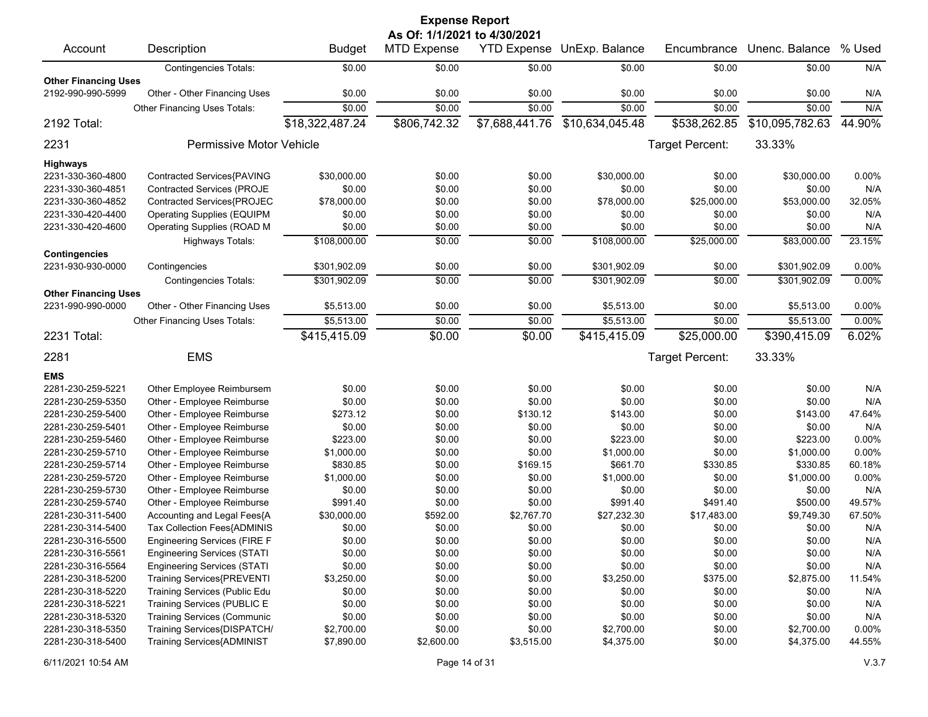|                             |                                     |                 | <b>Expense Report</b>        |                |                            |                 |                 |          |
|-----------------------------|-------------------------------------|-----------------|------------------------------|----------------|----------------------------|-----------------|-----------------|----------|
|                             |                                     |                 | As Of: 1/1/2021 to 4/30/2021 |                |                            |                 |                 |          |
| Account                     | Description                         | <b>Budget</b>   | <b>MTD Expense</b>           |                | YTD Expense UnExp. Balance | Encumbrance     | Unenc. Balance  | % Used   |
|                             | <b>Contingencies Totals:</b>        | \$0.00          | \$0.00                       | \$0.00         | \$0.00                     | \$0.00          | \$0.00          | N/A      |
| <b>Other Financing Uses</b> |                                     |                 |                              |                |                            |                 |                 |          |
| 2192-990-990-5999           | Other - Other Financing Uses        | \$0.00          | \$0.00                       | \$0.00         | \$0.00                     | \$0.00          | \$0.00          | N/A      |
|                             | <b>Other Financing Uses Totals:</b> | \$0.00          | \$0.00                       | \$0.00         | \$0.00                     | \$0.00          | \$0.00          | N/A      |
| 2192 Total:                 |                                     | \$18,322,487.24 | \$806,742.32                 | \$7,688,441.76 | \$10,634,045.48            | \$538,262.85    | \$10,095,782.63 | 44.90%   |
| 2231                        | Permissive Motor Vehicle            |                 |                              |                |                            | Target Percent: | 33.33%          |          |
| <b>Highways</b>             |                                     |                 |                              |                |                            |                 |                 |          |
| 2231-330-360-4800           | Contracted Services{PAVING          | \$30,000.00     | \$0.00                       | \$0.00         | \$30,000.00                | \$0.00          | \$30,000.00     | 0.00%    |
| 2231-330-360-4851           | <b>Contracted Services (PROJE</b>   | \$0.00          | \$0.00                       | \$0.00         | \$0.00                     | \$0.00          | \$0.00          | N/A      |
| 2231-330-360-4852           | Contracted Services{PROJEC          | \$78,000.00     | \$0.00                       | \$0.00         | \$78,000.00                | \$25,000.00     | \$53,000.00     | 32.05%   |
| 2231-330-420-4400           | <b>Operating Supplies (EQUIPM</b>   | \$0.00          | \$0.00                       | \$0.00         | \$0.00                     | \$0.00          | \$0.00          | N/A      |
| 2231-330-420-4600           | Operating Supplies (ROAD M          | \$0.00          | \$0.00                       | \$0.00         | \$0.00                     | \$0.00          | \$0.00          | N/A      |
|                             | <b>Highways Totals:</b>             | \$108,000.00    | \$0.00                       | \$0.00         | \$108,000.00               | \$25,000.00     | \$83,000.00     | 23.15%   |
| <b>Contingencies</b>        |                                     |                 |                              |                |                            |                 |                 |          |
| 2231-930-930-0000           | Contingencies                       | \$301,902.09    | \$0.00                       | \$0.00         | \$301,902.09               | \$0.00          | \$301,902.09    | 0.00%    |
|                             | <b>Contingencies Totals:</b>        | \$301,902.09    | \$0.00                       | \$0.00         | \$301,902.09               | \$0.00          | \$301,902.09    | 0.00%    |
| <b>Other Financing Uses</b> |                                     |                 |                              |                |                            |                 |                 |          |
| 2231-990-990-0000           | Other - Other Financing Uses        | \$5,513.00      | \$0.00                       | \$0.00         | \$5,513.00                 | \$0.00          | \$5,513.00      | 0.00%    |
|                             | Other Financing Uses Totals:        | \$5,513.00      | \$0.00                       | \$0.00         | \$5,513.00                 | \$0.00          | \$5,513.00      | 0.00%    |
| 2231 Total:                 |                                     | \$415,415.09    | \$0.00                       | \$0.00         | \$415,415.09               | \$25,000.00     | \$390,415.09    | 6.02%    |
| 2281                        | <b>EMS</b>                          |                 |                              |                |                            | Target Percent: | 33.33%          |          |
| <b>EMS</b>                  |                                     |                 |                              |                |                            |                 |                 |          |
| 2281-230-259-5221           | Other Employee Reimbursem           | \$0.00          | \$0.00                       | \$0.00         | \$0.00                     | \$0.00          | \$0.00          | N/A      |
| 2281-230-259-5350           | Other - Employee Reimburse          | \$0.00          | \$0.00                       | \$0.00         | \$0.00                     | \$0.00          | \$0.00          | N/A      |
| 2281-230-259-5400           | Other - Employee Reimburse          | \$273.12        | \$0.00                       | \$130.12       | \$143.00                   | \$0.00          | \$143.00        | 47.64%   |
| 2281-230-259-5401           | Other - Employee Reimburse          | \$0.00          | \$0.00                       | \$0.00         | \$0.00                     | \$0.00          | \$0.00          | N/A      |
| 2281-230-259-5460           | Other - Employee Reimburse          | \$223.00        | \$0.00                       | \$0.00         | \$223.00                   | \$0.00          | \$223.00        | 0.00%    |
| 2281-230-259-5710           | Other - Employee Reimburse          | \$1,000.00      | \$0.00                       | \$0.00         | \$1,000.00                 | \$0.00          | \$1,000.00      | 0.00%    |
| 2281-230-259-5714           | Other - Employee Reimburse          | \$830.85        | \$0.00                       | \$169.15       | \$661.70                   | \$330.85        | \$330.85        | 60.18%   |
| 2281-230-259-5720           | Other - Employee Reimburse          | \$1,000.00      | \$0.00                       | \$0.00         | \$1,000.00                 | \$0.00          | \$1,000.00      | 0.00%    |
| 2281-230-259-5730           | Other - Employee Reimburse          | \$0.00          | \$0.00                       | \$0.00         | \$0.00                     | \$0.00          | \$0.00          | N/A      |
| 2281-230-259-5740           | Other - Employee Reimburse          | \$991.40        | \$0.00                       | \$0.00         | \$991.40                   | \$491.40        | \$500.00        | 49.57%   |
| 2281-230-311-5400           | Accounting and Legal Fees{A         | \$30,000.00     | \$592.00                     | \$2,767.70     | \$27,232.30                | \$17,483.00     | \$9,749.30      | 67.50%   |
| 2281-230-314-5400           | Tax Collection Fees{ADMINIS         | \$0.00          | \$0.00                       | \$0.00         | \$0.00                     | \$0.00          | \$0.00          | N/A      |
| 2281-230-316-5500           | <b>Engineering Services (FIRE F</b> | \$0.00          | \$0.00                       | \$0.00         | \$0.00                     | \$0.00          | \$0.00          | N/A      |
| 2281-230-316-5561           | <b>Engineering Services (STATI</b>  | \$0.00          | \$0.00                       | \$0.00         | \$0.00                     | \$0.00          | \$0.00          | N/A      |
| 2281-230-316-5564           | <b>Engineering Services (STATI</b>  | \$0.00          | \$0.00                       | \$0.00         | \$0.00                     | \$0.00          | \$0.00          | N/A      |
| 2281-230-318-5200           | <b>Training Services{PREVENTI</b>   | \$3,250.00      | \$0.00                       | \$0.00         | \$3,250.00                 | \$375.00        | \$2,875.00      | 11.54%   |
| 2281-230-318-5220           | Training Services (Public Edu       | \$0.00          | \$0.00                       | \$0.00         | \$0.00                     | \$0.00          | \$0.00          | N/A      |
| 2281-230-318-5221           | Training Services (PUBLIC E         | \$0.00          | \$0.00                       | \$0.00         | \$0.00                     | \$0.00          | \$0.00          | N/A      |
| 2281-230-318-5320           | <b>Training Services (Communic</b>  | \$0.00          | \$0.00                       | \$0.00         | \$0.00                     | \$0.00          | \$0.00          | N/A      |
| 2281-230-318-5350           | Training Services{DISPATCH/         | \$2,700.00      | \$0.00                       | \$0.00         | \$2,700.00                 | \$0.00          | \$2,700.00      | $0.00\%$ |
| 2281-230-318-5400           | <b>Training Services{ADMINIST</b>   | \$7,890.00      | \$2,600.00                   | \$3,515.00     | \$4,375.00                 | \$0.00          | \$4,375.00      | 44.55%   |
|                             |                                     |                 |                              |                |                            |                 |                 |          |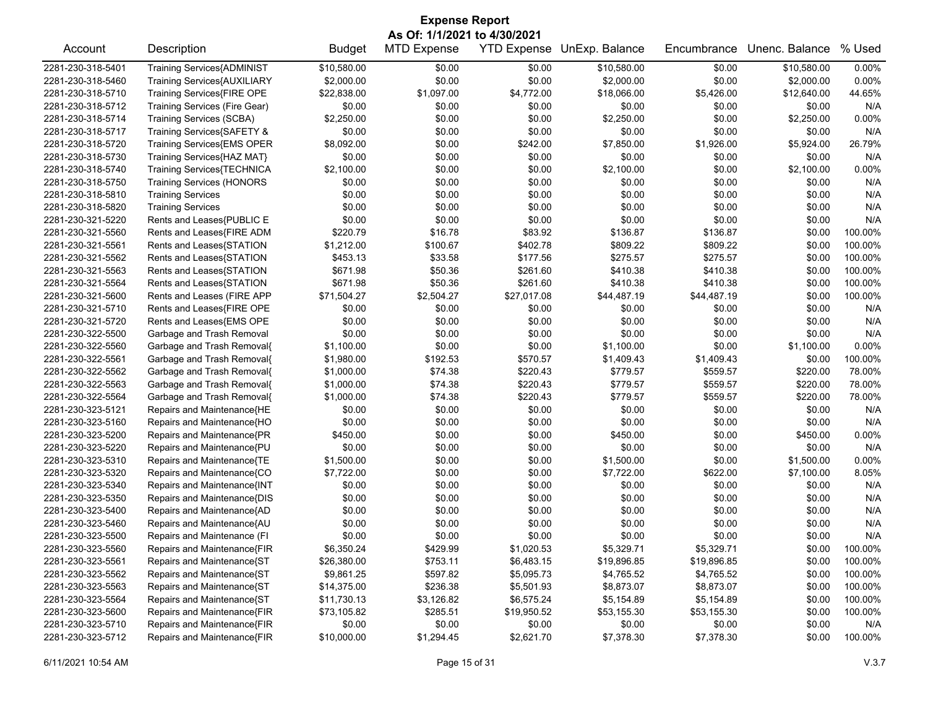| <b>Expense Report</b> |                                   |               |                    |             |                            |             |                |         |  |
|-----------------------|-----------------------------------|---------------|--------------------|-------------|----------------------------|-------------|----------------|---------|--|
|                       | As Of: 1/1/2021 to 4/30/2021      |               |                    |             |                            |             |                |         |  |
| Account               | Description                       | <b>Budget</b> | <b>MTD Expense</b> |             | YTD Expense UnExp. Balance | Encumbrance | Unenc. Balance | % Used  |  |
| 2281-230-318-5401     | <b>Training Services{ADMINIST</b> | \$10,580.00   | \$0.00             | \$0.00      | \$10,580.00                | \$0.00      | \$10,580.00    | 0.00%   |  |
| 2281-230-318-5460     | Training Services{AUXILIARY       | \$2,000.00    | \$0.00             | \$0.00      | \$2,000.00                 | \$0.00      | \$2,000.00     | 0.00%   |  |
| 2281-230-318-5710     | Training Services{FIRE OPE        | \$22,838.00   | \$1,097.00         | \$4,772.00  | \$18,066.00                | \$5,426.00  | \$12,640.00    | 44.65%  |  |
| 2281-230-318-5712     | Training Services (Fire Gear)     | \$0.00        | \$0.00             | \$0.00      | \$0.00                     | \$0.00      | \$0.00         | N/A     |  |
| 2281-230-318-5714     | <b>Training Services (SCBA)</b>   | \$2,250.00    | \$0.00             | \$0.00      | \$2,250.00                 | \$0.00      | \$2,250.00     | 0.00%   |  |
| 2281-230-318-5717     | Training Services{SAFETY &        | \$0.00        | \$0.00             | \$0.00      | \$0.00                     | \$0.00      | \$0.00         | N/A     |  |
| 2281-230-318-5720     | Training Services{EMS OPER        | \$8,092.00    | \$0.00             | \$242.00    | \$7,850.00                 | \$1,926.00  | \$5,924.00     | 26.79%  |  |
| 2281-230-318-5730     | Training Services{HAZ MAT}        | \$0.00        | \$0.00             | \$0.00      | \$0.00                     | \$0.00      | \$0.00         | N/A     |  |
| 2281-230-318-5740     | Training Services{TECHNICA        | \$2,100.00    | \$0.00             | \$0.00      | \$2,100.00                 | \$0.00      | \$2,100.00     | 0.00%   |  |
| 2281-230-318-5750     | <b>Training Services (HONORS</b>  | \$0.00        | \$0.00             | \$0.00      | \$0.00                     | \$0.00      | \$0.00         | N/A     |  |
| 2281-230-318-5810     | <b>Training Services</b>          | \$0.00        | \$0.00             | \$0.00      | \$0.00                     | \$0.00      | \$0.00         | N/A     |  |
| 2281-230-318-5820     | <b>Training Services</b>          | \$0.00        | \$0.00             | \$0.00      | \$0.00                     | \$0.00      | \$0.00         | N/A     |  |
| 2281-230-321-5220     | Rents and Leases{PUBLIC E         | \$0.00        | \$0.00             | \$0.00      | \$0.00                     | \$0.00      | \$0.00         | N/A     |  |
| 2281-230-321-5560     | Rents and Leases{FIRE ADM         | \$220.79      | \$16.78            | \$83.92     | \$136.87                   | \$136.87    | \$0.00         | 100.00% |  |
| 2281-230-321-5561     | Rents and Leases{STATION          | \$1,212.00    | \$100.67           | \$402.78    | \$809.22                   | \$809.22    | \$0.00         | 100.00% |  |
| 2281-230-321-5562     | Rents and Leases{STATION          | \$453.13      | \$33.58            | \$177.56    | \$275.57                   | \$275.57    | \$0.00         | 100.00% |  |
| 2281-230-321-5563     | Rents and Leases{STATION          | \$671.98      | \$50.36            | \$261.60    | \$410.38                   | \$410.38    | \$0.00         | 100.00% |  |
| 2281-230-321-5564     | Rents and Leases{STATION          | \$671.98      | \$50.36            | \$261.60    | \$410.38                   | \$410.38    | \$0.00         | 100.00% |  |
| 2281-230-321-5600     | Rents and Leases (FIRE APP        | \$71,504.27   | \$2,504.27         | \$27,017.08 | \$44,487.19                | \$44,487.19 | \$0.00         | 100.00% |  |
| 2281-230-321-5710     | Rents and Leases{FIRE OPE         | \$0.00        | \$0.00             | \$0.00      | \$0.00                     | \$0.00      | \$0.00         | N/A     |  |
| 2281-230-321-5720     | Rents and Leases{EMS OPE          | \$0.00        | \$0.00             | \$0.00      | \$0.00                     | \$0.00      | \$0.00         | N/A     |  |
| 2281-230-322-5500     | Garbage and Trash Removal         | \$0.00        | \$0.00             | \$0.00      | \$0.00                     | \$0.00      | \$0.00         | N/A     |  |
| 2281-230-322-5560     | Garbage and Trash Removal{        | \$1,100.00    | \$0.00             | \$0.00      | \$1,100.00                 | \$0.00      | \$1,100.00     | 0.00%   |  |
| 2281-230-322-5561     | Garbage and Trash Removal{        | \$1,980.00    | \$192.53           | \$570.57    | \$1,409.43                 | \$1,409.43  | \$0.00         | 100.00% |  |
| 2281-230-322-5562     | Garbage and Trash Removal{        | \$1,000.00    | \$74.38            | \$220.43    | \$779.57                   | \$559.57    | \$220.00       | 78.00%  |  |
| 2281-230-322-5563     | Garbage and Trash Removal{        | \$1,000.00    | \$74.38            | \$220.43    | \$779.57                   | \$559.57    | \$220.00       | 78.00%  |  |
| 2281-230-322-5564     | Garbage and Trash Removal{        | \$1,000.00    | \$74.38            | \$220.43    | \$779.57                   | \$559.57    | \$220.00       | 78.00%  |  |
| 2281-230-323-5121     | Repairs and Maintenance{HE        | \$0.00        | \$0.00             | \$0.00      | \$0.00                     | \$0.00      | \$0.00         | N/A     |  |
| 2281-230-323-5160     | Repairs and Maintenance{HO        | \$0.00        | \$0.00             | \$0.00      | \$0.00                     | \$0.00      | \$0.00         | N/A     |  |
| 2281-230-323-5200     | Repairs and Maintenance{PR        | \$450.00      | \$0.00             | \$0.00      | \$450.00                   | \$0.00      | \$450.00       | 0.00%   |  |
| 2281-230-323-5220     | Repairs and Maintenance{PU        | \$0.00        | \$0.00             | \$0.00      | \$0.00                     | \$0.00      | \$0.00         | N/A     |  |
| 2281-230-323-5310     | Repairs and Maintenance{TE        | \$1,500.00    | \$0.00             | \$0.00      | \$1,500.00                 | \$0.00      | \$1,500.00     | 0.00%   |  |
| 2281-230-323-5320     | Repairs and Maintenance{CO        | \$7,722.00    | \$0.00             | \$0.00      | \$7,722.00                 | \$622.00    | \$7,100.00     | 8.05%   |  |
| 2281-230-323-5340     | Repairs and Maintenance{INT       | \$0.00        | \$0.00             | \$0.00      | \$0.00                     | \$0.00      | \$0.00         | N/A     |  |
| 2281-230-323-5350     | Repairs and Maintenance{DIS       | \$0.00        | \$0.00             | \$0.00      | \$0.00                     | \$0.00      | \$0.00         | N/A     |  |
| 2281-230-323-5400     | Repairs and Maintenance{AD        | \$0.00        | \$0.00             | \$0.00      | \$0.00                     | \$0.00      | \$0.00         | N/A     |  |
| 2281-230-323-5460     | Repairs and Maintenance{AU        | \$0.00        | \$0.00             | \$0.00      | \$0.00                     | \$0.00      | \$0.00         | N/A     |  |
| 2281-230-323-5500     | Repairs and Maintenance (FI       | \$0.00        | \$0.00             | \$0.00      | \$0.00                     | \$0.00      | \$0.00         | N/A     |  |
| 2281-230-323-5560     | Repairs and Maintenance{FIR       | \$6,350.24    | \$429.99           | \$1,020.53  | \$5,329.71                 | \$5,329.71  | \$0.00         | 100.00% |  |
| 2281-230-323-5561     | Repairs and Maintenance{ST        | \$26,380.00   | \$753.11           | \$6,483.15  | \$19,896.85                | \$19,896.85 | \$0.00         | 100.00% |  |
| 2281-230-323-5562     | Repairs and Maintenance{ST        | \$9,861.25    | \$597.82           | \$5,095.73  | \$4,765.52                 | \$4,765.52  | \$0.00         | 100.00% |  |
| 2281-230-323-5563     | Repairs and Maintenance{ST        | \$14,375.00   | \$236.38           | \$5,501.93  | \$8,873.07                 | \$8,873.07  | \$0.00         | 100.00% |  |
| 2281-230-323-5564     | Repairs and Maintenance{ST        | \$11,730.13   | \$3,126.82         | \$6,575.24  | \$5,154.89                 | \$5,154.89  | \$0.00         | 100.00% |  |
| 2281-230-323-5600     | Repairs and Maintenance{FIR       | \$73,105.82   | \$285.51           | \$19,950.52 | \$53,155.30                | \$53,155.30 | \$0.00         | 100.00% |  |
| 2281-230-323-5710     | Repairs and Maintenance{FIR       | \$0.00        | \$0.00             | \$0.00      | \$0.00                     | \$0.00      | \$0.00         | N/A     |  |
| 2281-230-323-5712     | Repairs and Maintenance{FIR       | \$10,000.00   | \$1,294.45         | \$2,621.70  | \$7,378.30                 | \$7,378.30  | \$0.00         | 100.00% |  |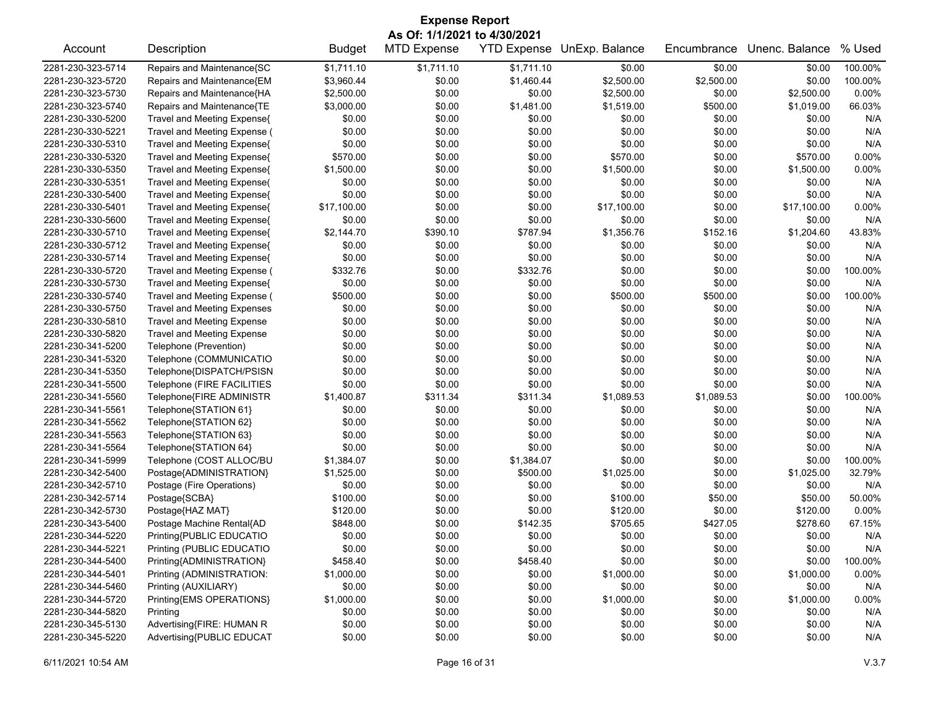|                   | <b>Expense Report</b>              |               |                    |            |                            |             |                |          |  |
|-------------------|------------------------------------|---------------|--------------------|------------|----------------------------|-------------|----------------|----------|--|
|                   | As Of: 1/1/2021 to 4/30/2021       |               |                    |            |                            |             |                |          |  |
| Account           | Description                        | <b>Budget</b> | <b>MTD Expense</b> |            | YTD Expense UnExp. Balance | Encumbrance | Unenc. Balance | % Used   |  |
| 2281-230-323-5714 | Repairs and Maintenance{SC         | \$1,711.10    | \$1,711.10         | \$1,711.10 | \$0.00                     | \$0.00      | \$0.00         | 100.00%  |  |
| 2281-230-323-5720 | Repairs and Maintenance{EM         | \$3,960.44    | \$0.00             | \$1,460.44 | \$2,500.00                 | \$2,500.00  | \$0.00         | 100.00%  |  |
| 2281-230-323-5730 | Repairs and Maintenance{HA         | \$2,500.00    | \$0.00             | \$0.00     | \$2,500.00                 | \$0.00      | \$2,500.00     | 0.00%    |  |
| 2281-230-323-5740 | Repairs and Maintenance{TE         | \$3,000.00    | \$0.00             | \$1,481.00 | \$1,519.00                 | \$500.00    | \$1,019.00     | 66.03%   |  |
| 2281-230-330-5200 | Travel and Meeting Expense{        | \$0.00        | \$0.00             | \$0.00     | \$0.00                     | \$0.00      | \$0.00         | N/A      |  |
| 2281-230-330-5221 | Travel and Meeting Expense (       | \$0.00        | \$0.00             | \$0.00     | \$0.00                     | \$0.00      | \$0.00         | N/A      |  |
| 2281-230-330-5310 | Travel and Meeting Expense{        | \$0.00        | \$0.00             | \$0.00     | \$0.00                     | \$0.00      | \$0.00         | N/A      |  |
| 2281-230-330-5320 | Travel and Meeting Expense{        | \$570.00      | \$0.00             | \$0.00     | \$570.00                   | \$0.00      | \$570.00       | 0.00%    |  |
| 2281-230-330-5350 | Travel and Meeting Expense{        | \$1,500.00    | \$0.00             | \$0.00     | \$1,500.00                 | \$0.00      | \$1,500.00     | 0.00%    |  |
| 2281-230-330-5351 | Travel and Meeting Expense(        | \$0.00        | \$0.00             | \$0.00     | \$0.00                     | \$0.00      | \$0.00         | N/A      |  |
| 2281-230-330-5400 | Travel and Meeting Expense{        | \$0.00        | \$0.00             | \$0.00     | \$0.00                     | \$0.00      | \$0.00         | N/A      |  |
| 2281-230-330-5401 | Travel and Meeting Expense{        | \$17,100.00   | \$0.00             | \$0.00     | \$17,100.00                | \$0.00      | \$17,100.00    | 0.00%    |  |
| 2281-230-330-5600 | Travel and Meeting Expense{        | \$0.00        | \$0.00             | \$0.00     | \$0.00                     | \$0.00      | \$0.00         | N/A      |  |
| 2281-230-330-5710 | Travel and Meeting Expense{        | \$2,144.70    | \$390.10           | \$787.94   | \$1,356.76                 | \$152.16    | \$1,204.60     | 43.83%   |  |
| 2281-230-330-5712 | Travel and Meeting Expense{        | \$0.00        | \$0.00             | \$0.00     | \$0.00                     | \$0.00      | \$0.00         | N/A      |  |
| 2281-230-330-5714 | Travel and Meeting Expense{        | \$0.00        | \$0.00             | \$0.00     | \$0.00                     | \$0.00      | \$0.00         | N/A      |  |
| 2281-230-330-5720 | Travel and Meeting Expense (       | \$332.76      | \$0.00             | \$332.76   | \$0.00                     | \$0.00      | \$0.00         | 100.00%  |  |
| 2281-230-330-5730 | Travel and Meeting Expense{        | \$0.00        | \$0.00             | \$0.00     | \$0.00                     | \$0.00      | \$0.00         | N/A      |  |
| 2281-230-330-5740 | Travel and Meeting Expense (       | \$500.00      | \$0.00             | \$0.00     | \$500.00                   | \$500.00    | \$0.00         | 100.00%  |  |
| 2281-230-330-5750 | <b>Travel and Meeting Expenses</b> | \$0.00        | \$0.00             | \$0.00     | \$0.00                     | \$0.00      | \$0.00         | N/A      |  |
| 2281-230-330-5810 | <b>Travel and Meeting Expense</b>  | \$0.00        | \$0.00             | \$0.00     | \$0.00                     | \$0.00      | \$0.00         | N/A      |  |
| 2281-230-330-5820 | <b>Travel and Meeting Expense</b>  | \$0.00        | \$0.00             | \$0.00     | \$0.00                     | \$0.00      | \$0.00         | N/A      |  |
| 2281-230-341-5200 | Telephone (Prevention)             | \$0.00        | \$0.00             | \$0.00     | \$0.00                     | \$0.00      | \$0.00         | N/A      |  |
| 2281-230-341-5320 | Telephone (COMMUNICATIO            | \$0.00        | \$0.00             | \$0.00     | \$0.00                     | \$0.00      | \$0.00         | N/A      |  |
| 2281-230-341-5350 | Telephone{DISPATCH/PSISN           | \$0.00        | \$0.00             | \$0.00     | \$0.00                     | \$0.00      | \$0.00         | N/A      |  |
| 2281-230-341-5500 | Telephone (FIRE FACILITIES         | \$0.00        | \$0.00             | \$0.00     | \$0.00                     | \$0.00      | \$0.00         | N/A      |  |
| 2281-230-341-5560 | Telephone{FIRE ADMINISTR           | \$1,400.87    | \$311.34           | \$311.34   | \$1,089.53                 | \$1,089.53  | \$0.00         | 100.00%  |  |
| 2281-230-341-5561 | Telephone{STATION 61}              | \$0.00        | \$0.00             | \$0.00     | \$0.00                     | \$0.00      | \$0.00         | N/A      |  |
| 2281-230-341-5562 | Telephone{STATION 62}              | \$0.00        | \$0.00             | \$0.00     | \$0.00                     | \$0.00      | \$0.00         | N/A      |  |
| 2281-230-341-5563 | Telephone{STATION 63}              | \$0.00        | \$0.00             | \$0.00     | \$0.00                     | \$0.00      | \$0.00         | N/A      |  |
| 2281-230-341-5564 | Telephone{STATION 64}              | \$0.00        | \$0.00             | \$0.00     | \$0.00                     | \$0.00      | \$0.00         | N/A      |  |
| 2281-230-341-5999 | Telephone (COST ALLOC/BU           | \$1,384.07    | \$0.00             | \$1,384.07 | \$0.00                     | \$0.00      | \$0.00         | 100.00%  |  |
| 2281-230-342-5400 | Postage{ADMINISTRATION}            | \$1,525.00    | \$0.00             | \$500.00   | \$1,025.00                 | \$0.00      | \$1,025.00     | 32.79%   |  |
| 2281-230-342-5710 | Postage (Fire Operations)          | \$0.00        | \$0.00             | \$0.00     | \$0.00                     | \$0.00      | \$0.00         | N/A      |  |
| 2281-230-342-5714 | Postage{SCBA}                      | \$100.00      | \$0.00             | \$0.00     | \$100.00                   | \$50.00     | \$50.00        | 50.00%   |  |
| 2281-230-342-5730 | Postage{HAZ MAT}                   | \$120.00      | \$0.00             | \$0.00     | \$120.00                   | \$0.00      | \$120.00       | 0.00%    |  |
| 2281-230-343-5400 | Postage Machine Rental{AD          | \$848.00      | \$0.00             | \$142.35   | \$705.65                   | \$427.05    | \$278.60       | 67.15%   |  |
| 2281-230-344-5220 | Printing{PUBLIC EDUCATIO           | \$0.00        | \$0.00             | \$0.00     | \$0.00                     | \$0.00      | \$0.00         | N/A      |  |
| 2281-230-344-5221 | Printing (PUBLIC EDUCATIO          | \$0.00        | \$0.00             | \$0.00     | \$0.00                     | \$0.00      | \$0.00         | N/A      |  |
| 2281-230-344-5400 | Printing{ADMINISTRATION}           | \$458.40      | \$0.00             | \$458.40   | \$0.00                     | \$0.00      | \$0.00         | 100.00%  |  |
| 2281-230-344-5401 | Printing (ADMINISTRATION:          | \$1,000.00    | \$0.00             | \$0.00     | \$1,000.00                 | \$0.00      | \$1,000.00     | 0.00%    |  |
| 2281-230-344-5460 | Printing (AUXILIARY)               | \$0.00        | \$0.00             | \$0.00     | \$0.00                     | \$0.00      | \$0.00         | N/A      |  |
| 2281-230-344-5720 | Printing{EMS OPERATIONS}           | \$1,000.00    | \$0.00             | \$0.00     | \$1,000.00                 | \$0.00      | \$1,000.00     | $0.00\%$ |  |
| 2281-230-344-5820 | Printing                           | \$0.00        | \$0.00             | \$0.00     | \$0.00                     | \$0.00      | \$0.00         | N/A      |  |
| 2281-230-345-5130 | Advertising{FIRE: HUMAN R          | \$0.00        | \$0.00             | \$0.00     | \$0.00                     | \$0.00      | \$0.00         | N/A      |  |
| 2281-230-345-5220 | Advertising{PUBLIC EDUCAT          | \$0.00        | \$0.00             | \$0.00     | \$0.00                     | \$0.00      | \$0.00         | N/A      |  |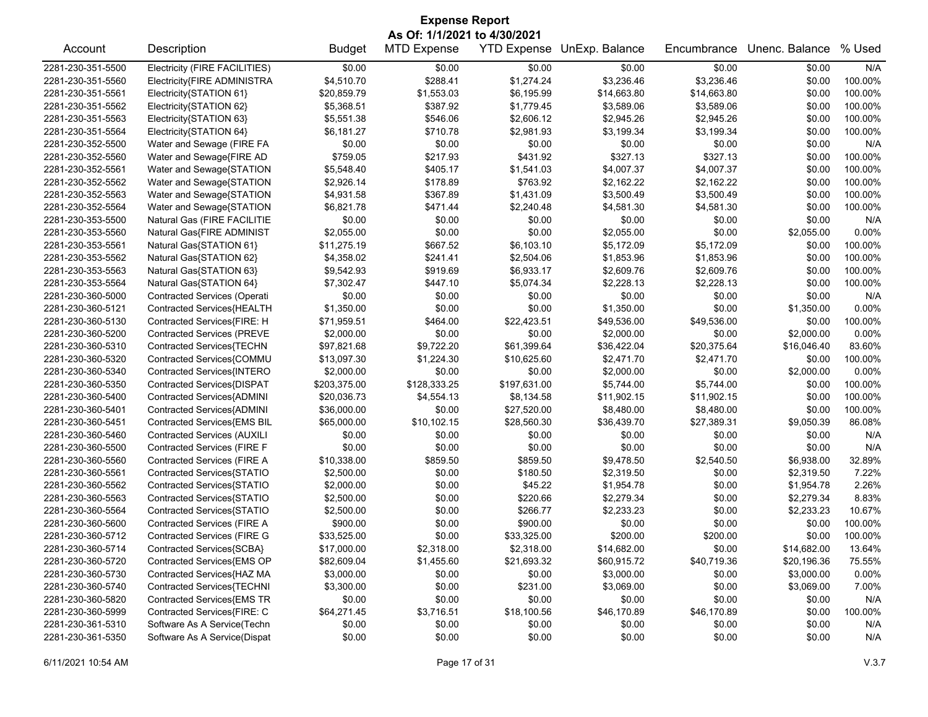|                   |                                                          |               | <b>Expense Report</b> |              |                            |             |                |         |  |
|-------------------|----------------------------------------------------------|---------------|-----------------------|--------------|----------------------------|-------------|----------------|---------|--|
|                   | As Of: 1/1/2021 to 4/30/2021                             |               |                       |              |                            |             |                |         |  |
| Account           | Description                                              | <b>Budget</b> | <b>MTD Expense</b>    |              | YTD Expense UnExp. Balance | Encumbrance | Unenc. Balance | % Used  |  |
| 2281-230-351-5500 | Electricity (FIRE FACILITIES)                            | \$0.00        | \$0.00                | \$0.00       | \$0.00                     | \$0.00      | \$0.00         | N/A     |  |
| 2281-230-351-5560 | Electricity{FIRE ADMINISTRA                              | \$4,510.70    | \$288.41              | \$1,274.24   | \$3,236.46                 | \$3,236.46  | \$0.00         | 100.00% |  |
| 2281-230-351-5561 | Electricity{STATION 61}                                  | \$20,859.79   | \$1,553.03            | \$6,195.99   | \$14,663.80                | \$14,663.80 | \$0.00         | 100.00% |  |
| 2281-230-351-5562 | Electricity{STATION 62}                                  | \$5,368.51    | \$387.92              | \$1,779.45   | \$3,589.06                 | \$3,589.06  | \$0.00         | 100.00% |  |
| 2281-230-351-5563 | Electricity{STATION 63}                                  | \$5,551.38    | \$546.06              | \$2,606.12   | \$2,945.26                 | \$2,945.26  | \$0.00         | 100.00% |  |
| 2281-230-351-5564 | Electricity{STATION 64}                                  | \$6,181.27    | \$710.78              | \$2,981.93   | \$3,199.34                 | \$3,199.34  | \$0.00         | 100.00% |  |
| 2281-230-352-5500 | Water and Sewage (FIRE FA                                | \$0.00        | \$0.00                | \$0.00       | \$0.00                     | \$0.00      | \$0.00         | N/A     |  |
| 2281-230-352-5560 | Water and Sewage{FIRE AD                                 | \$759.05      | \$217.93              | \$431.92     | \$327.13                   | \$327.13    | \$0.00         | 100.00% |  |
| 2281-230-352-5561 | Water and Sewage{STATION                                 | \$5,548.40    | \$405.17              | \$1,541.03   | \$4,007.37                 | \$4,007.37  | \$0.00         | 100.00% |  |
| 2281-230-352-5562 | Water and Sewage{STATION                                 | \$2,926.14    | \$178.89              | \$763.92     | \$2,162.22                 | \$2,162.22  | \$0.00         | 100.00% |  |
| 2281-230-352-5563 | Water and Sewage{STATION                                 | \$4,931.58    | \$367.89              | \$1,431.09   | \$3,500.49                 | \$3,500.49  | \$0.00         | 100.00% |  |
| 2281-230-352-5564 | Water and Sewage{STATION                                 | \$6,821.78    | \$471.44              | \$2,240.48   | \$4,581.30                 | \$4,581.30  | \$0.00         | 100.00% |  |
| 2281-230-353-5500 | Natural Gas (FIRE FACILITIE                              | \$0.00        | \$0.00                | \$0.00       | \$0.00                     | \$0.00      | \$0.00         | N/A     |  |
| 2281-230-353-5560 | Natural Gas{FIRE ADMINIST                                | \$2,055.00    | \$0.00                | \$0.00       | \$2,055.00                 | \$0.00      | \$2,055.00     | 0.00%   |  |
| 2281-230-353-5561 | Natural Gas{STATION 61}                                  | \$11,275.19   | \$667.52              | \$6,103.10   | \$5,172.09                 | \$5,172.09  | \$0.00         | 100.00% |  |
| 2281-230-353-5562 | Natural Gas{STATION 62}                                  | \$4,358.02    | \$241.41              | \$2,504.06   | \$1,853.96                 | \$1,853.96  | \$0.00         | 100.00% |  |
| 2281-230-353-5563 | Natural Gas{STATION 63}                                  | \$9,542.93    | \$919.69              | \$6,933.17   | \$2,609.76                 | \$2,609.76  | \$0.00         | 100.00% |  |
| 2281-230-353-5564 | Natural Gas{STATION 64}                                  | \$7,302.47    | \$447.10              | \$5,074.34   | \$2,228.13                 | \$2,228.13  | \$0.00         | 100.00% |  |
| 2281-230-360-5000 | <b>Contracted Services (Operati</b>                      | \$0.00        | \$0.00                | \$0.00       | \$0.00                     | \$0.00      | \$0.00         | N/A     |  |
| 2281-230-360-5121 | Contracted Services{HEALTH                               | \$1,350.00    | \$0.00                | \$0.00       | \$1,350.00                 | \$0.00      | \$1,350.00     | 0.00%   |  |
| 2281-230-360-5130 | Contracted Services{FIRE: H                              | \$71,959.51   | \$464.00              | \$22,423.51  | \$49,536.00                | \$49,536.00 | \$0.00         | 100.00% |  |
| 2281-230-360-5200 | <b>Contracted Services (PREVE</b>                        | \$2,000.00    | \$0.00                | \$0.00       | \$2,000.00                 | \$0.00      | \$2,000.00     | 0.00%   |  |
| 2281-230-360-5310 | Contracted Services{TECHN                                | \$97,821.68   | \$9,722.20            | \$61,399.64  | \$36,422.04                | \$20,375.64 | \$16,046.40    | 83.60%  |  |
| 2281-230-360-5320 | Contracted Services{COMMU                                | \$13,097.30   | \$1,224.30            | \$10,625.60  | \$2,471.70                 | \$2,471.70  | \$0.00         | 100.00% |  |
| 2281-230-360-5340 | Contracted Services{INTERO                               | \$2,000.00    | \$0.00                | \$0.00       | \$2,000.00                 | \$0.00      | \$2,000.00     | 0.00%   |  |
| 2281-230-360-5350 | Contracted Services{DISPAT                               | \$203,375.00  | \$128,333.25          | \$197,631.00 | \$5,744.00                 | \$5,744.00  | \$0.00         | 100.00% |  |
| 2281-230-360-5400 | Contracted Services{ADMINI                               | \$20,036.73   | \$4,554.13            | \$8,134.58   | \$11,902.15                | \$11,902.15 | \$0.00         | 100.00% |  |
| 2281-230-360-5401 | Contracted Services{ADMINI                               | \$36,000.00   | \$0.00                | \$27,520.00  | \$8,480.00                 | \$8,480.00  | \$0.00         | 100.00% |  |
| 2281-230-360-5451 | Contracted Services{EMS BIL                              | \$65,000.00   | \$10,102.15           | \$28,560.30  | \$36,439.70                | \$27,389.31 | \$9,050.39     | 86.08%  |  |
| 2281-230-360-5460 | Contracted Services (AUXILI                              | \$0.00        | \$0.00                | \$0.00       | \$0.00                     | \$0.00      | \$0.00         | N/A     |  |
| 2281-230-360-5500 | Contracted Services (FIRE F                              | \$0.00        | \$0.00                | \$0.00       | \$0.00                     | \$0.00      | \$0.00         | N/A     |  |
| 2281-230-360-5560 | <b>Contracted Services (FIRE A</b>                       | \$10,338.00   | \$859.50              | \$859.50     | \$9,478.50                 | \$2,540.50  | \$6,938.00     | 32.89%  |  |
| 2281-230-360-5561 | Contracted Services{STATIO                               | \$2,500.00    | \$0.00                | \$180.50     | \$2,319.50                 | \$0.00      | \$2,319.50     | 7.22%   |  |
| 2281-230-360-5562 | Contracted Services{STATIO                               | \$2,000.00    | \$0.00                | \$45.22      | \$1,954.78                 | \$0.00      | \$1,954.78     | 2.26%   |  |
| 2281-230-360-5563 | Contracted Services{STATIO                               | \$2,500.00    | \$0.00                | \$220.66     | \$2,279.34                 | \$0.00      | \$2,279.34     | 8.83%   |  |
| 2281-230-360-5564 | Contracted Services{STATIO                               | \$2,500.00    | \$0.00                | \$266.77     | \$2,233.23                 | \$0.00      | \$2,233.23     | 10.67%  |  |
| 2281-230-360-5600 | <b>Contracted Services (FIRE A</b>                       | \$900.00      | \$0.00                | \$900.00     | \$0.00                     | \$0.00      | \$0.00         | 100.00% |  |
| 2281-230-360-5712 | <b>Contracted Services (FIRE G</b>                       | \$33,525.00   | \$0.00                | \$33,325.00  | \$200.00                   | \$200.00    | \$0.00         | 100.00% |  |
| 2281-230-360-5714 | Contracted Services{SCBA}                                | \$17,000.00   | \$2,318.00            | \$2,318.00   | \$14,682.00                | \$0.00      | \$14,682.00    | 13.64%  |  |
| 2281-230-360-5720 | Contracted Services{EMS OP                               | \$82,609.04   | \$1,455.60            | \$21,693.32  | \$60,915.72                | \$40,719.36 | \$20,196.36    | 75.55%  |  |
| 2281-230-360-5730 | Contracted Services{HAZ MA                               | \$3,000.00    | \$0.00                | \$0.00       | \$3,000.00                 | \$0.00      | \$3,000.00     | 0.00%   |  |
| 2281-230-360-5740 |                                                          |               |                       |              |                            |             |                |         |  |
| 2281-230-360-5820 | Contracted Services{TECHNI<br>Contracted Services{EMS TR | \$3,300.00    | \$0.00<br>\$0.00      | \$231.00     | \$3,069.00                 | \$0.00      | \$3,069.00     | 7.00%   |  |
|                   |                                                          | \$0.00        |                       | \$0.00       | \$0.00                     | \$0.00      | \$0.00         | N/A     |  |
| 2281-230-360-5999 | Contracted Services{FIRE: C                              | \$64,271.45   | \$3,716.51            | \$18,100.56  | \$46,170.89                | \$46,170.89 | \$0.00         | 100.00% |  |
| 2281-230-361-5310 | Software As A Service(Techn                              | \$0.00        | \$0.00                | \$0.00       | \$0.00                     | \$0.00      | \$0.00         | N/A     |  |
| 2281-230-361-5350 | Software As A Service(Dispat                             | \$0.00        | \$0.00                | \$0.00       | \$0.00                     | \$0.00      | \$0.00         | N/A     |  |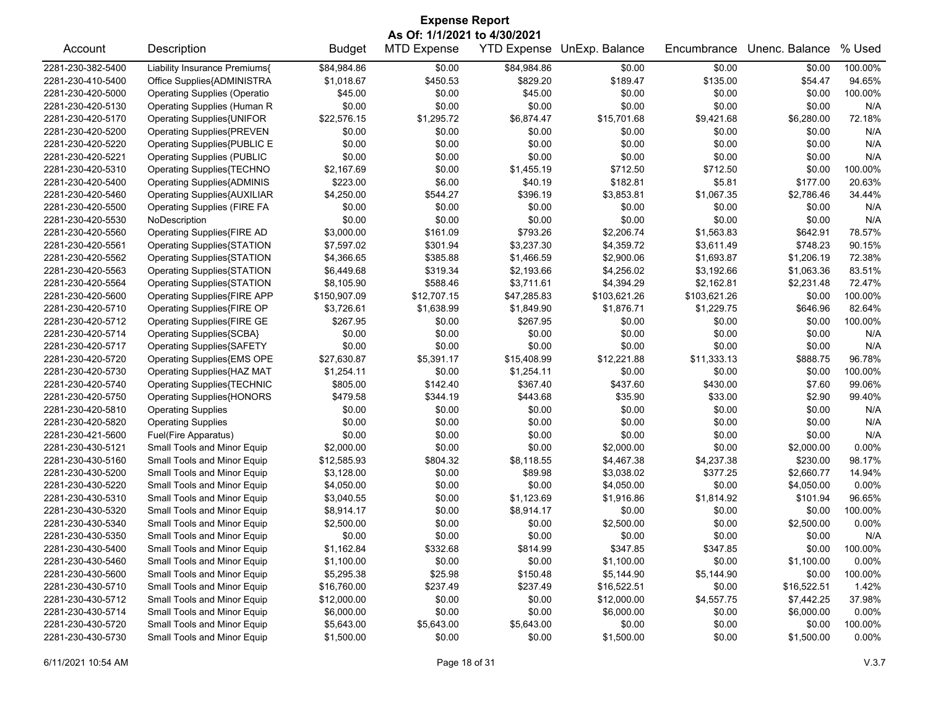|                   | <b>Expense Report</b>               |               |                    |             |                            |              |                |          |  |
|-------------------|-------------------------------------|---------------|--------------------|-------------|----------------------------|--------------|----------------|----------|--|
|                   | As Of: 1/1/2021 to 4/30/2021        |               |                    |             |                            |              |                |          |  |
| Account           | Description                         | <b>Budget</b> | <b>MTD Expense</b> |             | YTD Expense UnExp. Balance | Encumbrance  | Unenc. Balance | % Used   |  |
| 2281-230-382-5400 | Liability Insurance Premiums{       | \$84,984.86   | \$0.00             | \$84,984.86 | \$0.00                     | \$0.00       | \$0.00         | 100.00%  |  |
| 2281-230-410-5400 | Office Supplies{ADMINISTRA          | \$1,018.67    | \$450.53           | \$829.20    | \$189.47                   | \$135.00     | \$54.47        | 94.65%   |  |
| 2281-230-420-5000 | <b>Operating Supplies (Operatio</b> | \$45.00       | \$0.00             | \$45.00     | \$0.00                     | \$0.00       | \$0.00         | 100.00%  |  |
| 2281-230-420-5130 | Operating Supplies (Human R         | \$0.00        | \$0.00             | \$0.00      | \$0.00                     | \$0.00       | \$0.00         | N/A      |  |
| 2281-230-420-5170 | Operating Supplies{UNIFOR           | \$22,576.15   | \$1,295.72         | \$6,874.47  | \$15,701.68                | \$9,421.68   | \$6,280.00     | 72.18%   |  |
| 2281-230-420-5200 | <b>Operating Supplies{PREVEN</b>    | \$0.00        | \$0.00             | \$0.00      | \$0.00                     | \$0.00       | \$0.00         | N/A      |  |
| 2281-230-420-5220 | Operating Supplies{PUBLIC E         | \$0.00        | \$0.00             | \$0.00      | \$0.00                     | \$0.00       | \$0.00         | N/A      |  |
| 2281-230-420-5221 | <b>Operating Supplies (PUBLIC</b>   | \$0.00        | \$0.00             | \$0.00      | \$0.00                     | \$0.00       | \$0.00         | N/A      |  |
| 2281-230-420-5310 | Operating Supplies{TECHNO           | \$2,167.69    | \$0.00             | \$1,455.19  | \$712.50                   | \$712.50     | \$0.00         | 100.00%  |  |
| 2281-230-420-5400 | <b>Operating Supplies{ADMINIS</b>   | \$223.00      | \$6.00             | \$40.19     | \$182.81                   | \$5.81       | \$177.00       | 20.63%   |  |
| 2281-230-420-5460 | <b>Operating Supplies{AUXILIAR</b>  | \$4,250.00    | \$544.27           | \$396.19    | \$3,853.81                 | \$1,067.35   | \$2,786.46     | 34.44%   |  |
| 2281-230-420-5500 | <b>Operating Supplies (FIRE FA</b>  | \$0.00        | \$0.00             | \$0.00      | \$0.00                     | \$0.00       | \$0.00         | N/A      |  |
| 2281-230-420-5530 | NoDescription                       | \$0.00        | \$0.00             | \$0.00      | \$0.00                     | \$0.00       | \$0.00         | N/A      |  |
| 2281-230-420-5560 | Operating Supplies{FIRE AD          | \$3,000.00    | \$161.09           | \$793.26    | \$2,206.74                 | \$1,563.83   | \$642.91       | 78.57%   |  |
| 2281-230-420-5561 | <b>Operating Supplies{STATION</b>   | \$7,597.02    | \$301.94           | \$3,237.30  | \$4,359.72                 | \$3,611.49   | \$748.23       | 90.15%   |  |
| 2281-230-420-5562 | <b>Operating Supplies{STATION</b>   | \$4,366.65    | \$385.88           | \$1,466.59  | \$2,900.06                 | \$1,693.87   | \$1,206.19     | 72.38%   |  |
| 2281-230-420-5563 | Operating Supplies{STATION          | \$6,449.68    | \$319.34           | \$2,193.66  | \$4,256.02                 | \$3,192.66   | \$1,063.36     | 83.51%   |  |
| 2281-230-420-5564 | Operating Supplies{STATION          | \$8,105.90    | \$588.46           | \$3,711.61  | \$4,394.29                 | \$2,162.81   | \$2,231.48     | 72.47%   |  |
| 2281-230-420-5600 | <b>Operating Supplies{FIRE APP</b>  | \$150,907.09  | \$12,707.15        | \$47,285.83 | \$103,621.26               | \$103,621.26 | \$0.00         | 100.00%  |  |
| 2281-230-420-5710 | Operating Supplies{FIRE OP          | \$3,726.61    | \$1,638.99         | \$1,849.90  | \$1,876.71                 | \$1,229.75   | \$646.96       | 82.64%   |  |
| 2281-230-420-5712 | Operating Supplies{FIRE GE          | \$267.95      | \$0.00             | \$267.95    | \$0.00                     | \$0.00       | \$0.00         | 100.00%  |  |
| 2281-230-420-5714 | <b>Operating Supplies{SCBA}</b>     | \$0.00        | \$0.00             | \$0.00      | \$0.00                     | \$0.00       | \$0.00         | N/A      |  |
| 2281-230-420-5717 | <b>Operating Supplies{SAFETY</b>    | \$0.00        | \$0.00             | \$0.00      | \$0.00                     | \$0.00       | \$0.00         | N/A      |  |
| 2281-230-420-5720 | Operating Supplies{EMS OPE          | \$27,630.87   | \$5,391.17         | \$15,408.99 | \$12,221.88                | \$11,333.13  | \$888.75       | 96.78%   |  |
| 2281-230-420-5730 | Operating Supplies{HAZ MAT          | \$1,254.11    | \$0.00             | \$1,254.11  | \$0.00                     | \$0.00       | \$0.00         | 100.00%  |  |
| 2281-230-420-5740 | <b>Operating Supplies{TECHNIC</b>   | \$805.00      | \$142.40           | \$367.40    | \$437.60                   | \$430.00     | \$7.60         | 99.06%   |  |
| 2281-230-420-5750 | <b>Operating Supplies{HONORS</b>    | \$479.58      | \$344.19           | \$443.68    | \$35.90                    | \$33.00      | \$2.90         | 99.40%   |  |
| 2281-230-420-5810 | <b>Operating Supplies</b>           | \$0.00        | \$0.00             | \$0.00      | \$0.00                     | \$0.00       | \$0.00         | N/A      |  |
| 2281-230-420-5820 | <b>Operating Supplies</b>           | \$0.00        | \$0.00             | \$0.00      | \$0.00                     | \$0.00       | \$0.00         | N/A      |  |
| 2281-230-421-5600 | Fuel(Fire Apparatus)                | \$0.00        | \$0.00             | \$0.00      | \$0.00                     | \$0.00       | \$0.00         | N/A      |  |
| 2281-230-430-5121 | Small Tools and Minor Equip         | \$2,000.00    | \$0.00             | \$0.00      | \$2,000.00                 | \$0.00       | \$2,000.00     | 0.00%    |  |
| 2281-230-430-5160 | Small Tools and Minor Equip         | \$12,585.93   | \$804.32           | \$8,118.55  | \$4,467.38                 | \$4,237.38   | \$230.00       | 98.17%   |  |
| 2281-230-430-5200 | Small Tools and Minor Equip         | \$3,128.00    | \$0.00             | \$89.98     | \$3,038.02                 | \$377.25     | \$2,660.77     | 14.94%   |  |
| 2281-230-430-5220 | Small Tools and Minor Equip         | \$4,050.00    | \$0.00             | \$0.00      | \$4,050.00                 | \$0.00       | \$4,050.00     | $0.00\%$ |  |
| 2281-230-430-5310 | Small Tools and Minor Equip         | \$3,040.55    | \$0.00             | \$1,123.69  | \$1,916.86                 | \$1,814.92   | \$101.94       | 96.65%   |  |
| 2281-230-430-5320 | Small Tools and Minor Equip         | \$8,914.17    | \$0.00             | \$8,914.17  | \$0.00                     | \$0.00       | \$0.00         | 100.00%  |  |
| 2281-230-430-5340 | Small Tools and Minor Equip         | \$2,500.00    | \$0.00             | \$0.00      | \$2,500.00                 | \$0.00       | \$2,500.00     | 0.00%    |  |
| 2281-230-430-5350 | Small Tools and Minor Equip         | \$0.00        | \$0.00             | \$0.00      | \$0.00                     | \$0.00       | \$0.00         | N/A      |  |
| 2281-230-430-5400 | Small Tools and Minor Equip         | \$1,162.84    | \$332.68           | \$814.99    | \$347.85                   | \$347.85     | \$0.00         | 100.00%  |  |
| 2281-230-430-5460 | Small Tools and Minor Equip         | \$1,100.00    | \$0.00             | \$0.00      | \$1,100.00                 | \$0.00       | \$1,100.00     | 0.00%    |  |
| 2281-230-430-5600 | Small Tools and Minor Equip         | \$5,295.38    | \$25.98            | \$150.48    | \$5,144.90                 | \$5,144.90   | \$0.00         | 100.00%  |  |
| 2281-230-430-5710 | Small Tools and Minor Equip         | \$16,760.00   | \$237.49           | \$237.49    | \$16,522.51                | \$0.00       | \$16,522.51    | 1.42%    |  |
| 2281-230-430-5712 | Small Tools and Minor Equip         | \$12,000.00   | \$0.00             | \$0.00      | \$12,000.00                | \$4,557.75   | \$7,442.25     | 37.98%   |  |
| 2281-230-430-5714 | Small Tools and Minor Equip         | \$6,000.00    | \$0.00             | \$0.00      | \$6,000.00                 | \$0.00       | \$6,000.00     | 0.00%    |  |
| 2281-230-430-5720 | Small Tools and Minor Equip         | \$5,643.00    | \$5,643.00         | \$5,643.00  | \$0.00                     | \$0.00       | \$0.00         | 100.00%  |  |
| 2281-230-430-5730 | Small Tools and Minor Equip         | \$1,500.00    | \$0.00             | \$0.00      | \$1,500.00                 | \$0.00       | \$1,500.00     | 0.00%    |  |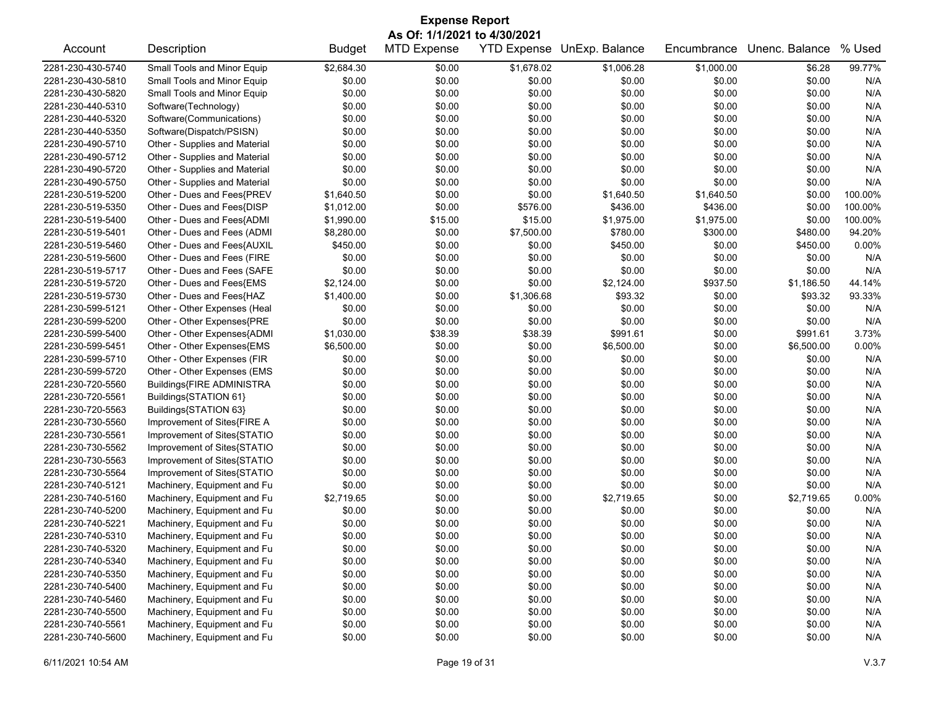| <b>Expense Report</b><br>As Of: 1/1/2021 to 4/30/2021 |                               |               |                    |            |                            |             |                |         |
|-------------------------------------------------------|-------------------------------|---------------|--------------------|------------|----------------------------|-------------|----------------|---------|
| Account                                               | Description                   | <b>Budget</b> | <b>MTD Expense</b> |            | YTD Expense UnExp. Balance | Encumbrance | Unenc. Balance | % Used  |
| 2281-230-430-5740                                     | Small Tools and Minor Equip   | \$2,684.30    | \$0.00             | \$1,678.02 | \$1,006.28                 | \$1,000.00  | \$6.28         | 99.77%  |
| 2281-230-430-5810                                     | Small Tools and Minor Equip   | \$0.00        | \$0.00             | \$0.00     | \$0.00                     | \$0.00      | \$0.00         | N/A     |
| 2281-230-430-5820                                     | Small Tools and Minor Equip   | \$0.00        | \$0.00             | \$0.00     | \$0.00                     | \$0.00      | \$0.00         | N/A     |
| 2281-230-440-5310                                     | Software(Technology)          | \$0.00        | \$0.00             | \$0.00     | \$0.00                     | \$0.00      | \$0.00         | N/A     |
| 2281-230-440-5320                                     | Software(Communications)      | \$0.00        | \$0.00             | \$0.00     | \$0.00                     | \$0.00      | \$0.00         | N/A     |
| 2281-230-440-5350                                     | Software(Dispatch/PSISN)      | \$0.00        | \$0.00             | \$0.00     | \$0.00                     | \$0.00      | \$0.00         | N/A     |
| 2281-230-490-5710                                     | Other - Supplies and Material | \$0.00        | \$0.00             | \$0.00     | \$0.00                     | \$0.00      | \$0.00         | N/A     |
| 2281-230-490-5712                                     | Other - Supplies and Material | \$0.00        | \$0.00             | \$0.00     | \$0.00                     | \$0.00      | \$0.00         | N/A     |
| 2281-230-490-5720                                     | Other - Supplies and Material | \$0.00        | \$0.00             | \$0.00     | \$0.00                     | \$0.00      | \$0.00         | N/A     |
| 2281-230-490-5750                                     | Other - Supplies and Material | \$0.00        | \$0.00             | \$0.00     | \$0.00                     | \$0.00      | \$0.00         | N/A     |
| 2281-230-519-5200                                     | Other - Dues and Fees{PREV    | \$1,640.50    | \$0.00             | \$0.00     | \$1,640.50                 | \$1,640.50  | \$0.00         | 100.00% |
| 2281-230-519-5350                                     | Other - Dues and Fees{DISP    | \$1,012.00    | \$0.00             | \$576.00   | \$436.00                   | \$436.00    | \$0.00         | 100.00% |
| 2281-230-519-5400                                     | Other - Dues and Fees{ADMI    | \$1,990.00    | \$15.00            | \$15.00    | \$1,975.00                 | \$1,975.00  | \$0.00         | 100.00% |
| 2281-230-519-5401                                     | Other - Dues and Fees (ADMI   | \$8,280.00    | \$0.00             | \$7,500.00 | \$780.00                   | \$300.00    | \$480.00       | 94.20%  |
| 2281-230-519-5460                                     | Other - Dues and Fees{AUXIL   | \$450.00      | \$0.00             | \$0.00     | \$450.00                   | \$0.00      | \$450.00       | 0.00%   |
| 2281-230-519-5600                                     | Other - Dues and Fees (FIRE   | \$0.00        | \$0.00             | \$0.00     | \$0.00                     | \$0.00      | \$0.00         | N/A     |
| 2281-230-519-5717                                     | Other - Dues and Fees (SAFE   | \$0.00        | \$0.00             | \$0.00     | \$0.00                     | \$0.00      | \$0.00         | N/A     |
| 2281-230-519-5720                                     | Other - Dues and Fees{EMS     | \$2,124.00    | \$0.00             | \$0.00     | \$2,124.00                 | \$937.50    | \$1,186.50     | 44.14%  |
| 2281-230-519-5730                                     | Other - Dues and Fees{HAZ     | \$1,400.00    | \$0.00             | \$1,306.68 | \$93.32                    | \$0.00      | \$93.32        | 93.33%  |
| 2281-230-599-5121                                     | Other - Other Expenses (Heal  | \$0.00        | \$0.00             | \$0.00     | \$0.00                     | \$0.00      | \$0.00         | N/A     |
| 2281-230-599-5200                                     | Other - Other Expenses{PRE    | \$0.00        | \$0.00             | \$0.00     | \$0.00                     | \$0.00      | \$0.00         | N/A     |
| 2281-230-599-5400                                     | Other - Other Expenses{ADMI   | \$1,030.00    | \$38.39            | \$38.39    | \$991.61                   | \$0.00      | \$991.61       | 3.73%   |
| 2281-230-599-5451                                     | Other - Other Expenses{EMS    | \$6,500.00    | \$0.00             | \$0.00     | \$6,500.00                 | \$0.00      | \$6,500.00     | 0.00%   |
| 2281-230-599-5710                                     | Other - Other Expenses (FIR   | \$0.00        | \$0.00             | \$0.00     | \$0.00                     | \$0.00      | \$0.00         | N/A     |
| 2281-230-599-5720                                     | Other - Other Expenses (EMS   | \$0.00        | \$0.00             | \$0.00     | \$0.00                     | \$0.00      | \$0.00         | N/A     |
| 2281-230-720-5560                                     | Buildings{FIRE ADMINISTRA     | \$0.00        | \$0.00             | \$0.00     | \$0.00                     | \$0.00      | \$0.00         | N/A     |
| 2281-230-720-5561                                     | Buildings{STATION 61}         | \$0.00        | \$0.00             | \$0.00     | \$0.00                     | \$0.00      | \$0.00         | N/A     |
| 2281-230-720-5563                                     | Buildings{STATION 63}         | \$0.00        | \$0.00             | \$0.00     | \$0.00                     | \$0.00      | \$0.00         | N/A     |
| 2281-230-730-5560                                     | Improvement of Sites{FIRE A   | \$0.00        | \$0.00             | \$0.00     | \$0.00                     | \$0.00      | \$0.00         | N/A     |
| 2281-230-730-5561                                     | Improvement of Sites{STATIO   | \$0.00        | \$0.00             | \$0.00     | \$0.00                     | \$0.00      | \$0.00         | N/A     |
| 2281-230-730-5562                                     | Improvement of Sites{STATIO   | \$0.00        | \$0.00             | \$0.00     | \$0.00                     | \$0.00      | \$0.00         | N/A     |
| 2281-230-730-5563                                     | Improvement of Sites{STATIO   | \$0.00        | \$0.00             | \$0.00     | \$0.00                     | \$0.00      | \$0.00         | N/A     |
| 2281-230-730-5564                                     | Improvement of Sites{STATIO   | \$0.00        | \$0.00             | \$0.00     | \$0.00                     | \$0.00      | \$0.00         | N/A     |
| 2281-230-740-5121                                     | Machinery, Equipment and Fu   | \$0.00        | \$0.00             | \$0.00     | \$0.00                     | \$0.00      | \$0.00         | N/A     |
| 2281-230-740-5160                                     | Machinery, Equipment and Fu   | \$2,719.65    | \$0.00             | \$0.00     | \$2,719.65                 | \$0.00      | \$2,719.65     | 0.00%   |
| 2281-230-740-5200                                     | Machinery, Equipment and Fu   | \$0.00        | \$0.00             | \$0.00     | \$0.00                     | \$0.00      | \$0.00         | N/A     |
| 2281-230-740-5221                                     | Machinery, Equipment and Fu   | \$0.00        | \$0.00             | \$0.00     | \$0.00                     | \$0.00      | \$0.00         | N/A     |
| 2281-230-740-5310                                     | Machinery, Equipment and Fu   | \$0.00        | \$0.00             | \$0.00     | \$0.00                     | \$0.00      | \$0.00         | N/A     |
| 2281-230-740-5320                                     | Machinery, Equipment and Fu   | \$0.00        | \$0.00             | \$0.00     | \$0.00                     | \$0.00      | \$0.00         | N/A     |
| 2281-230-740-5340                                     | Machinery, Equipment and Fu   | \$0.00        | \$0.00             | \$0.00     | \$0.00                     | \$0.00      | \$0.00         | N/A     |
| 2281-230-740-5350                                     | Machinery, Equipment and Fu   | \$0.00        | \$0.00             | \$0.00     | \$0.00                     | \$0.00      | \$0.00         | N/A     |
| 2281-230-740-5400                                     | Machinery, Equipment and Fu   | \$0.00        | \$0.00             | \$0.00     | \$0.00                     | \$0.00      | \$0.00         | N/A     |
| 2281-230-740-5460                                     | Machinery, Equipment and Fu   | \$0.00        | \$0.00             | \$0.00     | \$0.00                     | \$0.00      | \$0.00         | N/A     |
| 2281-230-740-5500                                     | Machinery, Equipment and Fu   | \$0.00        | \$0.00             | \$0.00     | \$0.00                     | \$0.00      | \$0.00         | N/A     |
| 2281-230-740-5561                                     | Machinery, Equipment and Fu   | \$0.00        | \$0.00             | \$0.00     | \$0.00                     | \$0.00      | \$0.00         | N/A     |
| 2281-230-740-5600                                     | Machinery, Equipment and Fu   | \$0.00        | \$0.00             | \$0.00     | \$0.00                     | \$0.00      | \$0.00         | N/A     |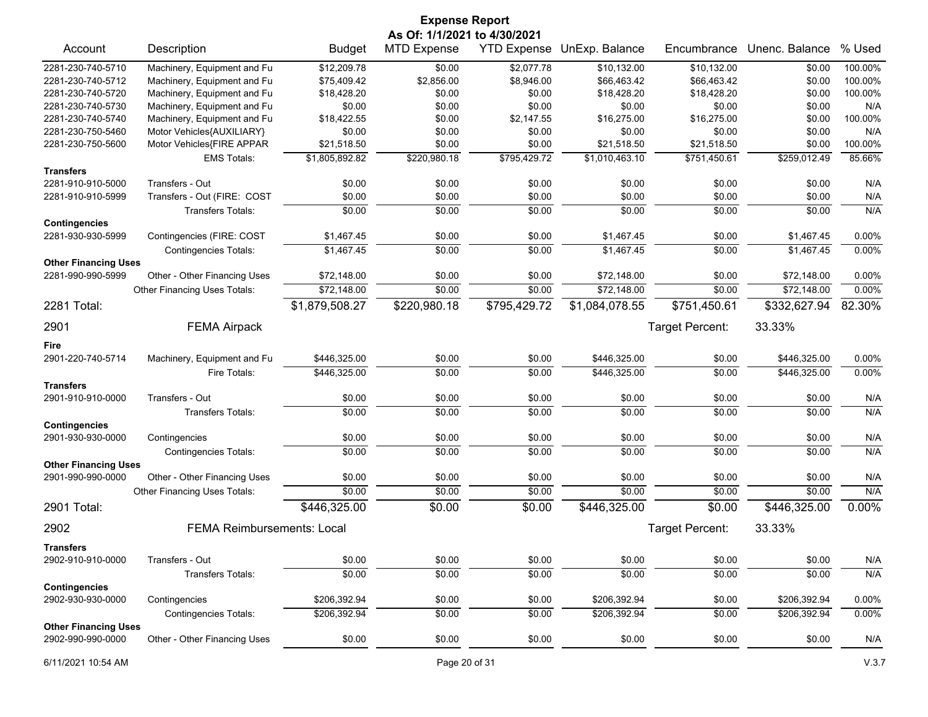|                             |                                   |                | <b>Expense Report</b><br>As Of: 1/1/2021 to 4/30/2021 |              |                            |                 |                |          |
|-----------------------------|-----------------------------------|----------------|-------------------------------------------------------|--------------|----------------------------|-----------------|----------------|----------|
| Account                     | Description                       | <b>Budget</b>  | <b>MTD Expense</b>                                    |              | YTD Expense UnExp. Balance | Encumbrance     | Unenc. Balance | % Used   |
| 2281-230-740-5710           | Machinery, Equipment and Fu       | \$12,209.78    | \$0.00                                                | \$2,077.78   | \$10,132.00                | \$10,132.00     | \$0.00         | 100.00%  |
| 2281-230-740-5712           | Machinery, Equipment and Fu       | \$75,409.42    | \$2,856.00                                            | \$8,946.00   | \$66,463.42                | \$66,463.42     | \$0.00         | 100.00%  |
| 2281-230-740-5720           | Machinery, Equipment and Fu       | \$18,428.20    | \$0.00                                                | \$0.00       | \$18,428.20                | \$18,428.20     | \$0.00         | 100.00%  |
| 2281-230-740-5730           | Machinery, Equipment and Fu       | \$0.00         | \$0.00                                                | \$0.00       | \$0.00                     | \$0.00          | \$0.00         | N/A      |
| 2281-230-740-5740           | Machinery, Equipment and Fu       | \$18,422.55    | \$0.00                                                | \$2,147.55   | \$16,275.00                | \$16,275.00     | \$0.00         | 100.00%  |
| 2281-230-750-5460           | Motor Vehicles{AUXILIARY}         | \$0.00         | \$0.00                                                | \$0.00       | \$0.00                     | \$0.00          | \$0.00         | N/A      |
| 2281-230-750-5600           | Motor Vehicles{FIRE APPAR         | \$21,518.50    | \$0.00                                                | \$0.00       | \$21,518.50                | \$21,518.50     | \$0.00         | 100.00%  |
|                             | <b>EMS Totals:</b>                | \$1,805,892.82 | \$220,980.18                                          | \$795,429.72 | \$1,010,463.10             | \$751,450.61    | \$259,012.49   | 85.66%   |
| <b>Transfers</b>            |                                   |                |                                                       |              |                            |                 |                |          |
| 2281-910-910-5000           | Transfers - Out                   | \$0.00         | \$0.00                                                | \$0.00       | \$0.00                     | \$0.00          | \$0.00         | N/A      |
| 2281-910-910-5999           | Transfers - Out (FIRE: COST       | \$0.00         | \$0.00                                                | \$0.00       | \$0.00                     | \$0.00          | \$0.00         | N/A      |
| <b>Contingencies</b>        | <b>Transfers Totals:</b>          | \$0.00         | \$0.00                                                | \$0.00       | \$0.00                     | \$0.00          | \$0.00         | N/A      |
| 2281-930-930-5999           | Contingencies (FIRE: COST         | \$1,467.45     | \$0.00                                                | \$0.00       | \$1,467.45                 | \$0.00          | \$1,467.45     | 0.00%    |
|                             | <b>Contingencies Totals:</b>      | \$1,467.45     | \$0.00                                                | \$0.00       | \$1,467.45                 | \$0.00          | \$1,467.45     | 0.00%    |
| <b>Other Financing Uses</b> |                                   |                |                                                       |              |                            |                 |                |          |
| 2281-990-990-5999           | Other - Other Financing Uses      | \$72,148.00    | \$0.00                                                | \$0.00       | \$72,148.00                | \$0.00          | \$72,148.00    | $0.00\%$ |
|                             | Other Financing Uses Totals:      | \$72,148.00    | \$0.00                                                | \$0.00       | \$72,148.00                | \$0.00          | \$72,148.00    | 0.00%    |
| 2281 Total:                 |                                   | \$1,879,508.27 | \$220,980.18                                          | \$795,429.72 | \$1,084,078.55             | \$751,450.61    | \$332,627.94   | 82.30%   |
| 2901                        | <b>FEMA Airpack</b>               |                |                                                       |              |                            | Target Percent: | 33.33%         |          |
| Fire                        |                                   |                |                                                       |              |                            |                 |                |          |
| 2901-220-740-5714           | Machinery, Equipment and Fu       | \$446,325.00   | \$0.00                                                | \$0.00       | \$446,325.00               | \$0.00          | \$446,325.00   | $0.00\%$ |
|                             | Fire Totals:                      | \$446,325.00   | \$0.00                                                | \$0.00       | \$446,325.00               | \$0.00          | \$446,325.00   | 0.00%    |
| <b>Transfers</b>            |                                   |                |                                                       |              |                            |                 |                |          |
| 2901-910-910-0000           | Transfers - Out                   | \$0.00         | \$0.00                                                | \$0.00       | \$0.00                     | \$0.00          | \$0.00         | N/A      |
|                             | <b>Transfers Totals:</b>          | \$0.00         | \$0.00                                                | \$0.00       | \$0.00                     | \$0.00          | \$0.00         | N/A      |
| <b>Contingencies</b>        |                                   |                |                                                       |              |                            |                 |                |          |
| 2901-930-930-0000           | Contingencies                     | \$0.00         | \$0.00                                                | \$0.00       | \$0.00                     | \$0.00          | \$0.00         | N/A      |
|                             | <b>Contingencies Totals:</b>      | \$0.00         | \$0.00                                                | \$0.00       | \$0.00                     | \$0.00          | \$0.00         | N/A      |
| <b>Other Financing Uses</b> |                                   |                |                                                       |              |                            |                 |                |          |
| 2901-990-990-0000           | Other - Other Financing Uses      | \$0.00         | \$0.00                                                | \$0.00       | \$0.00                     | \$0.00          | \$0.00         | N/A      |
|                             | Other Financing Uses Totals:      | \$0.00         | \$0.00                                                | \$0.00       | \$0.00                     | \$0.00          | \$0.00         | N/A      |
| 2901 Total:                 |                                   | \$446,325.00   | \$0.00                                                | \$0.00       | \$446,325.00               | \$0.00          | \$446,325.00   | $0.00\%$ |
| 2902                        | <b>FEMA Reimbursements: Local</b> |                |                                                       |              |                            | Target Percent: | 33.33%         |          |
| <b>Transfers</b>            |                                   |                |                                                       |              |                            |                 |                |          |
| 2902-910-910-0000           | Transfers - Out                   | \$0.00         | \$0.00                                                | \$0.00       | \$0.00                     | \$0.00          | \$0.00         | N/A      |
|                             | Transfers Totals:                 | \$0.00         | \$0.00                                                | \$0.00       | \$0.00                     | \$0.00          | \$0.00         | N/A      |
| <b>Contingencies</b>        |                                   |                |                                                       |              |                            |                 |                |          |
| 2902-930-930-0000           | Contingencies                     | \$206,392.94   | \$0.00                                                | \$0.00       | \$206,392.94               | \$0.00          | \$206,392.94   | 0.00%    |
|                             | <b>Contingencies Totals:</b>      | \$206,392.94   | \$0.00                                                | \$0.00       | \$206,392.94               | \$0.00          | \$206,392.94   | 0.00%    |
| <b>Other Financing Uses</b> |                                   |                |                                                       |              |                            |                 |                |          |
| 2902-990-990-0000           | Other - Other Financing Uses      | \$0.00         | \$0.00                                                | \$0.00       | \$0.00                     | \$0.00          | \$0.00         | N/A      |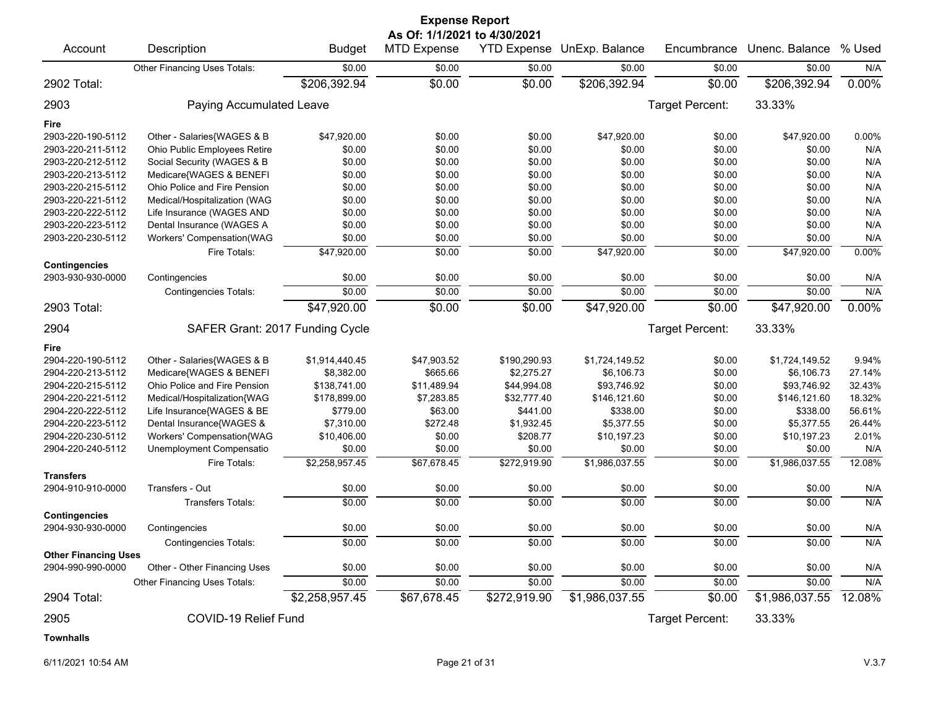|                             |                                 |                | <b>Expense Report</b>                              |                    |                |                 |                |        |
|-----------------------------|---------------------------------|----------------|----------------------------------------------------|--------------------|----------------|-----------------|----------------|--------|
| Account                     | Description                     | <b>Budget</b>  | As Of: 1/1/2021 to 4/30/2021<br><b>MTD Expense</b> | <b>YTD Expense</b> | UnExp. Balance | Encumbrance     | Unenc. Balance | % Used |
|                             | Other Financing Uses Totals:    | \$0.00         | \$0.00                                             | \$0.00             | \$0.00         | \$0.00          | \$0.00         | N/A    |
| 2902 Total:                 |                                 | \$206,392.94   | \$0.00                                             | \$0.00             | \$206,392.94   | \$0.00          | \$206,392.94   | 0.00%  |
| 2903                        | Paying Accumulated Leave        |                |                                                    |                    |                | Target Percent: | 33.33%         |        |
| Fire                        |                                 |                |                                                    |                    |                |                 |                |        |
| 2903-220-190-5112           | Other - Salaries{WAGES & B      | \$47,920.00    | \$0.00                                             | \$0.00             | \$47,920.00    | \$0.00          | \$47,920.00    | 0.00%  |
| 2903-220-211-5112           | Ohio Public Employees Retire    | \$0.00         | \$0.00                                             | \$0.00             | \$0.00         | \$0.00          | \$0.00         | N/A    |
| 2903-220-212-5112           | Social Security (WAGES & B      | \$0.00         | \$0.00                                             | \$0.00             | \$0.00         | \$0.00          | \$0.00         | N/A    |
| 2903-220-213-5112           | Medicare{WAGES & BENEFI         | \$0.00         | \$0.00                                             | \$0.00             | \$0.00         | \$0.00          | \$0.00         | N/A    |
| 2903-220-215-5112           | Ohio Police and Fire Pension    | \$0.00         | \$0.00                                             | \$0.00             | \$0.00         | \$0.00          | \$0.00         | N/A    |
| 2903-220-221-5112           | Medical/Hospitalization (WAG    | \$0.00         | \$0.00                                             | \$0.00             | \$0.00         | \$0.00          | \$0.00         | N/A    |
| 2903-220-222-5112           | Life Insurance (WAGES AND       | \$0.00         | \$0.00                                             | \$0.00             | \$0.00         | \$0.00          | \$0.00         | N/A    |
| 2903-220-223-5112           | Dental Insurance (WAGES A       | \$0.00         | \$0.00                                             | \$0.00             | \$0.00         | \$0.00          | \$0.00         | N/A    |
| 2903-220-230-5112           | Workers' Compensation(WAG       | \$0.00         | \$0.00                                             | \$0.00             | \$0.00         | \$0.00          | \$0.00         | N/A    |
|                             | Fire Totals:                    | \$47,920.00    | \$0.00                                             | \$0.00             | \$47,920.00    | \$0.00          | \$47,920.00    | 0.00%  |
| <b>Contingencies</b>        |                                 |                |                                                    |                    |                |                 |                |        |
| 2903-930-930-0000           | Contingencies                   | \$0.00         | \$0.00                                             | \$0.00             | \$0.00         | \$0.00          | \$0.00         | N/A    |
|                             | <b>Contingencies Totals:</b>    | \$0.00         | \$0.00                                             | \$0.00             | \$0.00         | \$0.00          | \$0.00         | N/A    |
| 2903 Total:                 |                                 | \$47,920.00    | \$0.00                                             | \$0.00             | \$47,920.00    | \$0.00          | \$47,920.00    | 0.00%  |
| 2904                        | SAFER Grant: 2017 Funding Cycle |                |                                                    |                    |                | Target Percent: | 33.33%         |        |
| Fire                        |                                 |                |                                                    |                    |                |                 |                |        |
| 2904-220-190-5112           | Other - Salaries{WAGES & B      | \$1,914,440.45 | \$47,903.52                                        | \$190,290.93       | \$1,724,149.52 | \$0.00          | \$1,724,149.52 | 9.94%  |
| 2904-220-213-5112           | Medicare{WAGES & BENEFI         | \$8,382.00     | \$665.66                                           | \$2,275.27         | \$6,106.73     | \$0.00          | \$6,106.73     | 27.14% |
| 2904-220-215-5112           | Ohio Police and Fire Pension    | \$138,741.00   | \$11,489.94                                        | \$44,994.08        | \$93,746.92    | \$0.00          | \$93,746.92    | 32.43% |
| 2904-220-221-5112           | Medical/Hospitalization{WAG     | \$178,899.00   | \$7,283.85                                         | \$32,777.40        | \$146,121.60   | \$0.00          | \$146,121.60   | 18.32% |
| 2904-220-222-5112           | Life Insurance{WAGES & BE       | \$779.00       | \$63.00                                            | \$441.00           | \$338.00       | \$0.00          | \$338.00       | 56.61% |
| 2904-220-223-5112           | Dental Insurance{WAGES &        | \$7,310.00     | \$272.48                                           | \$1,932.45         | \$5,377.55     | \$0.00          | \$5,377.55     | 26.44% |
| 2904-220-230-5112           | Workers' Compensation{WAG       | \$10,406.00    | \$0.00                                             | \$208.77           | \$10,197.23    | \$0.00          | \$10,197.23    | 2.01%  |
| 2904-220-240-5112           | Unemployment Compensatio        | \$0.00         | \$0.00                                             | \$0.00             | \$0.00         | \$0.00          | \$0.00         | N/A    |
|                             | Fire Totals:                    | \$2,258,957.45 | \$67,678.45                                        | \$272,919.90       | \$1,986,037.55 | \$0.00          | \$1,986,037.55 | 12.08% |
| <b>Transfers</b>            |                                 |                |                                                    |                    |                |                 |                |        |
| 2904-910-910-0000           | Transfers - Out                 | \$0.00         | \$0.00                                             | \$0.00             | \$0.00         | \$0.00          | \$0.00         | N/A    |
|                             | <b>Transfers Totals:</b>        | \$0.00         | \$0.00                                             | \$0.00             | \$0.00         | \$0.00          | \$0.00         | N/A    |
| <b>Contingencies</b>        |                                 |                |                                                    |                    |                |                 |                |        |
| 2904-930-930-0000           | Contingencies                   | \$0.00         | \$0.00                                             | \$0.00             | \$0.00         | \$0.00          | \$0.00         | N/A    |
|                             | <b>Contingencies Totals:</b>    | \$0.00         | \$0.00                                             | \$0.00             | \$0.00         | \$0.00          | \$0.00         | N/A    |
| <b>Other Financing Uses</b> |                                 |                |                                                    |                    |                |                 |                |        |
| 2904-990-990-0000           | Other - Other Financing Uses    | \$0.00         | \$0.00                                             | \$0.00             | \$0.00         | \$0.00          | \$0.00         | N/A    |
|                             | Other Financing Uses Totals:    | \$0.00         | \$0.00                                             | \$0.00             | \$0.00         | \$0.00          | \$0.00         | N/A    |
| 2904 Total:                 |                                 | \$2,258,957.45 | \$67,678.45                                        | \$272,919.90       | \$1,986,037.55 | \$0.00          | \$1,986,037.55 | 12.08% |
| 2905                        | COVID-19 Relief Fund            |                |                                                    |                    |                | Target Percent: | 33.33%         |        |
| <b>Townhalls</b>            |                                 |                |                                                    |                    |                |                 |                |        |

6/11/2021 10:54 AM Page 21 of 31 V.3.7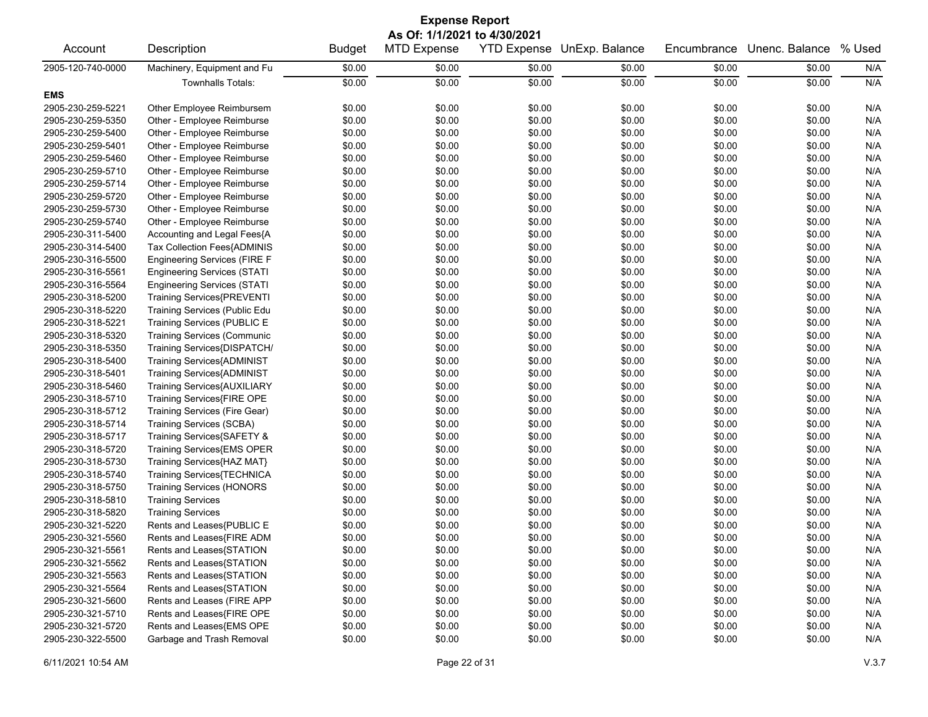## Account Description **Budget MTD Expense YTD Expense UnExp. Balance** Encumbrance Unenc. Balance % Used 2905-120-740-0000 Machinery, Equipment and Fu \$0.00 \$0.00 \$0.00 \$0.00 \$0.00 \$0.00 N/A Townhalls Totals: \$0.00 \$0.00 \$0.00 \$0.00 \$0.00 \$0.00 N/A **EMS** 2905-230-259-5221 Other Employee Reimbursem \$0.00 \$0.00 \$0.00 \$0.00 \$0.00 \$0.00 N/A 2905-230-259-5350 Other - Employee Reimburse \$0.00 \$0.00 \$0.00 \$0.00 \$0.00 \$0.00 N/A 2905-230-259-5400 Other - Employee Reimburse \$0.00 \$0.00 \$0.00 \$0.00 \$0.00 \$0.00 N/A 2905-230-259-5401 Other - Employee Reimburse \$0.00 \$0.00 \$0.00 \$0.00 \$0.00 \$0.00 N/A 2905-230-259-5460 Other - Employee Reimburse \$0.00 \$0.00 \$0.00 \$0.00 \$0.00 \$0.00 N/A 2905-230-259-5710 Other - Employee Reimburse \$0.00 \$0.00 \$0.00 \$0.00 \$0.00 \$0.00 N/A 2905-230-259-5714 Other - Employee Reimburse \$0.00 \$0.00 \$0.00 \$0.00 \$0.00 \$0.00 N/A 2905-230-259-5720 Other - Employee Reimburse \$0.00 \$0.00 \$0.00 \$0.00 \$0.00 \$0.00 N/A 2905-230-259-5730 Other - Employee Reimburse \$0.00 \$0.00 \$0.00 \$0.00 \$0.00 \$0.00 N/A 2905-230-259-5740 Other - Employee Reimburse \$0.00 \$0.00 \$0.00 \$0.00 \$0.00 \$0.00 N/A 2905-230-311-5400 Accounting and Legal Fees{A \$0.00 \$0.00 \$0.00 \$0.00 \$0.00 \$0.00 N/A 2905-230-314-5400 Tax Collection Fees{ADMINIS \$0.00 \$0.00 \$0.00 \$0.00 \$0.00 \$0.00 N/A 2905-230-316-5500 Engineering Services (FIRE F \$0.00 \$0.00 \$0.00 \$0.00 \$0.00 \$0.00 N/A 2905-230-316-5561 Engineering Services (STATI \$0.00 \$0.00 \$0.00 \$0.00 \$0.00 \$0.00 N/A 2905-230-316-5564 Engineering Services (STATI \$0.00 \$0.00 \$0.00 \$0.00 \$0.00 \$0.00 N/A 2905-230-318-5200 Training Services{PREVENTI \$0.00 \$0.00 \$0.00 \$0.00 \$0.00 \$0.00 N/A 2905-230-318-5220 Training Services (Public Edu \$0.00 \$0.00 \$0.00 \$0.00 \$0.00 \$0.00 N/A 2905-230-318-5221 Training Services (PUBLIC E \$0.00 \$0.00 \$0.00 \$0.00 \$0.00 \$0.00 N/A 2905-230-318-5320 Training Services (Communic \$0.00 \$0.00 \$0.00 \$0.00 \$0.00 \$0.00 N/A 2905-230-318-5350 Training Services{DISPATCH/ \$0.00 \$0.00 \$0.00 \$0.00 \$0.00 \$0.00 N/A 2905-230-318-5400 Training Services{ADMINIST \$0.00 \$0.00 \$0.00 \$0.00 \$0.00 \$0.00 N/A 2905-230-318-5401 Training Services{ADMINIST \$0.00 \$0.00 \$0.00 \$0.00 \$0.00 \$0.00 N/A 2905-230-318-5460 Training Services{AUXILIARY \$0.00 \$0.00 \$0.00 \$0.00 \$0.00 \$0.00 N/A 2905-230-318-5710 Training Services{FIRE OPE \$0.00 \$0.00 \$0.00 \$0.00 \$0.00 \$0.00 N/A 2905-230-318-5712 Training Services (Fire Gear) \$0.00 \$0.00 \$0.00 \$0.00 \$0.00 \$0.00 N/A 2905-230-318-5714 Training Services (SCBA) \$0.00 \$0.00 \$0.00 \$0.00 \$0.00 \$0.00 N/A 2905-230-318-5717 Training Services{SAFETY & \$0.00 \$0.00 \$0.00 \$0.00 \$0.00 \$0.00 N/A 2905-230-318-5720 Training Services{EMS OPER \$0.00 \$0.00 \$0.00 \$0.00 \$0.00 \$0.00 N/A 2905-230-318-5730 Training Services{HAZ MAT} \$0.00 \$0.00 \$0.00 \$0.00 \$0.00 \$0.00 N/A 2905-230-318-5740 Training Services{TECHNICA \$0.00 \$0.00 \$0.00 \$0.00 \$0.00 \$0.00 N/A 2905-230-318-5750 Training Services (HONORS \$0.00 \$0.00 \$0.00 \$0.00 \$0.00 \$0.00 N/A 2905-230-318-5810 Training Services \$0.00 \$0.00 \$0.00 \$0.00 \$0.00 \$0.00 N/A 2905-230-318-5820 Training Services \$0.00 \$0.00 \$0.00 \$0.00 \$0.00 \$0.00 N/A 2905-230-321-5220 Rents and Leases{PUBLIC E \$0.00 \$0.00 \$0.00 \$0.00 \$0.00 \$0.00 N/A 2905-230-321-5560 Rents and Leases{FIRE ADM \$0.00 \$0.00 \$0.00 \$0.00 \$0.00 \$0.00 N/A 2905-230-321-5561 Rents and Leases{STATION \$0.00 \$0.00 \$0.00 \$0.00 \$0.00 \$0.00 N/A 2905-230-321-5562 Rents and Leases{STATION \$0.00 \$0.00 \$0.00 \$0.00 \$0.00 \$0.00 N/A 2905-230-321-5563 Rents and Leases{STATION \$0.00 \$0.00 \$0.00 \$0.00 \$0.00 \$0.00 N/A 2905-230-321-5564 Rents and Leases{STATION \$0.00 \$0.00 \$0.00 \$0.00 \$0.00 \$0.00 N/A 2905-230-321-5600 Rents and Leases (FIRE APP \$0.00 \$0.00 \$0.00 \$0.00 \$0.00 \$0.00 N/A 2905-230-321-5710 Rents and Leases{FIRE OPE \$0.00 \$0.00 \$0.00 \$0.00 \$0.00 \$0.00 N/A 2905-230-321-5720 Rents and Leases{EMS OPE \$0.00 \$0.00 \$0.00 \$0.00 \$0.00 \$0.00 N/A 2905-230-322-5500 Garbage and Trash Removal \$0.00 \$0.00 \$0.00 \$0.00 \$0.00 \$0.00 N/A **Expense Report As Of: 1/1/2021 to 4/30/2021**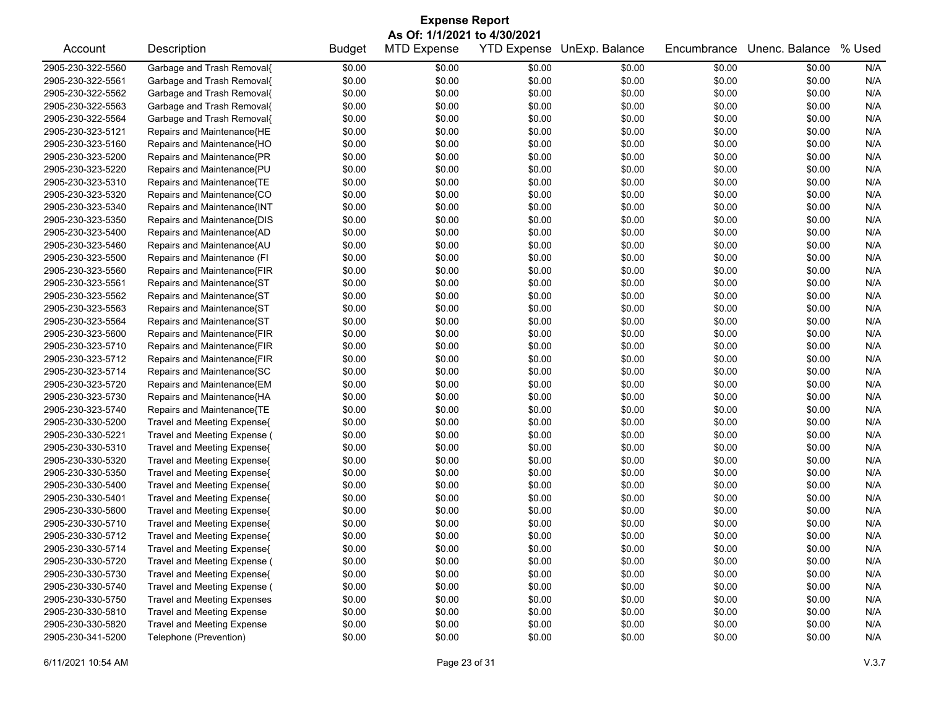| As Of: 1/1/2021 to 4/30/2021<br>Description<br><b>MTD Expense</b><br><b>YTD Expense</b><br>UnExp. Balance<br>Unenc. Balance<br>% Used<br>Account<br><b>Budget</b><br>Encumbrance<br>2905-230-322-5560<br>Garbage and Trash Removal{<br>\$0.00<br>\$0.00<br>\$0.00<br>\$0.00<br>N/A<br>\$0.00<br>\$0.00<br>\$0.00<br>\$0.00<br>\$0.00<br>\$0.00<br>\$0.00<br>2905-230-322-5561<br>Garbage and Trash Removal{<br>\$0.00<br>N/A<br>Garbage and Trash Removal{<br>\$0.00<br>\$0.00<br>\$0.00<br>\$0.00<br>N/A<br>2905-230-322-5562<br>\$0.00<br>\$0.00<br>2905-230-322-5563<br>Garbage and Trash Removal{<br>\$0.00<br>\$0.00<br>\$0.00<br>\$0.00<br>\$0.00<br>N/A<br>\$0.00<br>Garbage and Trash Removal{<br>\$0.00<br>\$0.00<br>\$0.00<br>N/A<br>2905-230-322-5564<br>\$0.00<br>\$0.00<br>\$0.00<br>\$0.00<br>\$0.00<br>\$0.00<br>N/A<br>2905-230-323-5121<br>Repairs and Maintenance{HE<br>\$0.00<br>\$0.00<br>\$0.00<br>N/A<br>2905-230-323-5160<br>Repairs and Maintenance{HO<br>\$0.00<br>\$0.00<br>\$0.00<br>\$0.00<br>\$0.00<br>\$0.00<br>\$0.00<br>\$0.00<br>N/A<br>2905-230-323-5200<br>Repairs and Maintenance{PR<br>\$0.00<br>\$0.00<br>\$0.00<br>\$0.00<br>2905-230-323-5220<br>Repairs and Maintenance{PU<br>\$0.00<br>\$0.00<br>\$0.00<br>\$0.00<br>N/A<br>\$0.00<br>\$0.00<br>Repairs and Maintenance{TE<br>\$0.00<br>\$0.00<br>N/A<br>2905-230-323-5310<br>\$0.00<br>\$0.00<br>\$0.00<br>\$0.00<br>\$0.00<br>\$0.00<br>\$0.00<br>N/A<br>2905-230-323-5320<br>Repairs and Maintenance{CO<br>\$0.00<br>\$0.00<br>\$0.00<br>\$0.00<br>N/A<br>2905-230-323-5340<br>Repairs and Maintenance{INT<br>\$0.00<br>\$0.00<br>\$0.00<br>\$0.00<br>\$0.00<br>2905-230-323-5350<br>Repairs and Maintenance{DIS<br>\$0.00<br>\$0.00<br>\$0.00<br>N/A<br>\$0.00<br>\$0.00<br>\$0.00<br>2905-230-323-5400<br>Repairs and Maintenance{AD<br>\$0.00<br>\$0.00<br>\$0.00<br>\$0.00<br>\$0.00<br>N/A<br>\$0.00<br>Repairs and Maintenance{AU<br>\$0.00<br>\$0.00<br>\$0.00<br>N/A<br>2905-230-323-5460<br>\$0.00<br>\$0.00<br>\$0.00<br>\$0.00<br>\$0.00<br>\$0.00<br>N/A<br>2905-230-323-5500<br>Repairs and Maintenance (FI<br>\$0.00<br>\$0.00<br>\$0.00<br>N/A<br>2905-230-323-5560<br>Repairs and Maintenance{FIR<br>\$0.00<br>\$0.00<br>\$0.00<br>\$0.00<br>\$0.00<br>\$0.00<br>Repairs and Maintenance{ST<br>\$0.00<br>\$0.00<br>N/A<br>2905-230-323-5561<br>\$0.00<br>\$0.00<br>\$0.00<br>\$0.00<br>2905-230-323-5562<br>Repairs and Maintenance{ST<br>\$0.00<br>\$0.00<br>\$0.00<br>N/A<br>\$0.00<br>\$0.00<br>\$0.00<br>Repairs and Maintenance{ST<br>\$0.00<br>\$0.00<br>N/A<br>2905-230-323-5563<br>\$0.00<br>\$0.00<br>\$0.00<br>\$0.00<br>\$0.00<br>\$0.00<br>\$0.00<br>N/A<br>2905-230-323-5564<br>Repairs and Maintenance{ST<br>\$0.00<br>\$0.00<br>\$0.00<br>\$0.00<br>N/A<br>2905-230-323-5600<br>Repairs and Maintenance{FIR<br>\$0.00<br>\$0.00<br>\$0.00<br>\$0.00<br>\$0.00<br>\$0.00<br>\$0.00<br>\$0.00<br>N/A<br>2905-230-323-5710<br>Repairs and Maintenance{FIR<br>\$0.00<br>\$0.00<br>\$0.00<br>2905-230-323-5712<br>Repairs and Maintenance{FIR<br>\$0.00<br>\$0.00<br>\$0.00<br>\$0.00<br>N/A<br>\$0.00<br>\$0.00<br>Repairs and Maintenance{SC<br>\$0.00<br>\$0.00<br>\$0.00<br>N/A<br>2905-230-323-5714<br>\$0.00<br>\$0.00<br>\$0.00<br>\$0.00<br>\$0.00<br>\$0.00<br>N/A<br>2905-230-323-5720<br>Repairs and Maintenance{EM<br>\$0.00<br>\$0.00<br>\$0.00<br>N/A<br>2905-230-323-5730<br>Repairs and Maintenance{HA<br>\$0.00<br>\$0.00<br>\$0.00<br>\$0.00<br>\$0.00<br>\$0.00<br>Repairs and Maintenance{TE<br>\$0.00<br>\$0.00<br>N/A<br>2905-230-323-5740<br>\$0.00<br>\$0.00<br>\$0.00<br>\$0.00<br>2905-230-330-5200<br>Travel and Meeting Expense{<br>\$0.00<br>\$0.00<br>\$0.00<br>\$0.00<br>N/A<br>\$0.00<br>\$0.00<br>Travel and Meeting Expense (<br>\$0.00<br>\$0.00<br>\$0.00<br>N/A<br>2905-230-330-5221<br>\$0.00<br>\$0.00<br>\$0.00<br>\$0.00<br>\$0.00<br>\$0.00<br>N/A<br>Travel and Meeting Expense{<br>\$0.00<br>\$0.00<br>\$0.00<br>2905-230-330-5310<br>\$0.00<br>2905-230-330-5320<br>Travel and Meeting Expense{<br>\$0.00<br>\$0.00<br>\$0.00<br>\$0.00<br>\$0.00<br>N/A<br>\$0.00<br>\$0.00<br>N/A<br>2905-230-330-5350<br>Travel and Meeting Expense{<br>\$0.00<br>\$0.00<br>\$0.00<br>\$0.00<br>2905-230-330-5400<br>Travel and Meeting Expense{<br>\$0.00<br>\$0.00<br>\$0.00<br>N/A<br>\$0.00<br>\$0.00<br>\$0.00<br>\$0.00<br>\$0.00<br>2905-230-330-5401<br>Travel and Meeting Expense{<br>\$0.00<br>\$0.00<br>\$0.00<br>\$0.00<br>N/A<br>\$0.00<br>\$0.00<br>N/A<br>2905-230-330-5600<br>Travel and Meeting Expense{<br>\$0.00<br>\$0.00<br>\$0.00<br>\$0.00<br>\$0.00<br>\$0.00<br>N/A<br>2905-230-330-5710<br>Travel and Meeting Expense{<br>\$0.00<br>\$0.00<br>\$0.00<br>\$0.00<br>\$0.00<br>2905-230-330-5712<br>\$0.00<br>\$0.00<br>\$0.00<br>\$0.00<br>\$0.00<br>N/A<br>Travel and Meeting Expense{<br>\$0.00<br>\$0.00<br>\$0.00<br>\$0.00<br>\$0.00<br>N/A<br>2905-230-330-5714<br>Travel and Meeting Expense{<br>\$0.00<br>Travel and Meeting Expense (<br>\$0.00<br>\$0.00<br>\$0.00<br>\$0.00<br>2905-230-330-5720<br>\$0.00<br>\$0.00<br>N/A<br>\$0.00<br>\$0.00<br>2905-230-330-5730<br>Travel and Meeting Expense{<br>\$0.00<br>\$0.00<br>\$0.00<br>\$0.00<br>N/A<br>2905-230-330-5740<br>Travel and Meeting Expense (<br>\$0.00<br>\$0.00<br>\$0.00<br>\$0.00<br>\$0.00<br>\$0.00<br>N/A<br><b>Travel and Meeting Expenses</b><br>\$0.00<br>\$0.00<br>2905-230-330-5750<br>\$0.00<br>\$0.00<br>\$0.00<br>\$0.00<br>N/A<br>2905-230-330-5810<br><b>Travel and Meeting Expense</b><br>\$0.00<br>\$0.00<br>\$0.00<br>\$0.00<br>\$0.00<br>\$0.00<br>N/A<br><b>Travel and Meeting Expense</b><br>2905-230-330-5820<br>\$0.00<br>\$0.00<br>\$0.00<br>\$0.00<br>\$0.00<br>\$0.00<br>N/A<br>\$0.00 |                   | <b>Expense Report</b>  |        |        |        |        |        |  |     |  |
|------------------------------------------------------------------------------------------------------------------------------------------------------------------------------------------------------------------------------------------------------------------------------------------------------------------------------------------------------------------------------------------------------------------------------------------------------------------------------------------------------------------------------------------------------------------------------------------------------------------------------------------------------------------------------------------------------------------------------------------------------------------------------------------------------------------------------------------------------------------------------------------------------------------------------------------------------------------------------------------------------------------------------------------------------------------------------------------------------------------------------------------------------------------------------------------------------------------------------------------------------------------------------------------------------------------------------------------------------------------------------------------------------------------------------------------------------------------------------------------------------------------------------------------------------------------------------------------------------------------------------------------------------------------------------------------------------------------------------------------------------------------------------------------------------------------------------------------------------------------------------------------------------------------------------------------------------------------------------------------------------------------------------------------------------------------------------------------------------------------------------------------------------------------------------------------------------------------------------------------------------------------------------------------------------------------------------------------------------------------------------------------------------------------------------------------------------------------------------------------------------------------------------------------------------------------------------------------------------------------------------------------------------------------------------------------------------------------------------------------------------------------------------------------------------------------------------------------------------------------------------------------------------------------------------------------------------------------------------------------------------------------------------------------------------------------------------------------------------------------------------------------------------------------------------------------------------------------------------------------------------------------------------------------------------------------------------------------------------------------------------------------------------------------------------------------------------------------------------------------------------------------------------------------------------------------------------------------------------------------------------------------------------------------------------------------------------------------------------------------------------------------------------------------------------------------------------------------------------------------------------------------------------------------------------------------------------------------------------------------------------------------------------------------------------------------------------------------------------------------------------------------------------------------------------------------------------------------------------------------------------------------------------------------------------------------------------------------------------------------------------------------------------------------------------------------------------------------------------------------------------------------------------------------------------------------------------------------------------------------------------------------------------------------------------------------------------------------------------------------------------------------------------------------------------------------------------------------------------------------------------------------------------------------------------------------------------------------------------------------------------------------------------------------------------------------------------------------------------------------------------------------------------------------------------------------------------------------------------------------------------------------------------------------------------------------------------------------------------------------------------------------------------------------------------------------------------------------------------------------------------------------------------------------------------------------------------------------------------------------------------------------------------------------------------------------------------------------------------------------------------------------------|-------------------|------------------------|--------|--------|--------|--------|--------|--|-----|--|
|                                                                                                                                                                                                                                                                                                                                                                                                                                                                                                                                                                                                                                                                                                                                                                                                                                                                                                                                                                                                                                                                                                                                                                                                                                                                                                                                                                                                                                                                                                                                                                                                                                                                                                                                                                                                                                                                                                                                                                                                                                                                                                                                                                                                                                                                                                                                                                                                                                                                                                                                                                                                                                                                                                                                                                                                                                                                                                                                                                                                                                                                                                                                                                                                                                                                                                                                                                                                                                                                                                                                                                                                                                                                                                                                                                                                                                                                                                                                                                                                                                                                                                                                                                                                                                                                                                                                                                                                                                                                                                                                                                                                                                                                                                                                                                                                                                                                                                                                                                                                                                                                                                                                                                                                                                                                                                                                                                                                                                                                                                                                                                                                                                                                                                                                                                        |                   |                        |        |        |        |        |        |  |     |  |
|                                                                                                                                                                                                                                                                                                                                                                                                                                                                                                                                                                                                                                                                                                                                                                                                                                                                                                                                                                                                                                                                                                                                                                                                                                                                                                                                                                                                                                                                                                                                                                                                                                                                                                                                                                                                                                                                                                                                                                                                                                                                                                                                                                                                                                                                                                                                                                                                                                                                                                                                                                                                                                                                                                                                                                                                                                                                                                                                                                                                                                                                                                                                                                                                                                                                                                                                                                                                                                                                                                                                                                                                                                                                                                                                                                                                                                                                                                                                                                                                                                                                                                                                                                                                                                                                                                                                                                                                                                                                                                                                                                                                                                                                                                                                                                                                                                                                                                                                                                                                                                                                                                                                                                                                                                                                                                                                                                                                                                                                                                                                                                                                                                                                                                                                                                        |                   |                        |        |        |        |        |        |  |     |  |
|                                                                                                                                                                                                                                                                                                                                                                                                                                                                                                                                                                                                                                                                                                                                                                                                                                                                                                                                                                                                                                                                                                                                                                                                                                                                                                                                                                                                                                                                                                                                                                                                                                                                                                                                                                                                                                                                                                                                                                                                                                                                                                                                                                                                                                                                                                                                                                                                                                                                                                                                                                                                                                                                                                                                                                                                                                                                                                                                                                                                                                                                                                                                                                                                                                                                                                                                                                                                                                                                                                                                                                                                                                                                                                                                                                                                                                                                                                                                                                                                                                                                                                                                                                                                                                                                                                                                                                                                                                                                                                                                                                                                                                                                                                                                                                                                                                                                                                                                                                                                                                                                                                                                                                                                                                                                                                                                                                                                                                                                                                                                                                                                                                                                                                                                                                        |                   |                        |        |        |        |        |        |  |     |  |
|                                                                                                                                                                                                                                                                                                                                                                                                                                                                                                                                                                                                                                                                                                                                                                                                                                                                                                                                                                                                                                                                                                                                                                                                                                                                                                                                                                                                                                                                                                                                                                                                                                                                                                                                                                                                                                                                                                                                                                                                                                                                                                                                                                                                                                                                                                                                                                                                                                                                                                                                                                                                                                                                                                                                                                                                                                                                                                                                                                                                                                                                                                                                                                                                                                                                                                                                                                                                                                                                                                                                                                                                                                                                                                                                                                                                                                                                                                                                                                                                                                                                                                                                                                                                                                                                                                                                                                                                                                                                                                                                                                                                                                                                                                                                                                                                                                                                                                                                                                                                                                                                                                                                                                                                                                                                                                                                                                                                                                                                                                                                                                                                                                                                                                                                                                        |                   |                        |        |        |        |        |        |  |     |  |
|                                                                                                                                                                                                                                                                                                                                                                                                                                                                                                                                                                                                                                                                                                                                                                                                                                                                                                                                                                                                                                                                                                                                                                                                                                                                                                                                                                                                                                                                                                                                                                                                                                                                                                                                                                                                                                                                                                                                                                                                                                                                                                                                                                                                                                                                                                                                                                                                                                                                                                                                                                                                                                                                                                                                                                                                                                                                                                                                                                                                                                                                                                                                                                                                                                                                                                                                                                                                                                                                                                                                                                                                                                                                                                                                                                                                                                                                                                                                                                                                                                                                                                                                                                                                                                                                                                                                                                                                                                                                                                                                                                                                                                                                                                                                                                                                                                                                                                                                                                                                                                                                                                                                                                                                                                                                                                                                                                                                                                                                                                                                                                                                                                                                                                                                                                        |                   |                        |        |        |        |        |        |  |     |  |
|                                                                                                                                                                                                                                                                                                                                                                                                                                                                                                                                                                                                                                                                                                                                                                                                                                                                                                                                                                                                                                                                                                                                                                                                                                                                                                                                                                                                                                                                                                                                                                                                                                                                                                                                                                                                                                                                                                                                                                                                                                                                                                                                                                                                                                                                                                                                                                                                                                                                                                                                                                                                                                                                                                                                                                                                                                                                                                                                                                                                                                                                                                                                                                                                                                                                                                                                                                                                                                                                                                                                                                                                                                                                                                                                                                                                                                                                                                                                                                                                                                                                                                                                                                                                                                                                                                                                                                                                                                                                                                                                                                                                                                                                                                                                                                                                                                                                                                                                                                                                                                                                                                                                                                                                                                                                                                                                                                                                                                                                                                                                                                                                                                                                                                                                                                        |                   |                        |        |        |        |        |        |  |     |  |
|                                                                                                                                                                                                                                                                                                                                                                                                                                                                                                                                                                                                                                                                                                                                                                                                                                                                                                                                                                                                                                                                                                                                                                                                                                                                                                                                                                                                                                                                                                                                                                                                                                                                                                                                                                                                                                                                                                                                                                                                                                                                                                                                                                                                                                                                                                                                                                                                                                                                                                                                                                                                                                                                                                                                                                                                                                                                                                                                                                                                                                                                                                                                                                                                                                                                                                                                                                                                                                                                                                                                                                                                                                                                                                                                                                                                                                                                                                                                                                                                                                                                                                                                                                                                                                                                                                                                                                                                                                                                                                                                                                                                                                                                                                                                                                                                                                                                                                                                                                                                                                                                                                                                                                                                                                                                                                                                                                                                                                                                                                                                                                                                                                                                                                                                                                        |                   |                        |        |        |        |        |        |  |     |  |
|                                                                                                                                                                                                                                                                                                                                                                                                                                                                                                                                                                                                                                                                                                                                                                                                                                                                                                                                                                                                                                                                                                                                                                                                                                                                                                                                                                                                                                                                                                                                                                                                                                                                                                                                                                                                                                                                                                                                                                                                                                                                                                                                                                                                                                                                                                                                                                                                                                                                                                                                                                                                                                                                                                                                                                                                                                                                                                                                                                                                                                                                                                                                                                                                                                                                                                                                                                                                                                                                                                                                                                                                                                                                                                                                                                                                                                                                                                                                                                                                                                                                                                                                                                                                                                                                                                                                                                                                                                                                                                                                                                                                                                                                                                                                                                                                                                                                                                                                                                                                                                                                                                                                                                                                                                                                                                                                                                                                                                                                                                                                                                                                                                                                                                                                                                        |                   |                        |        |        |        |        |        |  |     |  |
|                                                                                                                                                                                                                                                                                                                                                                                                                                                                                                                                                                                                                                                                                                                                                                                                                                                                                                                                                                                                                                                                                                                                                                                                                                                                                                                                                                                                                                                                                                                                                                                                                                                                                                                                                                                                                                                                                                                                                                                                                                                                                                                                                                                                                                                                                                                                                                                                                                                                                                                                                                                                                                                                                                                                                                                                                                                                                                                                                                                                                                                                                                                                                                                                                                                                                                                                                                                                                                                                                                                                                                                                                                                                                                                                                                                                                                                                                                                                                                                                                                                                                                                                                                                                                                                                                                                                                                                                                                                                                                                                                                                                                                                                                                                                                                                                                                                                                                                                                                                                                                                                                                                                                                                                                                                                                                                                                                                                                                                                                                                                                                                                                                                                                                                                                                        |                   |                        |        |        |        |        |        |  |     |  |
|                                                                                                                                                                                                                                                                                                                                                                                                                                                                                                                                                                                                                                                                                                                                                                                                                                                                                                                                                                                                                                                                                                                                                                                                                                                                                                                                                                                                                                                                                                                                                                                                                                                                                                                                                                                                                                                                                                                                                                                                                                                                                                                                                                                                                                                                                                                                                                                                                                                                                                                                                                                                                                                                                                                                                                                                                                                                                                                                                                                                                                                                                                                                                                                                                                                                                                                                                                                                                                                                                                                                                                                                                                                                                                                                                                                                                                                                                                                                                                                                                                                                                                                                                                                                                                                                                                                                                                                                                                                                                                                                                                                                                                                                                                                                                                                                                                                                                                                                                                                                                                                                                                                                                                                                                                                                                                                                                                                                                                                                                                                                                                                                                                                                                                                                                                        |                   |                        |        |        |        |        |        |  |     |  |
|                                                                                                                                                                                                                                                                                                                                                                                                                                                                                                                                                                                                                                                                                                                                                                                                                                                                                                                                                                                                                                                                                                                                                                                                                                                                                                                                                                                                                                                                                                                                                                                                                                                                                                                                                                                                                                                                                                                                                                                                                                                                                                                                                                                                                                                                                                                                                                                                                                                                                                                                                                                                                                                                                                                                                                                                                                                                                                                                                                                                                                                                                                                                                                                                                                                                                                                                                                                                                                                                                                                                                                                                                                                                                                                                                                                                                                                                                                                                                                                                                                                                                                                                                                                                                                                                                                                                                                                                                                                                                                                                                                                                                                                                                                                                                                                                                                                                                                                                                                                                                                                                                                                                                                                                                                                                                                                                                                                                                                                                                                                                                                                                                                                                                                                                                                        |                   |                        |        |        |        |        |        |  |     |  |
|                                                                                                                                                                                                                                                                                                                                                                                                                                                                                                                                                                                                                                                                                                                                                                                                                                                                                                                                                                                                                                                                                                                                                                                                                                                                                                                                                                                                                                                                                                                                                                                                                                                                                                                                                                                                                                                                                                                                                                                                                                                                                                                                                                                                                                                                                                                                                                                                                                                                                                                                                                                                                                                                                                                                                                                                                                                                                                                                                                                                                                                                                                                                                                                                                                                                                                                                                                                                                                                                                                                                                                                                                                                                                                                                                                                                                                                                                                                                                                                                                                                                                                                                                                                                                                                                                                                                                                                                                                                                                                                                                                                                                                                                                                                                                                                                                                                                                                                                                                                                                                                                                                                                                                                                                                                                                                                                                                                                                                                                                                                                                                                                                                                                                                                                                                        |                   |                        |        |        |        |        |        |  |     |  |
|                                                                                                                                                                                                                                                                                                                                                                                                                                                                                                                                                                                                                                                                                                                                                                                                                                                                                                                                                                                                                                                                                                                                                                                                                                                                                                                                                                                                                                                                                                                                                                                                                                                                                                                                                                                                                                                                                                                                                                                                                                                                                                                                                                                                                                                                                                                                                                                                                                                                                                                                                                                                                                                                                                                                                                                                                                                                                                                                                                                                                                                                                                                                                                                                                                                                                                                                                                                                                                                                                                                                                                                                                                                                                                                                                                                                                                                                                                                                                                                                                                                                                                                                                                                                                                                                                                                                                                                                                                                                                                                                                                                                                                                                                                                                                                                                                                                                                                                                                                                                                                                                                                                                                                                                                                                                                                                                                                                                                                                                                                                                                                                                                                                                                                                                                                        |                   |                        |        |        |        |        |        |  |     |  |
|                                                                                                                                                                                                                                                                                                                                                                                                                                                                                                                                                                                                                                                                                                                                                                                                                                                                                                                                                                                                                                                                                                                                                                                                                                                                                                                                                                                                                                                                                                                                                                                                                                                                                                                                                                                                                                                                                                                                                                                                                                                                                                                                                                                                                                                                                                                                                                                                                                                                                                                                                                                                                                                                                                                                                                                                                                                                                                                                                                                                                                                                                                                                                                                                                                                                                                                                                                                                                                                                                                                                                                                                                                                                                                                                                                                                                                                                                                                                                                                                                                                                                                                                                                                                                                                                                                                                                                                                                                                                                                                                                                                                                                                                                                                                                                                                                                                                                                                                                                                                                                                                                                                                                                                                                                                                                                                                                                                                                                                                                                                                                                                                                                                                                                                                                                        |                   |                        |        |        |        |        |        |  |     |  |
|                                                                                                                                                                                                                                                                                                                                                                                                                                                                                                                                                                                                                                                                                                                                                                                                                                                                                                                                                                                                                                                                                                                                                                                                                                                                                                                                                                                                                                                                                                                                                                                                                                                                                                                                                                                                                                                                                                                                                                                                                                                                                                                                                                                                                                                                                                                                                                                                                                                                                                                                                                                                                                                                                                                                                                                                                                                                                                                                                                                                                                                                                                                                                                                                                                                                                                                                                                                                                                                                                                                                                                                                                                                                                                                                                                                                                                                                                                                                                                                                                                                                                                                                                                                                                                                                                                                                                                                                                                                                                                                                                                                                                                                                                                                                                                                                                                                                                                                                                                                                                                                                                                                                                                                                                                                                                                                                                                                                                                                                                                                                                                                                                                                                                                                                                                        |                   |                        |        |        |        |        |        |  |     |  |
|                                                                                                                                                                                                                                                                                                                                                                                                                                                                                                                                                                                                                                                                                                                                                                                                                                                                                                                                                                                                                                                                                                                                                                                                                                                                                                                                                                                                                                                                                                                                                                                                                                                                                                                                                                                                                                                                                                                                                                                                                                                                                                                                                                                                                                                                                                                                                                                                                                                                                                                                                                                                                                                                                                                                                                                                                                                                                                                                                                                                                                                                                                                                                                                                                                                                                                                                                                                                                                                                                                                                                                                                                                                                                                                                                                                                                                                                                                                                                                                                                                                                                                                                                                                                                                                                                                                                                                                                                                                                                                                                                                                                                                                                                                                                                                                                                                                                                                                                                                                                                                                                                                                                                                                                                                                                                                                                                                                                                                                                                                                                                                                                                                                                                                                                                                        |                   |                        |        |        |        |        |        |  |     |  |
|                                                                                                                                                                                                                                                                                                                                                                                                                                                                                                                                                                                                                                                                                                                                                                                                                                                                                                                                                                                                                                                                                                                                                                                                                                                                                                                                                                                                                                                                                                                                                                                                                                                                                                                                                                                                                                                                                                                                                                                                                                                                                                                                                                                                                                                                                                                                                                                                                                                                                                                                                                                                                                                                                                                                                                                                                                                                                                                                                                                                                                                                                                                                                                                                                                                                                                                                                                                                                                                                                                                                                                                                                                                                                                                                                                                                                                                                                                                                                                                                                                                                                                                                                                                                                                                                                                                                                                                                                                                                                                                                                                                                                                                                                                                                                                                                                                                                                                                                                                                                                                                                                                                                                                                                                                                                                                                                                                                                                                                                                                                                                                                                                                                                                                                                                                        |                   |                        |        |        |        |        |        |  |     |  |
|                                                                                                                                                                                                                                                                                                                                                                                                                                                                                                                                                                                                                                                                                                                                                                                                                                                                                                                                                                                                                                                                                                                                                                                                                                                                                                                                                                                                                                                                                                                                                                                                                                                                                                                                                                                                                                                                                                                                                                                                                                                                                                                                                                                                                                                                                                                                                                                                                                                                                                                                                                                                                                                                                                                                                                                                                                                                                                                                                                                                                                                                                                                                                                                                                                                                                                                                                                                                                                                                                                                                                                                                                                                                                                                                                                                                                                                                                                                                                                                                                                                                                                                                                                                                                                                                                                                                                                                                                                                                                                                                                                                                                                                                                                                                                                                                                                                                                                                                                                                                                                                                                                                                                                                                                                                                                                                                                                                                                                                                                                                                                                                                                                                                                                                                                                        |                   |                        |        |        |        |        |        |  |     |  |
|                                                                                                                                                                                                                                                                                                                                                                                                                                                                                                                                                                                                                                                                                                                                                                                                                                                                                                                                                                                                                                                                                                                                                                                                                                                                                                                                                                                                                                                                                                                                                                                                                                                                                                                                                                                                                                                                                                                                                                                                                                                                                                                                                                                                                                                                                                                                                                                                                                                                                                                                                                                                                                                                                                                                                                                                                                                                                                                                                                                                                                                                                                                                                                                                                                                                                                                                                                                                                                                                                                                                                                                                                                                                                                                                                                                                                                                                                                                                                                                                                                                                                                                                                                                                                                                                                                                                                                                                                                                                                                                                                                                                                                                                                                                                                                                                                                                                                                                                                                                                                                                                                                                                                                                                                                                                                                                                                                                                                                                                                                                                                                                                                                                                                                                                                                        |                   |                        |        |        |        |        |        |  |     |  |
|                                                                                                                                                                                                                                                                                                                                                                                                                                                                                                                                                                                                                                                                                                                                                                                                                                                                                                                                                                                                                                                                                                                                                                                                                                                                                                                                                                                                                                                                                                                                                                                                                                                                                                                                                                                                                                                                                                                                                                                                                                                                                                                                                                                                                                                                                                                                                                                                                                                                                                                                                                                                                                                                                                                                                                                                                                                                                                                                                                                                                                                                                                                                                                                                                                                                                                                                                                                                                                                                                                                                                                                                                                                                                                                                                                                                                                                                                                                                                                                                                                                                                                                                                                                                                                                                                                                                                                                                                                                                                                                                                                                                                                                                                                                                                                                                                                                                                                                                                                                                                                                                                                                                                                                                                                                                                                                                                                                                                                                                                                                                                                                                                                                                                                                                                                        |                   |                        |        |        |        |        |        |  |     |  |
|                                                                                                                                                                                                                                                                                                                                                                                                                                                                                                                                                                                                                                                                                                                                                                                                                                                                                                                                                                                                                                                                                                                                                                                                                                                                                                                                                                                                                                                                                                                                                                                                                                                                                                                                                                                                                                                                                                                                                                                                                                                                                                                                                                                                                                                                                                                                                                                                                                                                                                                                                                                                                                                                                                                                                                                                                                                                                                                                                                                                                                                                                                                                                                                                                                                                                                                                                                                                                                                                                                                                                                                                                                                                                                                                                                                                                                                                                                                                                                                                                                                                                                                                                                                                                                                                                                                                                                                                                                                                                                                                                                                                                                                                                                                                                                                                                                                                                                                                                                                                                                                                                                                                                                                                                                                                                                                                                                                                                                                                                                                                                                                                                                                                                                                                                                        |                   |                        |        |        |        |        |        |  |     |  |
|                                                                                                                                                                                                                                                                                                                                                                                                                                                                                                                                                                                                                                                                                                                                                                                                                                                                                                                                                                                                                                                                                                                                                                                                                                                                                                                                                                                                                                                                                                                                                                                                                                                                                                                                                                                                                                                                                                                                                                                                                                                                                                                                                                                                                                                                                                                                                                                                                                                                                                                                                                                                                                                                                                                                                                                                                                                                                                                                                                                                                                                                                                                                                                                                                                                                                                                                                                                                                                                                                                                                                                                                                                                                                                                                                                                                                                                                                                                                                                                                                                                                                                                                                                                                                                                                                                                                                                                                                                                                                                                                                                                                                                                                                                                                                                                                                                                                                                                                                                                                                                                                                                                                                                                                                                                                                                                                                                                                                                                                                                                                                                                                                                                                                                                                                                        |                   |                        |        |        |        |        |        |  |     |  |
|                                                                                                                                                                                                                                                                                                                                                                                                                                                                                                                                                                                                                                                                                                                                                                                                                                                                                                                                                                                                                                                                                                                                                                                                                                                                                                                                                                                                                                                                                                                                                                                                                                                                                                                                                                                                                                                                                                                                                                                                                                                                                                                                                                                                                                                                                                                                                                                                                                                                                                                                                                                                                                                                                                                                                                                                                                                                                                                                                                                                                                                                                                                                                                                                                                                                                                                                                                                                                                                                                                                                                                                                                                                                                                                                                                                                                                                                                                                                                                                                                                                                                                                                                                                                                                                                                                                                                                                                                                                                                                                                                                                                                                                                                                                                                                                                                                                                                                                                                                                                                                                                                                                                                                                                                                                                                                                                                                                                                                                                                                                                                                                                                                                                                                                                                                        |                   |                        |        |        |        |        |        |  |     |  |
|                                                                                                                                                                                                                                                                                                                                                                                                                                                                                                                                                                                                                                                                                                                                                                                                                                                                                                                                                                                                                                                                                                                                                                                                                                                                                                                                                                                                                                                                                                                                                                                                                                                                                                                                                                                                                                                                                                                                                                                                                                                                                                                                                                                                                                                                                                                                                                                                                                                                                                                                                                                                                                                                                                                                                                                                                                                                                                                                                                                                                                                                                                                                                                                                                                                                                                                                                                                                                                                                                                                                                                                                                                                                                                                                                                                                                                                                                                                                                                                                                                                                                                                                                                                                                                                                                                                                                                                                                                                                                                                                                                                                                                                                                                                                                                                                                                                                                                                                                                                                                                                                                                                                                                                                                                                                                                                                                                                                                                                                                                                                                                                                                                                                                                                                                                        |                   |                        |        |        |        |        |        |  |     |  |
|                                                                                                                                                                                                                                                                                                                                                                                                                                                                                                                                                                                                                                                                                                                                                                                                                                                                                                                                                                                                                                                                                                                                                                                                                                                                                                                                                                                                                                                                                                                                                                                                                                                                                                                                                                                                                                                                                                                                                                                                                                                                                                                                                                                                                                                                                                                                                                                                                                                                                                                                                                                                                                                                                                                                                                                                                                                                                                                                                                                                                                                                                                                                                                                                                                                                                                                                                                                                                                                                                                                                                                                                                                                                                                                                                                                                                                                                                                                                                                                                                                                                                                                                                                                                                                                                                                                                                                                                                                                                                                                                                                                                                                                                                                                                                                                                                                                                                                                                                                                                                                                                                                                                                                                                                                                                                                                                                                                                                                                                                                                                                                                                                                                                                                                                                                        |                   |                        |        |        |        |        |        |  |     |  |
|                                                                                                                                                                                                                                                                                                                                                                                                                                                                                                                                                                                                                                                                                                                                                                                                                                                                                                                                                                                                                                                                                                                                                                                                                                                                                                                                                                                                                                                                                                                                                                                                                                                                                                                                                                                                                                                                                                                                                                                                                                                                                                                                                                                                                                                                                                                                                                                                                                                                                                                                                                                                                                                                                                                                                                                                                                                                                                                                                                                                                                                                                                                                                                                                                                                                                                                                                                                                                                                                                                                                                                                                                                                                                                                                                                                                                                                                                                                                                                                                                                                                                                                                                                                                                                                                                                                                                                                                                                                                                                                                                                                                                                                                                                                                                                                                                                                                                                                                                                                                                                                                                                                                                                                                                                                                                                                                                                                                                                                                                                                                                                                                                                                                                                                                                                        |                   |                        |        |        |        |        |        |  |     |  |
|                                                                                                                                                                                                                                                                                                                                                                                                                                                                                                                                                                                                                                                                                                                                                                                                                                                                                                                                                                                                                                                                                                                                                                                                                                                                                                                                                                                                                                                                                                                                                                                                                                                                                                                                                                                                                                                                                                                                                                                                                                                                                                                                                                                                                                                                                                                                                                                                                                                                                                                                                                                                                                                                                                                                                                                                                                                                                                                                                                                                                                                                                                                                                                                                                                                                                                                                                                                                                                                                                                                                                                                                                                                                                                                                                                                                                                                                                                                                                                                                                                                                                                                                                                                                                                                                                                                                                                                                                                                                                                                                                                                                                                                                                                                                                                                                                                                                                                                                                                                                                                                                                                                                                                                                                                                                                                                                                                                                                                                                                                                                                                                                                                                                                                                                                                        |                   |                        |        |        |        |        |        |  |     |  |
|                                                                                                                                                                                                                                                                                                                                                                                                                                                                                                                                                                                                                                                                                                                                                                                                                                                                                                                                                                                                                                                                                                                                                                                                                                                                                                                                                                                                                                                                                                                                                                                                                                                                                                                                                                                                                                                                                                                                                                                                                                                                                                                                                                                                                                                                                                                                                                                                                                                                                                                                                                                                                                                                                                                                                                                                                                                                                                                                                                                                                                                                                                                                                                                                                                                                                                                                                                                                                                                                                                                                                                                                                                                                                                                                                                                                                                                                                                                                                                                                                                                                                                                                                                                                                                                                                                                                                                                                                                                                                                                                                                                                                                                                                                                                                                                                                                                                                                                                                                                                                                                                                                                                                                                                                                                                                                                                                                                                                                                                                                                                                                                                                                                                                                                                                                        |                   |                        |        |        |        |        |        |  |     |  |
|                                                                                                                                                                                                                                                                                                                                                                                                                                                                                                                                                                                                                                                                                                                                                                                                                                                                                                                                                                                                                                                                                                                                                                                                                                                                                                                                                                                                                                                                                                                                                                                                                                                                                                                                                                                                                                                                                                                                                                                                                                                                                                                                                                                                                                                                                                                                                                                                                                                                                                                                                                                                                                                                                                                                                                                                                                                                                                                                                                                                                                                                                                                                                                                                                                                                                                                                                                                                                                                                                                                                                                                                                                                                                                                                                                                                                                                                                                                                                                                                                                                                                                                                                                                                                                                                                                                                                                                                                                                                                                                                                                                                                                                                                                                                                                                                                                                                                                                                                                                                                                                                                                                                                                                                                                                                                                                                                                                                                                                                                                                                                                                                                                                                                                                                                                        |                   |                        |        |        |        |        |        |  |     |  |
|                                                                                                                                                                                                                                                                                                                                                                                                                                                                                                                                                                                                                                                                                                                                                                                                                                                                                                                                                                                                                                                                                                                                                                                                                                                                                                                                                                                                                                                                                                                                                                                                                                                                                                                                                                                                                                                                                                                                                                                                                                                                                                                                                                                                                                                                                                                                                                                                                                                                                                                                                                                                                                                                                                                                                                                                                                                                                                                                                                                                                                                                                                                                                                                                                                                                                                                                                                                                                                                                                                                                                                                                                                                                                                                                                                                                                                                                                                                                                                                                                                                                                                                                                                                                                                                                                                                                                                                                                                                                                                                                                                                                                                                                                                                                                                                                                                                                                                                                                                                                                                                                                                                                                                                                                                                                                                                                                                                                                                                                                                                                                                                                                                                                                                                                                                        |                   |                        |        |        |        |        |        |  |     |  |
|                                                                                                                                                                                                                                                                                                                                                                                                                                                                                                                                                                                                                                                                                                                                                                                                                                                                                                                                                                                                                                                                                                                                                                                                                                                                                                                                                                                                                                                                                                                                                                                                                                                                                                                                                                                                                                                                                                                                                                                                                                                                                                                                                                                                                                                                                                                                                                                                                                                                                                                                                                                                                                                                                                                                                                                                                                                                                                                                                                                                                                                                                                                                                                                                                                                                                                                                                                                                                                                                                                                                                                                                                                                                                                                                                                                                                                                                                                                                                                                                                                                                                                                                                                                                                                                                                                                                                                                                                                                                                                                                                                                                                                                                                                                                                                                                                                                                                                                                                                                                                                                                                                                                                                                                                                                                                                                                                                                                                                                                                                                                                                                                                                                                                                                                                                        |                   |                        |        |        |        |        |        |  |     |  |
|                                                                                                                                                                                                                                                                                                                                                                                                                                                                                                                                                                                                                                                                                                                                                                                                                                                                                                                                                                                                                                                                                                                                                                                                                                                                                                                                                                                                                                                                                                                                                                                                                                                                                                                                                                                                                                                                                                                                                                                                                                                                                                                                                                                                                                                                                                                                                                                                                                                                                                                                                                                                                                                                                                                                                                                                                                                                                                                                                                                                                                                                                                                                                                                                                                                                                                                                                                                                                                                                                                                                                                                                                                                                                                                                                                                                                                                                                                                                                                                                                                                                                                                                                                                                                                                                                                                                                                                                                                                                                                                                                                                                                                                                                                                                                                                                                                                                                                                                                                                                                                                                                                                                                                                                                                                                                                                                                                                                                                                                                                                                                                                                                                                                                                                                                                        |                   |                        |        |        |        |        |        |  |     |  |
|                                                                                                                                                                                                                                                                                                                                                                                                                                                                                                                                                                                                                                                                                                                                                                                                                                                                                                                                                                                                                                                                                                                                                                                                                                                                                                                                                                                                                                                                                                                                                                                                                                                                                                                                                                                                                                                                                                                                                                                                                                                                                                                                                                                                                                                                                                                                                                                                                                                                                                                                                                                                                                                                                                                                                                                                                                                                                                                                                                                                                                                                                                                                                                                                                                                                                                                                                                                                                                                                                                                                                                                                                                                                                                                                                                                                                                                                                                                                                                                                                                                                                                                                                                                                                                                                                                                                                                                                                                                                                                                                                                                                                                                                                                                                                                                                                                                                                                                                                                                                                                                                                                                                                                                                                                                                                                                                                                                                                                                                                                                                                                                                                                                                                                                                                                        |                   |                        |        |        |        |        |        |  |     |  |
|                                                                                                                                                                                                                                                                                                                                                                                                                                                                                                                                                                                                                                                                                                                                                                                                                                                                                                                                                                                                                                                                                                                                                                                                                                                                                                                                                                                                                                                                                                                                                                                                                                                                                                                                                                                                                                                                                                                                                                                                                                                                                                                                                                                                                                                                                                                                                                                                                                                                                                                                                                                                                                                                                                                                                                                                                                                                                                                                                                                                                                                                                                                                                                                                                                                                                                                                                                                                                                                                                                                                                                                                                                                                                                                                                                                                                                                                                                                                                                                                                                                                                                                                                                                                                                                                                                                                                                                                                                                                                                                                                                                                                                                                                                                                                                                                                                                                                                                                                                                                                                                                                                                                                                                                                                                                                                                                                                                                                                                                                                                                                                                                                                                                                                                                                                        |                   |                        |        |        |        |        |        |  |     |  |
|                                                                                                                                                                                                                                                                                                                                                                                                                                                                                                                                                                                                                                                                                                                                                                                                                                                                                                                                                                                                                                                                                                                                                                                                                                                                                                                                                                                                                                                                                                                                                                                                                                                                                                                                                                                                                                                                                                                                                                                                                                                                                                                                                                                                                                                                                                                                                                                                                                                                                                                                                                                                                                                                                                                                                                                                                                                                                                                                                                                                                                                                                                                                                                                                                                                                                                                                                                                                                                                                                                                                                                                                                                                                                                                                                                                                                                                                                                                                                                                                                                                                                                                                                                                                                                                                                                                                                                                                                                                                                                                                                                                                                                                                                                                                                                                                                                                                                                                                                                                                                                                                                                                                                                                                                                                                                                                                                                                                                                                                                                                                                                                                                                                                                                                                                                        |                   |                        |        |        |        |        |        |  |     |  |
|                                                                                                                                                                                                                                                                                                                                                                                                                                                                                                                                                                                                                                                                                                                                                                                                                                                                                                                                                                                                                                                                                                                                                                                                                                                                                                                                                                                                                                                                                                                                                                                                                                                                                                                                                                                                                                                                                                                                                                                                                                                                                                                                                                                                                                                                                                                                                                                                                                                                                                                                                                                                                                                                                                                                                                                                                                                                                                                                                                                                                                                                                                                                                                                                                                                                                                                                                                                                                                                                                                                                                                                                                                                                                                                                                                                                                                                                                                                                                                                                                                                                                                                                                                                                                                                                                                                                                                                                                                                                                                                                                                                                                                                                                                                                                                                                                                                                                                                                                                                                                                                                                                                                                                                                                                                                                                                                                                                                                                                                                                                                                                                                                                                                                                                                                                        |                   |                        |        |        |        |        |        |  |     |  |
|                                                                                                                                                                                                                                                                                                                                                                                                                                                                                                                                                                                                                                                                                                                                                                                                                                                                                                                                                                                                                                                                                                                                                                                                                                                                                                                                                                                                                                                                                                                                                                                                                                                                                                                                                                                                                                                                                                                                                                                                                                                                                                                                                                                                                                                                                                                                                                                                                                                                                                                                                                                                                                                                                                                                                                                                                                                                                                                                                                                                                                                                                                                                                                                                                                                                                                                                                                                                                                                                                                                                                                                                                                                                                                                                                                                                                                                                                                                                                                                                                                                                                                                                                                                                                                                                                                                                                                                                                                                                                                                                                                                                                                                                                                                                                                                                                                                                                                                                                                                                                                                                                                                                                                                                                                                                                                                                                                                                                                                                                                                                                                                                                                                                                                                                                                        |                   |                        |        |        |        |        |        |  |     |  |
|                                                                                                                                                                                                                                                                                                                                                                                                                                                                                                                                                                                                                                                                                                                                                                                                                                                                                                                                                                                                                                                                                                                                                                                                                                                                                                                                                                                                                                                                                                                                                                                                                                                                                                                                                                                                                                                                                                                                                                                                                                                                                                                                                                                                                                                                                                                                                                                                                                                                                                                                                                                                                                                                                                                                                                                                                                                                                                                                                                                                                                                                                                                                                                                                                                                                                                                                                                                                                                                                                                                                                                                                                                                                                                                                                                                                                                                                                                                                                                                                                                                                                                                                                                                                                                                                                                                                                                                                                                                                                                                                                                                                                                                                                                                                                                                                                                                                                                                                                                                                                                                                                                                                                                                                                                                                                                                                                                                                                                                                                                                                                                                                                                                                                                                                                                        |                   |                        |        |        |        |        |        |  |     |  |
|                                                                                                                                                                                                                                                                                                                                                                                                                                                                                                                                                                                                                                                                                                                                                                                                                                                                                                                                                                                                                                                                                                                                                                                                                                                                                                                                                                                                                                                                                                                                                                                                                                                                                                                                                                                                                                                                                                                                                                                                                                                                                                                                                                                                                                                                                                                                                                                                                                                                                                                                                                                                                                                                                                                                                                                                                                                                                                                                                                                                                                                                                                                                                                                                                                                                                                                                                                                                                                                                                                                                                                                                                                                                                                                                                                                                                                                                                                                                                                                                                                                                                                                                                                                                                                                                                                                                                                                                                                                                                                                                                                                                                                                                                                                                                                                                                                                                                                                                                                                                                                                                                                                                                                                                                                                                                                                                                                                                                                                                                                                                                                                                                                                                                                                                                                        |                   |                        |        |        |        |        |        |  |     |  |
|                                                                                                                                                                                                                                                                                                                                                                                                                                                                                                                                                                                                                                                                                                                                                                                                                                                                                                                                                                                                                                                                                                                                                                                                                                                                                                                                                                                                                                                                                                                                                                                                                                                                                                                                                                                                                                                                                                                                                                                                                                                                                                                                                                                                                                                                                                                                                                                                                                                                                                                                                                                                                                                                                                                                                                                                                                                                                                                                                                                                                                                                                                                                                                                                                                                                                                                                                                                                                                                                                                                                                                                                                                                                                                                                                                                                                                                                                                                                                                                                                                                                                                                                                                                                                                                                                                                                                                                                                                                                                                                                                                                                                                                                                                                                                                                                                                                                                                                                                                                                                                                                                                                                                                                                                                                                                                                                                                                                                                                                                                                                                                                                                                                                                                                                                                        |                   |                        |        |        |        |        |        |  |     |  |
|                                                                                                                                                                                                                                                                                                                                                                                                                                                                                                                                                                                                                                                                                                                                                                                                                                                                                                                                                                                                                                                                                                                                                                                                                                                                                                                                                                                                                                                                                                                                                                                                                                                                                                                                                                                                                                                                                                                                                                                                                                                                                                                                                                                                                                                                                                                                                                                                                                                                                                                                                                                                                                                                                                                                                                                                                                                                                                                                                                                                                                                                                                                                                                                                                                                                                                                                                                                                                                                                                                                                                                                                                                                                                                                                                                                                                                                                                                                                                                                                                                                                                                                                                                                                                                                                                                                                                                                                                                                                                                                                                                                                                                                                                                                                                                                                                                                                                                                                                                                                                                                                                                                                                                                                                                                                                                                                                                                                                                                                                                                                                                                                                                                                                                                                                                        |                   |                        |        |        |        |        |        |  |     |  |
|                                                                                                                                                                                                                                                                                                                                                                                                                                                                                                                                                                                                                                                                                                                                                                                                                                                                                                                                                                                                                                                                                                                                                                                                                                                                                                                                                                                                                                                                                                                                                                                                                                                                                                                                                                                                                                                                                                                                                                                                                                                                                                                                                                                                                                                                                                                                                                                                                                                                                                                                                                                                                                                                                                                                                                                                                                                                                                                                                                                                                                                                                                                                                                                                                                                                                                                                                                                                                                                                                                                                                                                                                                                                                                                                                                                                                                                                                                                                                                                                                                                                                                                                                                                                                                                                                                                                                                                                                                                                                                                                                                                                                                                                                                                                                                                                                                                                                                                                                                                                                                                                                                                                                                                                                                                                                                                                                                                                                                                                                                                                                                                                                                                                                                                                                                        |                   |                        |        |        |        |        |        |  |     |  |
|                                                                                                                                                                                                                                                                                                                                                                                                                                                                                                                                                                                                                                                                                                                                                                                                                                                                                                                                                                                                                                                                                                                                                                                                                                                                                                                                                                                                                                                                                                                                                                                                                                                                                                                                                                                                                                                                                                                                                                                                                                                                                                                                                                                                                                                                                                                                                                                                                                                                                                                                                                                                                                                                                                                                                                                                                                                                                                                                                                                                                                                                                                                                                                                                                                                                                                                                                                                                                                                                                                                                                                                                                                                                                                                                                                                                                                                                                                                                                                                                                                                                                                                                                                                                                                                                                                                                                                                                                                                                                                                                                                                                                                                                                                                                                                                                                                                                                                                                                                                                                                                                                                                                                                                                                                                                                                                                                                                                                                                                                                                                                                                                                                                                                                                                                                        |                   |                        |        |        |        |        |        |  |     |  |
|                                                                                                                                                                                                                                                                                                                                                                                                                                                                                                                                                                                                                                                                                                                                                                                                                                                                                                                                                                                                                                                                                                                                                                                                                                                                                                                                                                                                                                                                                                                                                                                                                                                                                                                                                                                                                                                                                                                                                                                                                                                                                                                                                                                                                                                                                                                                                                                                                                                                                                                                                                                                                                                                                                                                                                                                                                                                                                                                                                                                                                                                                                                                                                                                                                                                                                                                                                                                                                                                                                                                                                                                                                                                                                                                                                                                                                                                                                                                                                                                                                                                                                                                                                                                                                                                                                                                                                                                                                                                                                                                                                                                                                                                                                                                                                                                                                                                                                                                                                                                                                                                                                                                                                                                                                                                                                                                                                                                                                                                                                                                                                                                                                                                                                                                                                        |                   |                        |        |        |        |        |        |  |     |  |
|                                                                                                                                                                                                                                                                                                                                                                                                                                                                                                                                                                                                                                                                                                                                                                                                                                                                                                                                                                                                                                                                                                                                                                                                                                                                                                                                                                                                                                                                                                                                                                                                                                                                                                                                                                                                                                                                                                                                                                                                                                                                                                                                                                                                                                                                                                                                                                                                                                                                                                                                                                                                                                                                                                                                                                                                                                                                                                                                                                                                                                                                                                                                                                                                                                                                                                                                                                                                                                                                                                                                                                                                                                                                                                                                                                                                                                                                                                                                                                                                                                                                                                                                                                                                                                                                                                                                                                                                                                                                                                                                                                                                                                                                                                                                                                                                                                                                                                                                                                                                                                                                                                                                                                                                                                                                                                                                                                                                                                                                                                                                                                                                                                                                                                                                                                        |                   |                        |        |        |        |        |        |  |     |  |
|                                                                                                                                                                                                                                                                                                                                                                                                                                                                                                                                                                                                                                                                                                                                                                                                                                                                                                                                                                                                                                                                                                                                                                                                                                                                                                                                                                                                                                                                                                                                                                                                                                                                                                                                                                                                                                                                                                                                                                                                                                                                                                                                                                                                                                                                                                                                                                                                                                                                                                                                                                                                                                                                                                                                                                                                                                                                                                                                                                                                                                                                                                                                                                                                                                                                                                                                                                                                                                                                                                                                                                                                                                                                                                                                                                                                                                                                                                                                                                                                                                                                                                                                                                                                                                                                                                                                                                                                                                                                                                                                                                                                                                                                                                                                                                                                                                                                                                                                                                                                                                                                                                                                                                                                                                                                                                                                                                                                                                                                                                                                                                                                                                                                                                                                                                        |                   |                        |        |        |        |        |        |  |     |  |
|                                                                                                                                                                                                                                                                                                                                                                                                                                                                                                                                                                                                                                                                                                                                                                                                                                                                                                                                                                                                                                                                                                                                                                                                                                                                                                                                                                                                                                                                                                                                                                                                                                                                                                                                                                                                                                                                                                                                                                                                                                                                                                                                                                                                                                                                                                                                                                                                                                                                                                                                                                                                                                                                                                                                                                                                                                                                                                                                                                                                                                                                                                                                                                                                                                                                                                                                                                                                                                                                                                                                                                                                                                                                                                                                                                                                                                                                                                                                                                                                                                                                                                                                                                                                                                                                                                                                                                                                                                                                                                                                                                                                                                                                                                                                                                                                                                                                                                                                                                                                                                                                                                                                                                                                                                                                                                                                                                                                                                                                                                                                                                                                                                                                                                                                                                        |                   |                        |        |        |        |        |        |  |     |  |
|                                                                                                                                                                                                                                                                                                                                                                                                                                                                                                                                                                                                                                                                                                                                                                                                                                                                                                                                                                                                                                                                                                                                                                                                                                                                                                                                                                                                                                                                                                                                                                                                                                                                                                                                                                                                                                                                                                                                                                                                                                                                                                                                                                                                                                                                                                                                                                                                                                                                                                                                                                                                                                                                                                                                                                                                                                                                                                                                                                                                                                                                                                                                                                                                                                                                                                                                                                                                                                                                                                                                                                                                                                                                                                                                                                                                                                                                                                                                                                                                                                                                                                                                                                                                                                                                                                                                                                                                                                                                                                                                                                                                                                                                                                                                                                                                                                                                                                                                                                                                                                                                                                                                                                                                                                                                                                                                                                                                                                                                                                                                                                                                                                                                                                                                                                        | 2905-230-341-5200 | Telephone (Prevention) | \$0.00 | \$0.00 | \$0.00 | \$0.00 | \$0.00 |  | N/A |  |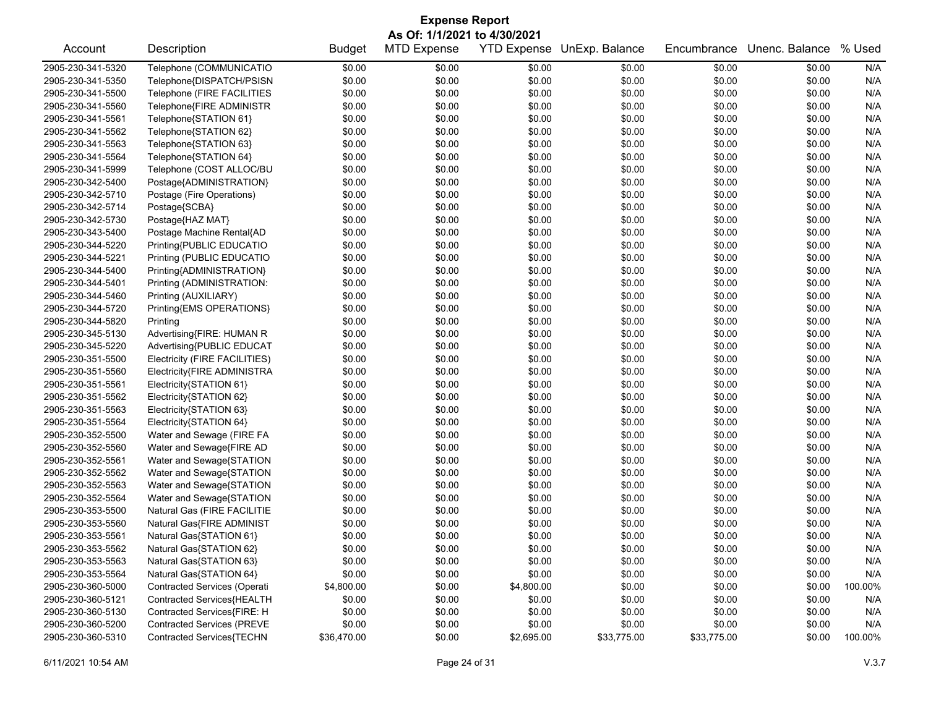|                   | <b>Expense Report</b>               |               |                    |                    |                |             |                |         |  |
|-------------------|-------------------------------------|---------------|--------------------|--------------------|----------------|-------------|----------------|---------|--|
|                   | As Of: 1/1/2021 to 4/30/2021        |               |                    |                    |                |             |                |         |  |
| Account           | Description                         | <b>Budget</b> | <b>MTD Expense</b> | <b>YTD Expense</b> | UnExp. Balance | Encumbrance | Unenc. Balance | % Used  |  |
| 2905-230-341-5320 | Telephone (COMMUNICATIO             | \$0.00        | \$0.00             | \$0.00             | \$0.00         | \$0.00      | \$0.00         | N/A     |  |
| 2905-230-341-5350 | Telephone{DISPATCH/PSISN            | \$0.00        | \$0.00             | \$0.00             | \$0.00         | \$0.00      | \$0.00         | N/A     |  |
| 2905-230-341-5500 | Telephone (FIRE FACILITIES          | \$0.00        | \$0.00             | \$0.00             | \$0.00         | \$0.00      | \$0.00         | N/A     |  |
| 2905-230-341-5560 | Telephone{FIRE ADMINISTR            | \$0.00        | \$0.00             | \$0.00             | \$0.00         | \$0.00      | \$0.00         | N/A     |  |
| 2905-230-341-5561 | Telephone{STATION 61}               | \$0.00        | \$0.00             | \$0.00             | \$0.00         | \$0.00      | \$0.00         | N/A     |  |
| 2905-230-341-5562 | Telephone{STATION 62}               | \$0.00        | \$0.00             | \$0.00             | \$0.00         | \$0.00      | \$0.00         | N/A     |  |
| 2905-230-341-5563 | Telephone{STATION 63}               | \$0.00        | \$0.00             | \$0.00             | \$0.00         | \$0.00      | \$0.00         | N/A     |  |
| 2905-230-341-5564 | Telephone{STATION 64}               | \$0.00        | \$0.00             | \$0.00             | \$0.00         | \$0.00      | \$0.00         | N/A     |  |
| 2905-230-341-5999 | Telephone (COST ALLOC/BU            | \$0.00        | \$0.00             | \$0.00             | \$0.00         | \$0.00      | \$0.00         | N/A     |  |
| 2905-230-342-5400 | Postage{ADMINISTRATION}             | \$0.00        | \$0.00             | \$0.00             | \$0.00         | \$0.00      | \$0.00         | N/A     |  |
| 2905-230-342-5710 | Postage (Fire Operations)           | \$0.00        | \$0.00             | \$0.00             | \$0.00         | \$0.00      | \$0.00         | N/A     |  |
| 2905-230-342-5714 | Postage{SCBA}                       | \$0.00        | \$0.00             | \$0.00             | \$0.00         | \$0.00      | \$0.00         | N/A     |  |
| 2905-230-342-5730 | Postage{HAZ MAT}                    | \$0.00        | \$0.00             | \$0.00             | \$0.00         | \$0.00      | \$0.00         | N/A     |  |
| 2905-230-343-5400 | Postage Machine Rental{AD           | \$0.00        | \$0.00             | \$0.00             | \$0.00         | \$0.00      | \$0.00         | N/A     |  |
| 2905-230-344-5220 | Printing{PUBLIC EDUCATIO            | \$0.00        | \$0.00             | \$0.00             | \$0.00         | \$0.00      | \$0.00         | N/A     |  |
| 2905-230-344-5221 | Printing (PUBLIC EDUCATIO           | \$0.00        | \$0.00             | \$0.00             | \$0.00         | \$0.00      | \$0.00         | N/A     |  |
| 2905-230-344-5400 | Printing{ADMINISTRATION}            | \$0.00        | \$0.00             | \$0.00             | \$0.00         | \$0.00      | \$0.00         | N/A     |  |
| 2905-230-344-5401 | Printing (ADMINISTRATION:           | \$0.00        | \$0.00             | \$0.00             | \$0.00         | \$0.00      | \$0.00         | N/A     |  |
| 2905-230-344-5460 | Printing (AUXILIARY)                | \$0.00        | \$0.00             | \$0.00             | \$0.00         | \$0.00      | \$0.00         | N/A     |  |
| 2905-230-344-5720 | Printing{EMS OPERATIONS}            | \$0.00        | \$0.00             | \$0.00             | \$0.00         | \$0.00      | \$0.00         | N/A     |  |
| 2905-230-344-5820 | Printing                            | \$0.00        | \$0.00             | \$0.00             | \$0.00         | \$0.00      | \$0.00         | N/A     |  |
| 2905-230-345-5130 | Advertising{FIRE: HUMAN R           | \$0.00        | \$0.00             | \$0.00             | \$0.00         | \$0.00      | \$0.00         | N/A     |  |
| 2905-230-345-5220 | Advertising{PUBLIC EDUCAT           | \$0.00        | \$0.00             | \$0.00             | \$0.00         | \$0.00      | \$0.00         | N/A     |  |
| 2905-230-351-5500 | Electricity (FIRE FACILITIES)       | \$0.00        | \$0.00             | \$0.00             | \$0.00         | \$0.00      | \$0.00         | N/A     |  |
| 2905-230-351-5560 | Electricity{FIRE ADMINISTRA         | \$0.00        | \$0.00             | \$0.00             | \$0.00         | \$0.00      | \$0.00         | N/A     |  |
| 2905-230-351-5561 | Electricity{STATION 61}             | \$0.00        | \$0.00             | \$0.00             | \$0.00         | \$0.00      | \$0.00         | N/A     |  |
| 2905-230-351-5562 | Electricity{STATION 62}             | \$0.00        | \$0.00             | \$0.00             | \$0.00         | \$0.00      | \$0.00         | N/A     |  |
| 2905-230-351-5563 | Electricity{STATION 63}             | \$0.00        | \$0.00             | \$0.00             | \$0.00         | \$0.00      | \$0.00         | N/A     |  |
| 2905-230-351-5564 | Electricity{STATION 64}             | \$0.00        | \$0.00             | \$0.00             | \$0.00         | \$0.00      | \$0.00         | N/A     |  |
| 2905-230-352-5500 | Water and Sewage (FIRE FA           | \$0.00        | \$0.00             | \$0.00             | \$0.00         | \$0.00      | \$0.00         | N/A     |  |
| 2905-230-352-5560 | Water and Sewage{FIRE AD            | \$0.00        | \$0.00             | \$0.00             | \$0.00         | \$0.00      | \$0.00         | N/A     |  |
| 2905-230-352-5561 | Water and Sewage{STATION            | \$0.00        | \$0.00             | \$0.00             | \$0.00         | \$0.00      | \$0.00         | N/A     |  |
| 2905-230-352-5562 | Water and Sewage{STATION            | \$0.00        | \$0.00             | \$0.00             | \$0.00         | \$0.00      | \$0.00         | N/A     |  |
| 2905-230-352-5563 | Water and Sewage{STATION            | \$0.00        | \$0.00             | \$0.00             | \$0.00         | \$0.00      | \$0.00         | N/A     |  |
| 2905-230-352-5564 | Water and Sewage{STATION            | \$0.00        | \$0.00             | \$0.00             | \$0.00         | \$0.00      | \$0.00         | N/A     |  |
| 2905-230-353-5500 | Natural Gas (FIRE FACILITIE         | \$0.00        | \$0.00             | \$0.00             | \$0.00         | \$0.00      | \$0.00         | N/A     |  |
| 2905-230-353-5560 | Natural Gas{FIRE ADMINIST           | \$0.00        | \$0.00             | \$0.00             | \$0.00         | \$0.00      | \$0.00         | N/A     |  |
| 2905-230-353-5561 | Natural Gas{STATION 61}             | \$0.00        | \$0.00             | \$0.00             | \$0.00         | \$0.00      | \$0.00         | N/A     |  |
| 2905-230-353-5562 | Natural Gas{STATION 62}             | \$0.00        | \$0.00             | \$0.00             | \$0.00         | \$0.00      | \$0.00         | N/A     |  |
| 2905-230-353-5563 | Natural Gas{STATION 63}             | \$0.00        | \$0.00             | \$0.00             | \$0.00         | \$0.00      | \$0.00         | N/A     |  |
| 2905-230-353-5564 | Natural Gas{STATION 64}             | \$0.00        | \$0.00             | \$0.00             | \$0.00         | \$0.00      | \$0.00         | N/A     |  |
| 2905-230-360-5000 | <b>Contracted Services (Operati</b> | \$4,800.00    | \$0.00             | \$4,800.00         | \$0.00         | \$0.00      | \$0.00         | 100.00% |  |
| 2905-230-360-5121 | Contracted Services{HEALTH          | \$0.00        | \$0.00             | \$0.00             | \$0.00         | \$0.00      | \$0.00         | N/A     |  |
| 2905-230-360-5130 | Contracted Services{FIRE: H         | \$0.00        | \$0.00             | \$0.00             | \$0.00         | \$0.00      | \$0.00         | N/A     |  |
| 2905-230-360-5200 | <b>Contracted Services (PREVE</b>   | \$0.00        | \$0.00             | \$0.00             | \$0.00         | \$0.00      | \$0.00         | N/A     |  |
| 2905-230-360-5310 | Contracted Services{TECHN           | \$36,470.00   | \$0.00             | \$2,695.00         | \$33,775.00    | \$33,775.00 | \$0.00         | 100.00% |  |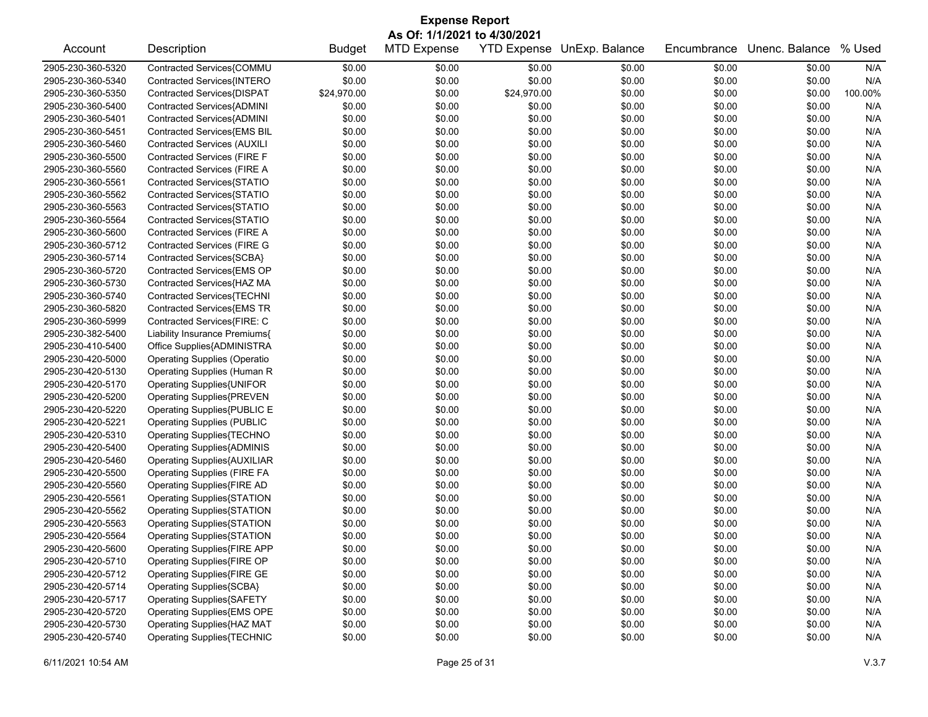| As Of: 1/1/2021 to 4/30/2021<br><b>MTD Expense</b><br><b>YTD Expense</b><br>Unenc. Balance<br>% Used<br>Account<br>Description<br><b>Budget</b><br>UnExp. Balance<br>Encumbrance<br>Contracted Services{COMMU<br>\$0.00<br>2905-230-360-5320<br>\$0.00<br>\$0.00<br>\$0.00<br>\$0.00<br>\$0.00<br>\$0.00<br>\$0.00<br>Contracted Services{INTERO<br>\$0.00<br>\$0.00<br>\$0.00<br>\$0.00<br>2905-230-360-5340<br>\$24,970.00<br>\$0.00<br>2905-230-360-5350<br>Contracted Services{DISPAT<br>\$0.00<br>\$24,970.00<br>\$0.00<br>\$0.00<br>\$0.00<br>\$0.00<br>2905-230-360-5400<br>Contracted Services{ADMINI<br>\$0.00<br>\$0.00<br>\$0.00<br>\$0.00<br>Contracted Services{ADMINI<br>\$0.00<br>\$0.00<br>\$0.00<br>\$0.00<br>2905-230-360-5401<br>\$0.00<br>\$0.00<br>Contracted Services{EMS BIL<br>\$0.00<br>\$0.00<br>\$0.00<br>2905-230-360-5451<br>\$0.00<br>\$0.00<br>\$0.00<br>\$0.00<br><b>Contracted Services (AUXILI</b><br>\$0.00<br>\$0.00<br>\$0.00<br>\$0.00<br>\$0.00<br>2905-230-360-5460<br>Contracted Services (FIRE F<br>\$0.00<br>\$0.00<br>\$0.00<br>2905-230-360-5500<br>\$0.00<br>\$0.00<br>\$0.00<br>Contracted Services (FIRE A<br>\$0.00<br>2905-230-360-5560<br>\$0.00<br>\$0.00<br>\$0.00<br>\$0.00<br>\$0.00<br>Contracted Services{STATIO<br>\$0.00<br>\$0.00<br>\$0.00<br>\$0.00<br>2905-230-360-5561<br>\$0.00<br>\$0.00 | <b>Expense Report</b>      |                  |         |  |  |  |  |  |
|------------------------------------------------------------------------------------------------------------------------------------------------------------------------------------------------------------------------------------------------------------------------------------------------------------------------------------------------------------------------------------------------------------------------------------------------------------------------------------------------------------------------------------------------------------------------------------------------------------------------------------------------------------------------------------------------------------------------------------------------------------------------------------------------------------------------------------------------------------------------------------------------------------------------------------------------------------------------------------------------------------------------------------------------------------------------------------------------------------------------------------------------------------------------------------------------------------------------------------------------------------------------------------------------------------------------------------------------------------|----------------------------|------------------|---------|--|--|--|--|--|
|                                                                                                                                                                                                                                                                                                                                                                                                                                                                                                                                                                                                                                                                                                                                                                                                                                                                                                                                                                                                                                                                                                                                                                                                                                                                                                                                                            |                            |                  |         |  |  |  |  |  |
|                                                                                                                                                                                                                                                                                                                                                                                                                                                                                                                                                                                                                                                                                                                                                                                                                                                                                                                                                                                                                                                                                                                                                                                                                                                                                                                                                            |                            |                  |         |  |  |  |  |  |
|                                                                                                                                                                                                                                                                                                                                                                                                                                                                                                                                                                                                                                                                                                                                                                                                                                                                                                                                                                                                                                                                                                                                                                                                                                                                                                                                                            |                            |                  | N/A     |  |  |  |  |  |
|                                                                                                                                                                                                                                                                                                                                                                                                                                                                                                                                                                                                                                                                                                                                                                                                                                                                                                                                                                                                                                                                                                                                                                                                                                                                                                                                                            |                            |                  | N/A     |  |  |  |  |  |
|                                                                                                                                                                                                                                                                                                                                                                                                                                                                                                                                                                                                                                                                                                                                                                                                                                                                                                                                                                                                                                                                                                                                                                                                                                                                                                                                                            |                            |                  | 100.00% |  |  |  |  |  |
|                                                                                                                                                                                                                                                                                                                                                                                                                                                                                                                                                                                                                                                                                                                                                                                                                                                                                                                                                                                                                                                                                                                                                                                                                                                                                                                                                            |                            |                  | N/A     |  |  |  |  |  |
|                                                                                                                                                                                                                                                                                                                                                                                                                                                                                                                                                                                                                                                                                                                                                                                                                                                                                                                                                                                                                                                                                                                                                                                                                                                                                                                                                            |                            |                  | N/A     |  |  |  |  |  |
|                                                                                                                                                                                                                                                                                                                                                                                                                                                                                                                                                                                                                                                                                                                                                                                                                                                                                                                                                                                                                                                                                                                                                                                                                                                                                                                                                            |                            |                  | N/A     |  |  |  |  |  |
|                                                                                                                                                                                                                                                                                                                                                                                                                                                                                                                                                                                                                                                                                                                                                                                                                                                                                                                                                                                                                                                                                                                                                                                                                                                                                                                                                            |                            |                  | N/A     |  |  |  |  |  |
|                                                                                                                                                                                                                                                                                                                                                                                                                                                                                                                                                                                                                                                                                                                                                                                                                                                                                                                                                                                                                                                                                                                                                                                                                                                                                                                                                            |                            |                  | N/A     |  |  |  |  |  |
|                                                                                                                                                                                                                                                                                                                                                                                                                                                                                                                                                                                                                                                                                                                                                                                                                                                                                                                                                                                                                                                                                                                                                                                                                                                                                                                                                            |                            |                  | N/A     |  |  |  |  |  |
|                                                                                                                                                                                                                                                                                                                                                                                                                                                                                                                                                                                                                                                                                                                                                                                                                                                                                                                                                                                                                                                                                                                                                                                                                                                                                                                                                            |                            |                  | N/A     |  |  |  |  |  |
| \$0.00<br>\$0.00<br>2905-230-360-5562<br>\$0.00<br>\$0.00                                                                                                                                                                                                                                                                                                                                                                                                                                                                                                                                                                                                                                                                                                                                                                                                                                                                                                                                                                                                                                                                                                                                                                                                                                                                                                  | Contracted Services{STATIO | \$0.00<br>\$0.00 | N/A     |  |  |  |  |  |
| Contracted Services{STATIO<br>\$0.00<br>\$0.00<br>\$0.00<br>\$0.00<br>\$0.00<br>\$0.00<br>2905-230-360-5563                                                                                                                                                                                                                                                                                                                                                                                                                                                                                                                                                                                                                                                                                                                                                                                                                                                                                                                                                                                                                                                                                                                                                                                                                                                |                            |                  | N/A     |  |  |  |  |  |
| \$0.00<br>\$0.00<br>2905-230-360-5564<br>Contracted Services{STATIO<br>\$0.00<br>\$0.00<br>\$0.00<br>\$0.00                                                                                                                                                                                                                                                                                                                                                                                                                                                                                                                                                                                                                                                                                                                                                                                                                                                                                                                                                                                                                                                                                                                                                                                                                                                |                            |                  | N/A     |  |  |  |  |  |
| \$0.00<br>2905-230-360-5600<br><b>Contracted Services (FIRE A</b><br>\$0.00<br>\$0.00<br>\$0.00<br>\$0.00<br>\$0.00                                                                                                                                                                                                                                                                                                                                                                                                                                                                                                                                                                                                                                                                                                                                                                                                                                                                                                                                                                                                                                                                                                                                                                                                                                        |                            |                  | N/A     |  |  |  |  |  |
| <b>Contracted Services (FIRE G</b><br>\$0.00<br>\$0.00<br>\$0.00<br>\$0.00<br>2905-230-360-5712<br>\$0.00<br>\$0.00                                                                                                                                                                                                                                                                                                                                                                                                                                                                                                                                                                                                                                                                                                                                                                                                                                                                                                                                                                                                                                                                                                                                                                                                                                        |                            |                  | N/A     |  |  |  |  |  |
| \$0.00<br>\$0.00<br>\$0.00<br>2905-230-360-5714<br>Contracted Services{SCBA}<br>\$0.00<br>\$0.00<br>\$0.00                                                                                                                                                                                                                                                                                                                                                                                                                                                                                                                                                                                                                                                                                                                                                                                                                                                                                                                                                                                                                                                                                                                                                                                                                                                 |                            |                  | N/A     |  |  |  |  |  |
| Contracted Services{EMS OP<br>\$0.00<br>\$0.00<br>\$0.00<br>\$0.00<br>\$0.00<br>\$0.00<br>2905-230-360-5720                                                                                                                                                                                                                                                                                                                                                                                                                                                                                                                                                                                                                                                                                                                                                                                                                                                                                                                                                                                                                                                                                                                                                                                                                                                |                            |                  | N/A     |  |  |  |  |  |
| Contracted Services{HAZ MA<br>\$0.00<br>\$0.00<br>\$0.00<br>2905-230-360-5730<br>\$0.00<br>\$0.00<br>\$0.00                                                                                                                                                                                                                                                                                                                                                                                                                                                                                                                                                                                                                                                                                                                                                                                                                                                                                                                                                                                                                                                                                                                                                                                                                                                |                            |                  | N/A     |  |  |  |  |  |
| Contracted Services{TECHNI<br>\$0.00<br>2905-230-360-5740<br>\$0.00<br>\$0.00<br>\$0.00<br>\$0.00<br>\$0.00                                                                                                                                                                                                                                                                                                                                                                                                                                                                                                                                                                                                                                                                                                                                                                                                                                                                                                                                                                                                                                                                                                                                                                                                                                                |                            |                  | N/A     |  |  |  |  |  |
| Contracted Services{EMS TR<br>\$0.00<br>\$0.00<br>\$0.00<br>2905-230-360-5820<br>\$0.00<br>\$0.00<br>\$0.00                                                                                                                                                                                                                                                                                                                                                                                                                                                                                                                                                                                                                                                                                                                                                                                                                                                                                                                                                                                                                                                                                                                                                                                                                                                |                            |                  | N/A     |  |  |  |  |  |
| Contracted Services{FIRE: C<br>\$0.00<br>\$0.00<br>2905-230-360-5999<br>\$0.00<br>\$0.00<br>\$0.00<br>\$0.00                                                                                                                                                                                                                                                                                                                                                                                                                                                                                                                                                                                                                                                                                                                                                                                                                                                                                                                                                                                                                                                                                                                                                                                                                                               |                            |                  | N/A     |  |  |  |  |  |
| Liability Insurance Premiums{<br>\$0.00<br>\$0.00<br>\$0.00<br>\$0.00<br>\$0.00<br>\$0.00<br>2905-230-382-5400                                                                                                                                                                                                                                                                                                                                                                                                                                                                                                                                                                                                                                                                                                                                                                                                                                                                                                                                                                                                                                                                                                                                                                                                                                             |                            |                  | N/A     |  |  |  |  |  |
| \$0.00<br>\$0.00<br>\$0.00<br>2905-230-410-5400<br>Office Supplies{ADMINISTRA<br>\$0.00<br>\$0.00<br>\$0.00                                                                                                                                                                                                                                                                                                                                                                                                                                                                                                                                                                                                                                                                                                                                                                                                                                                                                                                                                                                                                                                                                                                                                                                                                                                |                            |                  | N/A     |  |  |  |  |  |
| \$0.00<br>2905-230-420-5000<br><b>Operating Supplies (Operatio</b><br>\$0.00<br>\$0.00<br>\$0.00<br>\$0.00<br>\$0.00                                                                                                                                                                                                                                                                                                                                                                                                                                                                                                                                                                                                                                                                                                                                                                                                                                                                                                                                                                                                                                                                                                                                                                                                                                       |                            |                  | N/A     |  |  |  |  |  |
| \$0.00<br>\$0.00<br>\$0.00<br>2905-230-420-5130<br>Operating Supplies (Human R<br>\$0.00<br>\$0.00<br>\$0.00                                                                                                                                                                                                                                                                                                                                                                                                                                                                                                                                                                                                                                                                                                                                                                                                                                                                                                                                                                                                                                                                                                                                                                                                                                               |                            |                  | N/A     |  |  |  |  |  |
| \$0.00<br>\$0.00<br>\$0.00<br>2905-230-420-5170<br>Operating Supplies{UNIFOR<br>\$0.00<br>\$0.00<br>\$0.00                                                                                                                                                                                                                                                                                                                                                                                                                                                                                                                                                                                                                                                                                                                                                                                                                                                                                                                                                                                                                                                                                                                                                                                                                                                 |                            |                  | N/A     |  |  |  |  |  |
| <b>Operating Supplies{PREVEN</b><br>\$0.00<br>\$0.00<br>\$0.00<br>\$0.00<br>\$0.00<br>\$0.00<br>2905-230-420-5200                                                                                                                                                                                                                                                                                                                                                                                                                                                                                                                                                                                                                                                                                                                                                                                                                                                                                                                                                                                                                                                                                                                                                                                                                                          |                            |                  | N/A     |  |  |  |  |  |
| \$0.00<br>\$0.00<br>2905-230-420-5220<br>Operating Supplies{PUBLIC E<br>\$0.00<br>\$0.00<br>\$0.00<br>\$0.00                                                                                                                                                                                                                                                                                                                                                                                                                                                                                                                                                                                                                                                                                                                                                                                                                                                                                                                                                                                                                                                                                                                                                                                                                                               |                            |                  | N/A     |  |  |  |  |  |
| <b>Operating Supplies (PUBLIC</b><br>\$0.00<br>2905-230-420-5221<br>\$0.00<br>\$0.00<br>\$0.00<br>\$0.00<br>\$0.00                                                                                                                                                                                                                                                                                                                                                                                                                                                                                                                                                                                                                                                                                                                                                                                                                                                                                                                                                                                                                                                                                                                                                                                                                                         |                            |                  | N/A     |  |  |  |  |  |
| \$0.00<br>\$0.00<br>\$0.00<br>2905-230-420-5310<br>Operating Supplies{TECHNO<br>\$0.00<br>\$0.00<br>\$0.00                                                                                                                                                                                                                                                                                                                                                                                                                                                                                                                                                                                                                                                                                                                                                                                                                                                                                                                                                                                                                                                                                                                                                                                                                                                 |                            |                  | N/A     |  |  |  |  |  |
| \$0.00<br>2905-230-420-5400<br><b>Operating Supplies{ADMINIS</b><br>\$0.00<br>\$0.00<br>\$0.00<br>\$0.00<br>\$0.00                                                                                                                                                                                                                                                                                                                                                                                                                                                                                                                                                                                                                                                                                                                                                                                                                                                                                                                                                                                                                                                                                                                                                                                                                                         |                            |                  | N/A     |  |  |  |  |  |
| \$0.00<br>\$0.00<br>\$0.00<br>\$0.00<br>\$0.00<br>\$0.00<br>2905-230-420-5460<br>Operating Supplies{AUXILIAR                                                                                                                                                                                                                                                                                                                                                                                                                                                                                                                                                                                                                                                                                                                                                                                                                                                                                                                                                                                                                                                                                                                                                                                                                                               |                            |                  | N/A     |  |  |  |  |  |
| 2905-230-420-5500<br><b>Operating Supplies (FIRE FA</b><br>\$0.00<br>\$0.00<br>\$0.00<br>\$0.00<br>\$0.00<br>\$0.00                                                                                                                                                                                                                                                                                                                                                                                                                                                                                                                                                                                                                                                                                                                                                                                                                                                                                                                                                                                                                                                                                                                                                                                                                                        |                            |                  | N/A     |  |  |  |  |  |
| 2905-230-420-5560<br>Operating Supplies{FIRE AD<br>\$0.00<br>\$0.00<br>\$0.00<br>\$0.00<br>\$0.00<br>\$0.00                                                                                                                                                                                                                                                                                                                                                                                                                                                                                                                                                                                                                                                                                                                                                                                                                                                                                                                                                                                                                                                                                                                                                                                                                                                |                            |                  | N/A     |  |  |  |  |  |
| 2905-230-420-5561<br>Operating Supplies{STATION<br>\$0.00<br>\$0.00<br>\$0.00<br>\$0.00<br>\$0.00<br>\$0.00                                                                                                                                                                                                                                                                                                                                                                                                                                                                                                                                                                                                                                                                                                                                                                                                                                                                                                                                                                                                                                                                                                                                                                                                                                                |                            |                  | N/A     |  |  |  |  |  |
| \$0.00<br>\$0.00<br>2905-230-420-5562<br>Operating Supplies{STATION<br>\$0.00<br>\$0.00<br>\$0.00<br>\$0.00                                                                                                                                                                                                                                                                                                                                                                                                                                                                                                                                                                                                                                                                                                                                                                                                                                                                                                                                                                                                                                                                                                                                                                                                                                                |                            |                  | N/A     |  |  |  |  |  |
| \$0.00<br>\$0.00<br>\$0.00<br>2905-230-420-5563<br>\$0.00<br>\$0.00<br>\$0.00<br>Operating Supplies{STATION                                                                                                                                                                                                                                                                                                                                                                                                                                                                                                                                                                                                                                                                                                                                                                                                                                                                                                                                                                                                                                                                                                                                                                                                                                                |                            |                  | N/A     |  |  |  |  |  |
| \$0.00<br>\$0.00<br>\$0.00<br>\$0.00<br>2905-230-420-5564<br>Operating Supplies{STATION<br>\$0.00<br>\$0.00                                                                                                                                                                                                                                                                                                                                                                                                                                                                                                                                                                                                                                                                                                                                                                                                                                                                                                                                                                                                                                                                                                                                                                                                                                                |                            |                  | N/A     |  |  |  |  |  |
| 2905-230-420-5600<br>Operating Supplies{FIRE APP<br>\$0.00<br>\$0.00<br>\$0.00<br>\$0.00<br>\$0.00<br>\$0.00                                                                                                                                                                                                                                                                                                                                                                                                                                                                                                                                                                                                                                                                                                                                                                                                                                                                                                                                                                                                                                                                                                                                                                                                                                               |                            |                  | N/A     |  |  |  |  |  |
| Operating Supplies{FIRE OP<br>\$0.00<br>2905-230-420-5710<br>\$0.00<br>\$0.00<br>\$0.00<br>\$0.00<br>\$0.00                                                                                                                                                                                                                                                                                                                                                                                                                                                                                                                                                                                                                                                                                                                                                                                                                                                                                                                                                                                                                                                                                                                                                                                                                                                |                            |                  | N/A     |  |  |  |  |  |
| \$0.00<br>2905-230-420-5712<br>Operating Supplies{FIRE GE<br>\$0.00<br>\$0.00<br>\$0.00<br>\$0.00<br>\$0.00                                                                                                                                                                                                                                                                                                                                                                                                                                                                                                                                                                                                                                                                                                                                                                                                                                                                                                                                                                                                                                                                                                                                                                                                                                                |                            |                  | N/A     |  |  |  |  |  |
| 2905-230-420-5714<br>Operating Supplies{SCBA}<br>\$0.00<br>\$0.00<br>\$0.00<br>\$0.00<br>\$0.00<br>\$0.00                                                                                                                                                                                                                                                                                                                                                                                                                                                                                                                                                                                                                                                                                                                                                                                                                                                                                                                                                                                                                                                                                                                                                                                                                                                  |                            |                  | N/A     |  |  |  |  |  |
| 2905-230-420-5717<br><b>Operating Supplies{SAFETY</b><br>\$0.00<br>\$0.00<br>\$0.00<br>\$0.00<br>\$0.00<br>\$0.00                                                                                                                                                                                                                                                                                                                                                                                                                                                                                                                                                                                                                                                                                                                                                                                                                                                                                                                                                                                                                                                                                                                                                                                                                                          |                            |                  | N/A     |  |  |  |  |  |
| 2905-230-420-5720<br>Operating Supplies{EMS OPE<br>\$0.00<br>\$0.00<br>\$0.00<br>\$0.00<br>\$0.00<br>\$0.00                                                                                                                                                                                                                                                                                                                                                                                                                                                                                                                                                                                                                                                                                                                                                                                                                                                                                                                                                                                                                                                                                                                                                                                                                                                |                            |                  | N/A     |  |  |  |  |  |
| 2905-230-420-5730<br>Operating Supplies{HAZ MAT<br>\$0.00<br>\$0.00<br>\$0.00<br>\$0.00<br>\$0.00<br>\$0.00                                                                                                                                                                                                                                                                                                                                                                                                                                                                                                                                                                                                                                                                                                                                                                                                                                                                                                                                                                                                                                                                                                                                                                                                                                                |                            |                  | N/A     |  |  |  |  |  |
| 2905-230-420-5740<br><b>Operating Supplies{TECHNIC</b><br>\$0.00<br>\$0.00<br>\$0.00<br>\$0.00<br>\$0.00<br>\$0.00                                                                                                                                                                                                                                                                                                                                                                                                                                                                                                                                                                                                                                                                                                                                                                                                                                                                                                                                                                                                                                                                                                                                                                                                                                         |                            |                  | N/A     |  |  |  |  |  |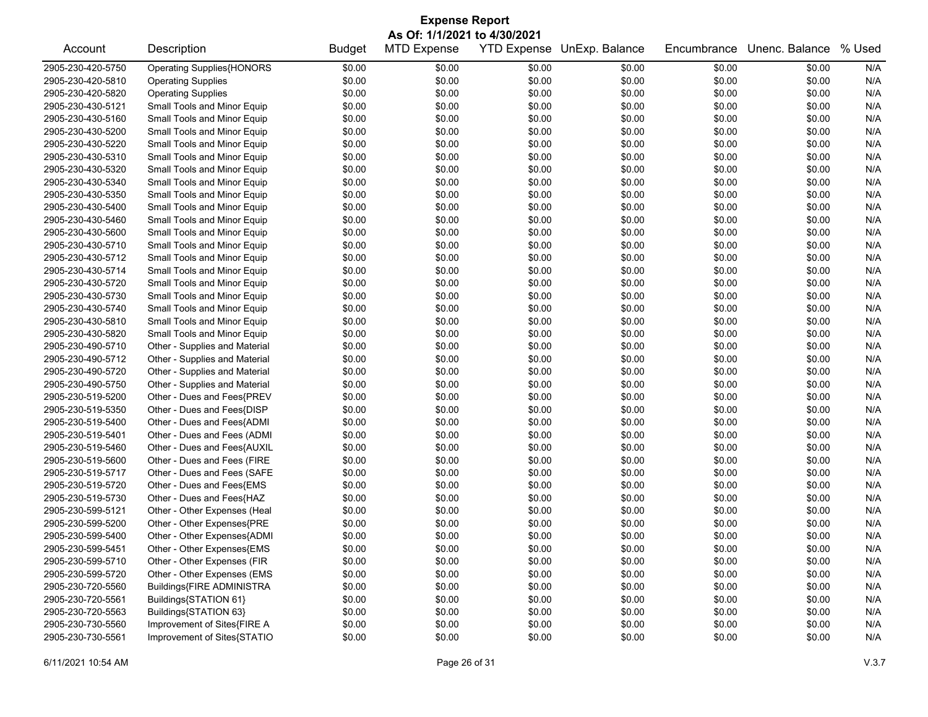| <b>Expense Report</b><br>As Of: 1/1/2021 to 4/30/2021 |                                  |        |        |        |        |        |        |     |  |
|-------------------------------------------------------|----------------------------------|--------|--------|--------|--------|--------|--------|-----|--|
|                                                       |                                  |        |        |        |        |        |        |     |  |
| 2905-230-420-5750                                     | <b>Operating Supplies{HONORS</b> | \$0.00 | \$0.00 | \$0.00 | \$0.00 | \$0.00 | \$0.00 | N/A |  |
| 2905-230-420-5810                                     | <b>Operating Supplies</b>        | \$0.00 | \$0.00 | \$0.00 | \$0.00 | \$0.00 | \$0.00 | N/A |  |
| 2905-230-420-5820                                     | <b>Operating Supplies</b>        | \$0.00 | \$0.00 | \$0.00 | \$0.00 | \$0.00 | \$0.00 | N/A |  |
| 2905-230-430-5121                                     | Small Tools and Minor Equip      | \$0.00 | \$0.00 | \$0.00 | \$0.00 | \$0.00 | \$0.00 | N/A |  |
| 2905-230-430-5160                                     | Small Tools and Minor Equip      | \$0.00 | \$0.00 | \$0.00 | \$0.00 | \$0.00 | \$0.00 | N/A |  |
| 2905-230-430-5200                                     | Small Tools and Minor Equip      | \$0.00 | \$0.00 | \$0.00 | \$0.00 | \$0.00 | \$0.00 | N/A |  |
| 2905-230-430-5220                                     | Small Tools and Minor Equip      | \$0.00 | \$0.00 | \$0.00 | \$0.00 | \$0.00 | \$0.00 | N/A |  |
| 2905-230-430-5310                                     | Small Tools and Minor Equip      | \$0.00 | \$0.00 | \$0.00 | \$0.00 | \$0.00 | \$0.00 | N/A |  |
| 2905-230-430-5320                                     | Small Tools and Minor Equip      | \$0.00 | \$0.00 | \$0.00 | \$0.00 | \$0.00 | \$0.00 | N/A |  |
| 2905-230-430-5340                                     | Small Tools and Minor Equip      | \$0.00 | \$0.00 | \$0.00 | \$0.00 | \$0.00 | \$0.00 | N/A |  |
| 2905-230-430-5350                                     | Small Tools and Minor Equip      | \$0.00 | \$0.00 | \$0.00 | \$0.00 | \$0.00 | \$0.00 | N/A |  |
| 2905-230-430-5400                                     | Small Tools and Minor Equip      | \$0.00 | \$0.00 | \$0.00 | \$0.00 | \$0.00 | \$0.00 | N/A |  |
| 2905-230-430-5460                                     | Small Tools and Minor Equip      | \$0.00 | \$0.00 | \$0.00 | \$0.00 | \$0.00 | \$0.00 | N/A |  |
| 2905-230-430-5600                                     | Small Tools and Minor Equip      | \$0.00 | \$0.00 | \$0.00 | \$0.00 | \$0.00 | \$0.00 | N/A |  |
| 2905-230-430-5710                                     | Small Tools and Minor Equip      | \$0.00 | \$0.00 | \$0.00 | \$0.00 | \$0.00 | \$0.00 | N/A |  |
| 2905-230-430-5712                                     | Small Tools and Minor Equip      | \$0.00 | \$0.00 | \$0.00 | \$0.00 | \$0.00 | \$0.00 | N/A |  |
| 2905-230-430-5714                                     | Small Tools and Minor Equip      | \$0.00 | \$0.00 | \$0.00 | \$0.00 | \$0.00 | \$0.00 | N/A |  |
| 2905-230-430-5720                                     | Small Tools and Minor Equip      | \$0.00 | \$0.00 | \$0.00 | \$0.00 | \$0.00 | \$0.00 | N/A |  |
| 2905-230-430-5730                                     | Small Tools and Minor Equip      | \$0.00 | \$0.00 | \$0.00 | \$0.00 | \$0.00 | \$0.00 | N/A |  |
| 2905-230-430-5740                                     | Small Tools and Minor Equip      | \$0.00 | \$0.00 | \$0.00 | \$0.00 | \$0.00 | \$0.00 | N/A |  |
| 2905-230-430-5810                                     | Small Tools and Minor Equip      | \$0.00 | \$0.00 | \$0.00 | \$0.00 | \$0.00 | \$0.00 | N/A |  |
| 2905-230-430-5820                                     | Small Tools and Minor Equip      | \$0.00 | \$0.00 | \$0.00 | \$0.00 | \$0.00 | \$0.00 | N/A |  |
| 2905-230-490-5710                                     | Other - Supplies and Material    | \$0.00 | \$0.00 | \$0.00 | \$0.00 | \$0.00 | \$0.00 | N/A |  |
| 2905-230-490-5712                                     | Other - Supplies and Material    | \$0.00 | \$0.00 | \$0.00 | \$0.00 | \$0.00 | \$0.00 | N/A |  |
| 2905-230-490-5720                                     | Other - Supplies and Material    | \$0.00 | \$0.00 | \$0.00 | \$0.00 | \$0.00 | \$0.00 | N/A |  |
| 2905-230-490-5750                                     | Other - Supplies and Material    | \$0.00 | \$0.00 | \$0.00 | \$0.00 | \$0.00 | \$0.00 | N/A |  |
| 2905-230-519-5200                                     | Other - Dues and Fees{PREV       | \$0.00 | \$0.00 | \$0.00 | \$0.00 | \$0.00 | \$0.00 | N/A |  |
| 2905-230-519-5350                                     | Other - Dues and Fees{DISP       | \$0.00 | \$0.00 | \$0.00 | \$0.00 | \$0.00 | \$0.00 | N/A |  |
| 2905-230-519-5400                                     | Other - Dues and Fees{ADMI       | \$0.00 | \$0.00 | \$0.00 | \$0.00 | \$0.00 | \$0.00 | N/A |  |
| 2905-230-519-5401                                     | Other - Dues and Fees (ADMI      | \$0.00 | \$0.00 | \$0.00 | \$0.00 | \$0.00 | \$0.00 | N/A |  |
| 2905-230-519-5460                                     | Other - Dues and Fees{AUXIL      | \$0.00 | \$0.00 | \$0.00 | \$0.00 | \$0.00 | \$0.00 | N/A |  |
| 2905-230-519-5600                                     | Other - Dues and Fees (FIRE      | \$0.00 | \$0.00 | \$0.00 | \$0.00 | \$0.00 | \$0.00 | N/A |  |
| 2905-230-519-5717                                     | Other - Dues and Fees (SAFE      | \$0.00 | \$0.00 | \$0.00 | \$0.00 | \$0.00 | \$0.00 | N/A |  |
| 2905-230-519-5720                                     | Other - Dues and Fees{EMS        | \$0.00 | \$0.00 | \$0.00 | \$0.00 | \$0.00 | \$0.00 | N/A |  |
| 2905-230-519-5730                                     | Other - Dues and Fees{HAZ        | \$0.00 | \$0.00 | \$0.00 | \$0.00 | \$0.00 | \$0.00 | N/A |  |
| 2905-230-599-5121                                     | Other - Other Expenses (Heal     | \$0.00 | \$0.00 | \$0.00 | \$0.00 | \$0.00 | \$0.00 | N/A |  |
| 2905-230-599-5200                                     | Other - Other Expenses{PRE       | \$0.00 | \$0.00 | \$0.00 | \$0.00 | \$0.00 | \$0.00 | N/A |  |
| 2905-230-599-5400                                     | Other - Other Expenses{ADMI      | \$0.00 | \$0.00 | \$0.00 | \$0.00 | \$0.00 | \$0.00 | N/A |  |
| 2905-230-599-5451                                     | Other - Other Expenses{EMS       | \$0.00 | \$0.00 | \$0.00 | \$0.00 | \$0.00 | \$0.00 | N/A |  |
| 2905-230-599-5710                                     | Other - Other Expenses (FIR      | \$0.00 | \$0.00 | \$0.00 | \$0.00 | \$0.00 | \$0.00 | N/A |  |
| 2905-230-599-5720                                     | Other - Other Expenses (EMS      | \$0.00 | \$0.00 | \$0.00 | \$0.00 | \$0.00 | \$0.00 | N/A |  |
| 2905-230-720-5560                                     | Buildings{FIRE ADMINISTRA        | \$0.00 | \$0.00 | \$0.00 | \$0.00 | \$0.00 | \$0.00 | N/A |  |
| 2905-230-720-5561                                     | Buildings{STATION 61}            | \$0.00 | \$0.00 | \$0.00 | \$0.00 | \$0.00 | \$0.00 | N/A |  |
| 2905-230-720-5563                                     | Buildings{STATION 63}            | \$0.00 | \$0.00 | \$0.00 | \$0.00 | \$0.00 | \$0.00 | N/A |  |
| 2905-230-730-5560                                     | Improvement of Sites{FIRE A      | \$0.00 | \$0.00 | \$0.00 | \$0.00 | \$0.00 | \$0.00 | N/A |  |
| 2905-230-730-5561                                     | Improvement of Sites{STATIO      | \$0.00 | \$0.00 | \$0.00 | \$0.00 | \$0.00 | \$0.00 | N/A |  |
|                                                       |                                  |        |        |        |        |        |        |     |  |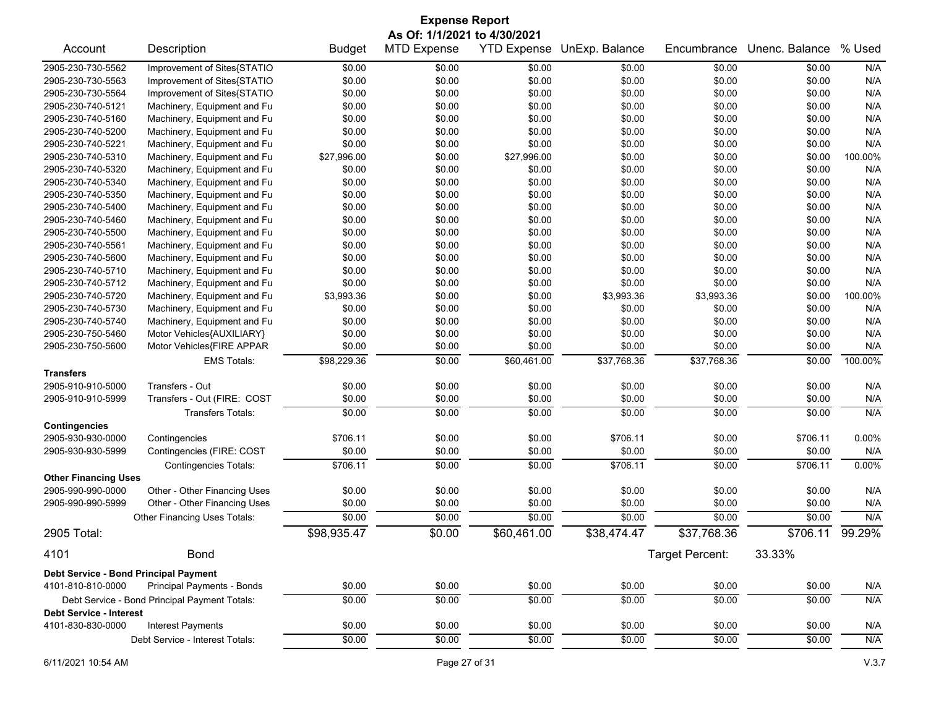| <b>Expense Report</b><br>As Of: 1/1/2021 to 4/30/2021 |                                               |               |                    |             |                            |                 |                      |         |
|-------------------------------------------------------|-----------------------------------------------|---------------|--------------------|-------------|----------------------------|-----------------|----------------------|---------|
| Account                                               | Description                                   | <b>Budget</b> | <b>MTD Expense</b> |             | YTD Expense UnExp. Balance | Encumbrance     | Unenc. Balance       | % Used  |
| 2905-230-730-5562                                     | Improvement of Sites{STATIO                   | \$0.00        | \$0.00             | \$0.00      | \$0.00                     | \$0.00          | \$0.00               | N/A     |
| 2905-230-730-5563                                     | Improvement of Sites{STATIO                   | \$0.00        | \$0.00             | \$0.00      | \$0.00                     | \$0.00          | \$0.00               | N/A     |
| 2905-230-730-5564                                     | Improvement of Sites{STATIO                   | \$0.00        | \$0.00             | \$0.00      | \$0.00                     | \$0.00          | \$0.00               | N/A     |
| 2905-230-740-5121                                     | Machinery, Equipment and Fu                   | \$0.00        | \$0.00             | \$0.00      | \$0.00                     | \$0.00          | \$0.00               | N/A     |
| 2905-230-740-5160                                     | Machinery, Equipment and Fu                   | \$0.00        | \$0.00             | \$0.00      | \$0.00                     | \$0.00          | \$0.00               | N/A     |
| 2905-230-740-5200                                     | Machinery, Equipment and Fu                   | \$0.00        | \$0.00             | \$0.00      | \$0.00                     | \$0.00          | \$0.00               | N/A     |
| 2905-230-740-5221                                     | Machinery, Equipment and Fu                   | \$0.00        | \$0.00             | \$0.00      | \$0.00                     | \$0.00          | \$0.00               | N/A     |
| 2905-230-740-5310                                     | Machinery, Equipment and Fu                   | \$27,996.00   | \$0.00             | \$27,996.00 | \$0.00                     | \$0.00          | \$0.00               | 100.00% |
| 2905-230-740-5320                                     | Machinery, Equipment and Fu                   | \$0.00        | \$0.00             | \$0.00      | \$0.00                     | \$0.00          | \$0.00               | N/A     |
| 2905-230-740-5340                                     | Machinery, Equipment and Fu                   | \$0.00        | \$0.00             | \$0.00      | \$0.00                     | \$0.00          | \$0.00               | N/A     |
| 2905-230-740-5350                                     | Machinery, Equipment and Fu                   | \$0.00        | \$0.00             | \$0.00      | \$0.00                     | \$0.00          | \$0.00               | N/A     |
| 2905-230-740-5400                                     | Machinery, Equipment and Fu                   | \$0.00        | \$0.00             | \$0.00      | \$0.00                     | \$0.00          | \$0.00               | N/A     |
| 2905-230-740-5460                                     | Machinery, Equipment and Fu                   | \$0.00        | \$0.00             | \$0.00      | \$0.00                     | \$0.00          | \$0.00               | N/A     |
| 2905-230-740-5500                                     | Machinery, Equipment and Fu                   | \$0.00        | \$0.00             | \$0.00      | \$0.00                     | \$0.00          | \$0.00               | N/A     |
| 2905-230-740-5561                                     | Machinery, Equipment and Fu                   | \$0.00        | \$0.00             | \$0.00      | \$0.00                     | \$0.00          | \$0.00               | N/A     |
| 2905-230-740-5600                                     | Machinery, Equipment and Fu                   | \$0.00        | \$0.00             | \$0.00      | \$0.00                     | \$0.00          | \$0.00               | N/A     |
| 2905-230-740-5710                                     | Machinery, Equipment and Fu                   | \$0.00        | \$0.00             | \$0.00      | \$0.00                     | \$0.00          | \$0.00               | N/A     |
| 2905-230-740-5712                                     | Machinery, Equipment and Fu                   | \$0.00        | \$0.00             | \$0.00      | \$0.00                     | \$0.00          | \$0.00               | N/A     |
| 2905-230-740-5720                                     | Machinery, Equipment and Fu                   | \$3,993.36    | \$0.00             | \$0.00      | \$3,993.36                 | \$3,993.36      | \$0.00               | 100.00% |
| 2905-230-740-5730                                     | Machinery, Equipment and Fu                   | \$0.00        | \$0.00             | \$0.00      | \$0.00                     | \$0.00          | \$0.00               | N/A     |
| 2905-230-740-5740                                     | Machinery, Equipment and Fu                   | \$0.00        | \$0.00             | \$0.00      | \$0.00                     | \$0.00          | \$0.00               | N/A     |
| 2905-230-750-5460                                     | Motor Vehicles{AUXILIARY}                     | \$0.00        | \$0.00             | \$0.00      | \$0.00                     | \$0.00          | \$0.00               | N/A     |
| 2905-230-750-5600                                     | Motor Vehicles{FIRE APPAR                     | \$0.00        | \$0.00             | \$0.00      | \$0.00                     | \$0.00          | \$0.00               | N/A     |
|                                                       | <b>EMS Totals:</b>                            | \$98,229.36   | \$0.00             | \$60,461.00 | \$37,768.36                | \$37,768.36     | \$0.00               | 100.00% |
| <b>Transfers</b>                                      |                                               |               |                    |             |                            |                 |                      |         |
| 2905-910-910-5000                                     | Transfers - Out                               | \$0.00        | \$0.00             | \$0.00      | \$0.00                     | \$0.00          | \$0.00               | N/A     |
| 2905-910-910-5999                                     | Transfers - Out (FIRE: COST                   | \$0.00        | \$0.00             | \$0.00      | \$0.00                     | \$0.00          | \$0.00               | N/A     |
|                                                       |                                               |               |                    |             |                            |                 |                      |         |
|                                                       | <b>Transfers Totals:</b>                      | \$0.00        | \$0.00             | \$0.00      | \$0.00                     | \$0.00          | \$0.00               | N/A     |
| <b>Contingencies</b>                                  |                                               |               |                    |             |                            |                 |                      |         |
| 2905-930-930-0000                                     | Contingencies                                 | \$706.11      | \$0.00             | \$0.00      | \$706.11                   | \$0.00          | \$706.11             | 0.00%   |
| 2905-930-930-5999                                     | Contingencies (FIRE: COST                     | \$0.00        | \$0.00             | \$0.00      | \$0.00                     | \$0.00          | \$0.00               | N/A     |
|                                                       | <b>Contingencies Totals:</b>                  | \$706.11      | \$0.00             | \$0.00      | \$706.11                   | \$0.00          | \$706.11             | 0.00%   |
| <b>Other Financing Uses</b>                           |                                               |               |                    |             |                            |                 |                      |         |
| 2905-990-990-0000                                     | Other - Other Financing Uses                  | \$0.00        | \$0.00             | \$0.00      | \$0.00                     | \$0.00          | \$0.00               | N/A     |
| 2905-990-990-5999                                     | Other - Other Financing Uses                  | \$0.00        | \$0.00             | \$0.00      | \$0.00                     | \$0.00          | \$0.00               | N/A     |
|                                                       | Other Financing Uses Totals:                  | \$0.00        | \$0.00             | \$0.00      | \$0.00                     | \$0.00          | \$0.00               | N/A     |
| 2905 Total:                                           |                                               | \$98,935.47   | \$0.00             | \$60,461.00 | \$38,474.47                | \$37,768.36     | $\overline{$}706.11$ | 99.29%  |
| 4101                                                  | <b>Bond</b>                                   |               |                    |             |                            | Target Percent: | 33.33%               |         |
| Debt Service - Bond Principal Payment                 |                                               |               |                    |             |                            |                 |                      |         |
| 4101-810-810-0000                                     | Principal Payments - Bonds                    | \$0.00        | \$0.00             | \$0.00      | \$0.00                     | \$0.00          | \$0.00               | N/A     |
|                                                       | Debt Service - Bond Principal Payment Totals: | \$0.00        | \$0.00             | \$0.00      | \$0.00                     | \$0.00          | \$0.00               | N/A     |
| <b>Debt Service - Interest</b><br>4101-830-830-0000   | <b>Interest Payments</b>                      | \$0.00        | \$0.00             | \$0.00      | \$0.00                     | \$0.00          | \$0.00               | N/A     |
|                                                       |                                               |               |                    |             |                            |                 |                      |         |
|                                                       | Debt Service - Interest Totals:               | \$0.00        | \$0.00             | \$0.00      | \$0.00                     | \$0.00          | \$0.00               | N/A     |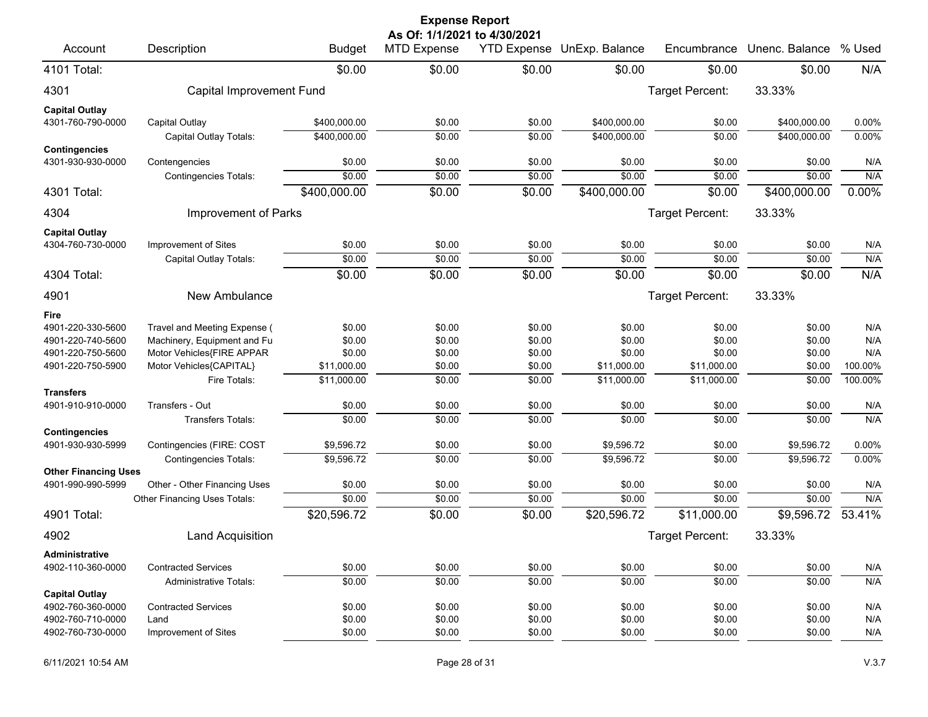|                                           |                                               |                  | <b>Expense Report</b>                              |                  |                            |                  |                  |            |
|-------------------------------------------|-----------------------------------------------|------------------|----------------------------------------------------|------------------|----------------------------|------------------|------------------|------------|
| Account                                   | Description                                   | <b>Budget</b>    | As Of: 1/1/2021 to 4/30/2021<br><b>MTD Expense</b> |                  | YTD Expense UnExp. Balance | Encumbrance      | Unenc. Balance   | % Used     |
| 4101 Total:                               |                                               | \$0.00           | \$0.00                                             | \$0.00           | \$0.00                     | \$0.00           | \$0.00           | N/A        |
| 4301                                      | Capital Improvement Fund                      |                  |                                                    |                  |                            | Target Percent:  | 33.33%           |            |
| <b>Capital Outlay</b>                     |                                               |                  |                                                    |                  |                            |                  |                  |            |
| 4301-760-790-0000                         | Capital Outlay                                | \$400,000.00     | \$0.00                                             | \$0.00           | \$400,000.00               | \$0.00           | \$400,000.00     | 0.00%      |
|                                           | Capital Outlay Totals:                        | \$400,000.00     | \$0.00                                             | \$0.00           | \$400,000.00               | \$0.00           | \$400,000.00     | 0.00%      |
| <b>Contingencies</b><br>4301-930-930-0000 |                                               | \$0.00           | \$0.00                                             | \$0.00           | \$0.00                     | \$0.00           | \$0.00           |            |
|                                           | Contengencies<br><b>Contingencies Totals:</b> | \$0.00           | \$0.00                                             | \$0.00           | \$0.00                     | \$0.00           | \$0.00           | N/A<br>N/A |
| 4301 Total:                               |                                               | \$400,000.00     | \$0.00                                             | \$0.00           | \$400,000.00               | \$0.00           | \$400,000.00     | 0.00%      |
|                                           |                                               |                  |                                                    |                  |                            |                  |                  |            |
| 4304                                      | Improvement of Parks                          |                  |                                                    |                  |                            | Target Percent:  | 33.33%           |            |
| <b>Capital Outlay</b>                     |                                               |                  |                                                    |                  |                            |                  |                  |            |
| 4304-760-730-0000                         | Improvement of Sites                          | \$0.00           | \$0.00                                             | \$0.00           | \$0.00                     | \$0.00           | \$0.00           | N/A        |
|                                           | Capital Outlay Totals:                        | \$0.00           | \$0.00                                             | \$0.00           | \$0.00                     | \$0.00           | \$0.00           | N/A        |
| 4304 Total:                               |                                               | \$0.00           | \$0.00                                             | \$0.00           | \$0.00                     | \$0.00           | \$0.00           | N/A        |
| 4901                                      | New Ambulance                                 |                  |                                                    |                  |                            | Target Percent:  | 33.33%           |            |
| Fire                                      |                                               |                  |                                                    |                  |                            |                  |                  |            |
| 4901-220-330-5600                         | Travel and Meeting Expense (                  | \$0.00           | \$0.00                                             | \$0.00           | \$0.00                     | \$0.00           | \$0.00           | N/A        |
| 4901-220-740-5600                         | Machinery, Equipment and Fu                   | \$0.00           | \$0.00                                             | \$0.00           | \$0.00                     | \$0.00           | \$0.00           | N/A        |
| 4901-220-750-5600                         | Motor Vehicles{FIRE APPAR                     | \$0.00           | \$0.00                                             | \$0.00           | \$0.00                     | \$0.00           | \$0.00           | N/A        |
| 4901-220-750-5900                         | Motor Vehicles{CAPITAL}                       | \$11,000.00      | \$0.00                                             | \$0.00           | \$11,000.00                | \$11,000.00      | \$0.00           | 100.00%    |
|                                           | Fire Totals:                                  | \$11,000.00      | \$0.00                                             | \$0.00           | \$11,000.00                | \$11,000.00      | \$0.00           | 100.00%    |
| <b>Transfers</b>                          |                                               |                  |                                                    |                  |                            |                  |                  |            |
| 4901-910-910-0000                         | Transfers - Out<br><b>Transfers Totals:</b>   | \$0.00<br>\$0.00 | \$0.00<br>\$0.00                                   | \$0.00<br>\$0.00 | \$0.00<br>\$0.00           | \$0.00<br>\$0.00 | \$0.00<br>\$0.00 | N/A<br>N/A |
| <b>Contingencies</b>                      |                                               |                  |                                                    |                  |                            |                  |                  |            |
| 4901-930-930-5999                         | Contingencies (FIRE: COST                     | \$9,596.72       | \$0.00                                             | \$0.00           | \$9,596.72                 | \$0.00           | \$9,596.72       | 0.00%      |
|                                           | <b>Contingencies Totals:</b>                  | \$9,596.72       | \$0.00                                             | \$0.00           | \$9,596.72                 | \$0.00           | \$9,596.72       | 0.00%      |
| <b>Other Financing Uses</b>               |                                               |                  |                                                    |                  |                            |                  |                  |            |
| 4901-990-990-5999                         | Other - Other Financing Uses                  | \$0.00           | \$0.00                                             | \$0.00           | \$0.00                     | \$0.00           | \$0.00           | N/A        |
|                                           | Other Financing Uses Totals:                  | \$0.00           | \$0.00                                             | \$0.00           | \$0.00                     | \$0.00           | \$0.00           | N/A        |
| 4901 Total:                               |                                               | \$20,596.72      | \$0.00                                             | \$0.00           | \$20,596.72                | \$11,000.00      | \$9,596.72       | 53.41%     |
| 4902                                      | Land Acquisition                              |                  |                                                    |                  |                            | Target Percent:  | 33.33%           |            |
| Administrative                            |                                               |                  |                                                    |                  |                            |                  |                  |            |
| 4902-110-360-0000                         | <b>Contracted Services</b>                    | \$0.00           | \$0.00                                             | \$0.00           | \$0.00                     | \$0.00           | \$0.00           | N/A        |
|                                           | <b>Administrative Totals:</b>                 | \$0.00           | \$0.00                                             | \$0.00           | \$0.00                     | \$0.00           | \$0.00           | N/A        |
| <b>Capital Outlay</b>                     | <b>Contracted Services</b>                    |                  |                                                    |                  |                            |                  |                  |            |
| 4902-760-360-0000<br>4902-760-710-0000    | Land                                          | \$0.00<br>\$0.00 | \$0.00<br>\$0.00                                   | \$0.00<br>\$0.00 | \$0.00<br>\$0.00           | \$0.00<br>\$0.00 | \$0.00<br>\$0.00 | N/A<br>N/A |
| 4902-760-730-0000                         | Improvement of Sites                          | \$0.00           | \$0.00                                             | \$0.00           | \$0.00                     | \$0.00           | \$0.00           | N/A        |
|                                           |                                               |                  |                                                    |                  |                            |                  |                  |            |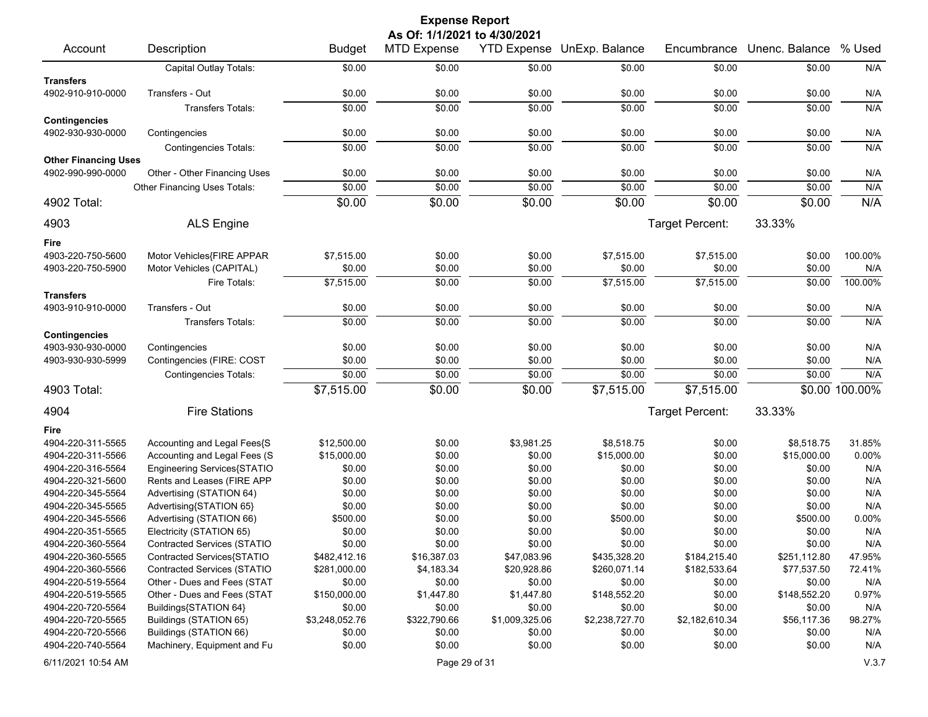|                                           |                                    |                | <b>Expense Report</b> |                    |                |                 |                |                |  |  |
|-------------------------------------------|------------------------------------|----------------|-----------------------|--------------------|----------------|-----------------|----------------|----------------|--|--|
|                                           | As Of: 1/1/2021 to 4/30/2021       |                |                       |                    |                |                 |                |                |  |  |
| Account                                   | Description                        | <b>Budget</b>  | <b>MTD Expense</b>    | <b>YTD Expense</b> | UnExp. Balance | Encumbrance     | Unenc. Balance | % Used         |  |  |
|                                           | Capital Outlay Totals:             | \$0.00         | \$0.00                | \$0.00             | \$0.00         | \$0.00          | \$0.00         | N/A            |  |  |
| <b>Transfers</b>                          |                                    |                |                       |                    |                |                 |                |                |  |  |
| 4902-910-910-0000                         | Transfers - Out                    | \$0.00         | \$0.00                | \$0.00             | \$0.00         | \$0.00          | \$0.00         | N/A            |  |  |
|                                           | <b>Transfers Totals:</b>           | \$0.00         | \$0.00                | \$0.00             | \$0.00         | \$0.00          | \$0.00         | N/A            |  |  |
| <b>Contingencies</b><br>4902-930-930-0000 | Contingencies                      | \$0.00         | \$0.00                | \$0.00             | \$0.00         | \$0.00          | \$0.00         | N/A            |  |  |
|                                           | <b>Contingencies Totals:</b>       | \$0.00         | \$0.00                | \$0.00             | \$0.00         | \$0.00          | \$0.00         | N/A            |  |  |
| <b>Other Financing Uses</b>               |                                    |                |                       |                    |                |                 |                |                |  |  |
| 4902-990-990-0000                         | Other - Other Financing Uses       | \$0.00         | \$0.00                | \$0.00             | \$0.00         | \$0.00          | \$0.00         | N/A            |  |  |
|                                           | Other Financing Uses Totals:       | \$0.00         | \$0.00                | \$0.00             | \$0.00         | \$0.00          | \$0.00         | N/A            |  |  |
| 4902 Total:                               |                                    | \$0.00         | \$0.00                | \$0.00             | \$0.00         | \$0.00          | \$0.00         | N/A            |  |  |
|                                           |                                    |                |                       |                    |                |                 |                |                |  |  |
| 4903                                      | <b>ALS Engine</b>                  |                |                       |                    |                | Target Percent: | 33.33%         |                |  |  |
| Fire                                      |                                    |                |                       |                    |                |                 |                |                |  |  |
| 4903-220-750-5600                         | Motor Vehicles{FIRE APPAR          | \$7,515.00     | \$0.00                | \$0.00             | \$7,515.00     | \$7,515.00      | \$0.00         | 100.00%        |  |  |
| 4903-220-750-5900                         | Motor Vehicles (CAPITAL)           | \$0.00         | \$0.00                | \$0.00             | \$0.00         | \$0.00          | \$0.00         | N/A            |  |  |
|                                           | Fire Totals:                       | \$7,515.00     | \$0.00                | \$0.00             | \$7,515.00     | \$7,515.00      | \$0.00         | 100.00%        |  |  |
| <b>Transfers</b>                          |                                    |                |                       |                    |                |                 |                |                |  |  |
| 4903-910-910-0000                         | Transfers - Out                    | \$0.00         | \$0.00                | \$0.00             | \$0.00         | \$0.00          | \$0.00         | N/A            |  |  |
|                                           | Transfers Totals:                  | \$0.00         | \$0.00                | \$0.00             | \$0.00         | \$0.00          | \$0.00         | N/A            |  |  |
| <b>Contingencies</b>                      |                                    |                |                       |                    |                |                 |                |                |  |  |
| 4903-930-930-0000                         | Contingencies                      | \$0.00         | \$0.00                | \$0.00             | \$0.00         | \$0.00          | \$0.00         | N/A            |  |  |
| 4903-930-930-5999                         | Contingencies (FIRE: COST          | \$0.00         | \$0.00                | \$0.00             | \$0.00         | \$0.00          | \$0.00         | N/A            |  |  |
|                                           | <b>Contingencies Totals:</b>       | \$0.00         | \$0.00                | \$0.00             | \$0.00         | \$0.00          | \$0.00         | N/A            |  |  |
| 4903 Total:                               |                                    | \$7,515.00     | \$0.00                | \$0.00             | \$7,515.00     | \$7,515.00      |                | \$0.00 100.00% |  |  |
| 4904                                      | <b>Fire Stations</b>               |                |                       |                    |                | Target Percent: | 33.33%         |                |  |  |
| Fire                                      |                                    |                |                       |                    |                |                 |                |                |  |  |
| 4904-220-311-5565                         | Accounting and Legal Fees{S        | \$12,500.00    | \$0.00                | \$3,981.25         | \$8,518.75     | \$0.00          | \$8,518.75     | 31.85%         |  |  |
| 4904-220-311-5566                         | Accounting and Legal Fees (S       | \$15,000.00    | \$0.00                | \$0.00             | \$15,000.00    | \$0.00          | \$15,000.00    | 0.00%          |  |  |
| 4904-220-316-5564                         | Engineering Services{STATIO        | \$0.00         | \$0.00                | \$0.00             | \$0.00         | \$0.00          | \$0.00         | N/A            |  |  |
| 4904-220-321-5600                         | Rents and Leases (FIRE APP         | \$0.00         | \$0.00                | \$0.00             | \$0.00         | \$0.00          | \$0.00         | N/A            |  |  |
| 4904-220-345-5564                         | Advertising (STATION 64)           | \$0.00         | \$0.00                | \$0.00             | \$0.00         | \$0.00          | \$0.00         | N/A            |  |  |
| 4904-220-345-5565                         | Advertising{STATION 65}            | \$0.00         | \$0.00                | \$0.00             | \$0.00         | \$0.00          | \$0.00         | N/A            |  |  |
| 4904-220-345-5566                         | Advertising (STATION 66)           | \$500.00       | \$0.00                | \$0.00             | \$500.00       | \$0.00          | \$500.00       | 0.00%          |  |  |
| 4904-220-351-5565                         | Electricity (STATION 65)           | \$0.00         | \$0.00                | \$0.00             | \$0.00         | \$0.00          | \$0.00         | N/A            |  |  |
| 4904-220-360-5564                         | Contracted Services (STATIO        | \$0.00         | \$0.00                | \$0.00             | \$0.00         | \$0.00          | \$0.00         | N/A            |  |  |
| 4904-220-360-5565                         | Contracted Services{STATIO         | \$482,412.16   | \$16,387.03           | \$47,083.96        | \$435,328.20   | \$184,215.40    | \$251,112.80   | 47.95%         |  |  |
| 4904-220-360-5566                         | <b>Contracted Services (STATIO</b> | \$281,000.00   | \$4,183.34            | \$20,928.86        | \$260,071.14   | \$182,533.64    | \$77,537.50    | 72.41%         |  |  |
| 4904-220-519-5564                         | Other - Dues and Fees (STAT        | \$0.00         | \$0.00                | \$0.00             | \$0.00         | \$0.00          | \$0.00         | N/A            |  |  |
| 4904-220-519-5565                         | Other - Dues and Fees (STAT        | \$150,000.00   | \$1,447.80            | \$1,447.80         | \$148,552.20   | \$0.00          | \$148,552.20   | 0.97%          |  |  |
| 4904-220-720-5564                         | Buildings{STATION 64}              | \$0.00         | \$0.00                | \$0.00             | \$0.00         | \$0.00          | \$0.00         | N/A            |  |  |
| 4904-220-720-5565                         | Buildings (STATION 65)             | \$3,248,052.76 | \$322,790.66          | \$1,009,325.06     | \$2,238,727.70 | \$2,182,610.34  | \$56,117.36    | 98.27%         |  |  |
| 4904-220-720-5566                         | Buildings (STATION 66)             | \$0.00         | \$0.00                | \$0.00             | \$0.00         | \$0.00          | \$0.00         | N/A            |  |  |
| 4904-220-740-5564                         | Machinery, Equipment and Fu        | \$0.00         | \$0.00                | \$0.00             | \$0.00         | \$0.00          | \$0.00         | N/A            |  |  |
| 6/11/2021 10:54 AM                        |                                    |                | Page 29 of 31         |                    |                |                 |                | V.3.7          |  |  |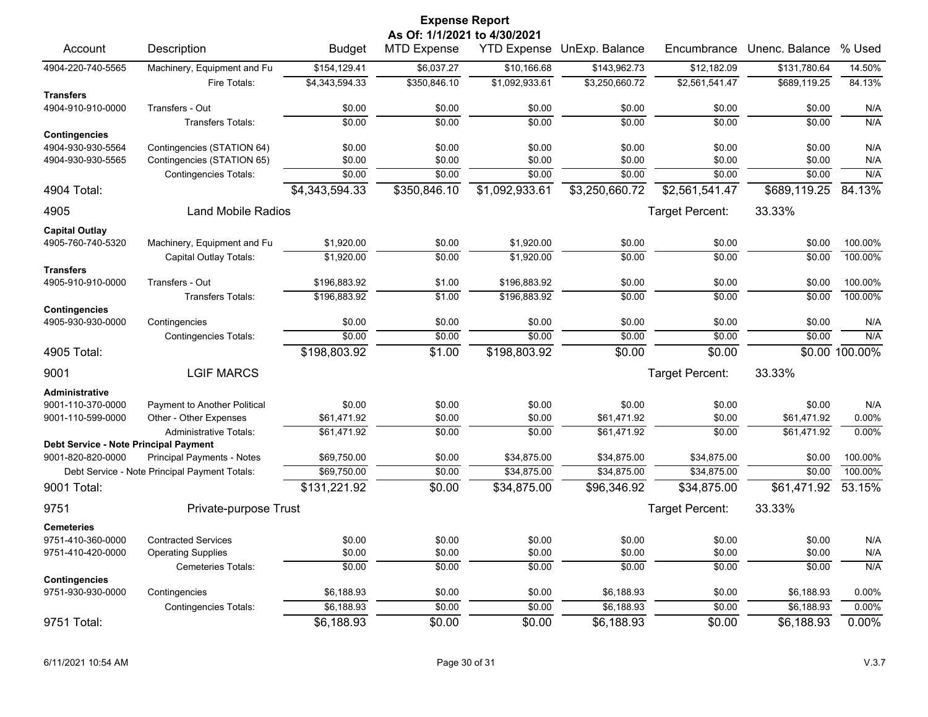|                                              |                                               |                  | <b>Expense Report</b>        |                  |                            |                        |                  |                    |
|----------------------------------------------|-----------------------------------------------|------------------|------------------------------|------------------|----------------------------|------------------------|------------------|--------------------|
|                                              |                                               |                  | As Of: 1/1/2021 to 4/30/2021 |                  |                            |                        |                  |                    |
| Account                                      | Description                                   | <b>Budget</b>    | <b>MTD Expense</b>           |                  | YTD Expense UnExp. Balance | Encumbrance            | Unenc. Balance   | % Used             |
| 4904-220-740-5565                            | Machinery, Equipment and Fu                   | \$154,129.41     | \$6,037.27                   | \$10,166.68      | \$143,962.73               | \$12,182.09            | \$131,780.64     | 14.50%             |
|                                              | Fire Totals:                                  | \$4,343,594.33   | \$350,846.10                 | \$1,092,933.61   | \$3,250,660.72             | \$2,561,541.47         | \$689,119.25     | 84.13%             |
| <b>Transfers</b><br>4904-910-910-0000        | Transfers - Out                               |                  |                              |                  |                            |                        |                  |                    |
|                                              | <b>Transfers Totals:</b>                      | \$0.00<br>\$0.00 | \$0.00<br>\$0.00             | \$0.00<br>\$0.00 | \$0.00<br>\$0.00           | \$0.00<br>\$0.00       | \$0.00<br>\$0.00 | N/A<br>N/A         |
| <b>Contingencies</b>                         |                                               |                  |                              |                  |                            |                        |                  |                    |
| 4904-930-930-5564                            | Contingencies (STATION 64)                    | \$0.00           | \$0.00                       | \$0.00           | \$0.00                     | \$0.00                 | \$0.00           | N/A                |
| 4904-930-930-5565                            | Contingencies (STATION 65)                    | \$0.00           | \$0.00                       | \$0.00           | \$0.00                     | \$0.00                 | \$0.00           | N/A                |
|                                              | <b>Contingencies Totals:</b>                  | \$0.00           | \$0.00                       | \$0.00           | \$0.00                     | \$0.00                 | \$0.00           | N/A                |
| 4904 Total:                                  |                                               | \$4,343,594.33   | \$350,846.10                 | \$1,092,933.61   | \$3,250,660.72             | \$2,561,541.47         | \$689,119.25     | 84.13%             |
| 4905                                         | <b>Land Mobile Radios</b>                     |                  |                              |                  |                            | <b>Target Percent:</b> | 33.33%           |                    |
| <b>Capital Outlay</b>                        |                                               |                  |                              |                  |                            |                        |                  |                    |
| 4905-760-740-5320                            | Machinery, Equipment and Fu                   | \$1,920.00       | \$0.00                       | \$1,920.00       | \$0.00                     | \$0.00                 | \$0.00           | 100.00%            |
|                                              | Capital Outlay Totals:                        | \$1,920.00       | \$0.00                       | \$1,920.00       | \$0.00                     | \$0.00                 | \$0.00           | 100.00%            |
| <b>Transfers</b>                             |                                               |                  |                              |                  |                            |                        |                  |                    |
| 4905-910-910-0000                            | Transfers - Out<br><b>Transfers Totals:</b>   | \$196,883.92     | \$1.00<br>\$1.00             | \$196,883.92     | \$0.00<br>\$0.00           | \$0.00<br>\$0.00       | \$0.00<br>\$0.00 | 100.00%<br>100.00% |
| <b>Contingencies</b>                         |                                               | \$196,883.92     |                              | \$196,883.92     |                            |                        |                  |                    |
| 4905-930-930-0000                            | Contingencies                                 | \$0.00           | \$0.00                       | \$0.00           | \$0.00                     | \$0.00                 | \$0.00           | N/A                |
|                                              | <b>Contingencies Totals:</b>                  | \$0.00           | \$0.00                       | \$0.00           | \$0.00                     | \$0.00                 | \$0.00           | N/A                |
| 4905 Total:                                  |                                               | \$198,803.92     | \$1.00                       | \$198,803.92     | \$0.00                     | \$0.00                 |                  | \$0.00 100.00%     |
| 9001                                         | <b>LGIF MARCS</b>                             |                  |                              |                  |                            | <b>Target Percent:</b> | 33.33%           |                    |
| <b>Administrative</b>                        |                                               |                  |                              |                  |                            |                        |                  |                    |
| 9001-110-370-0000                            | Payment to Another Political                  | \$0.00           | \$0.00                       | \$0.00           | \$0.00                     | \$0.00                 | \$0.00           | N/A                |
| 9001-110-599-0000                            | Other - Other Expenses                        | \$61,471.92      | \$0.00                       | \$0.00           | \$61,471.92                | \$0.00                 | \$61,471.92      | 0.00%              |
|                                              | <b>Administrative Totals:</b>                 | \$61,471.92      | \$0.00                       | \$0.00           | \$61,471.92                | $\overline{$0.00}$     | \$61,471.92      | 0.00%              |
| <b>Debt Service - Note Principal Payment</b> |                                               |                  |                              |                  |                            |                        |                  |                    |
| 9001-820-820-0000                            | <b>Principal Payments - Notes</b>             | \$69,750.00      | \$0.00                       | \$34,875.00      | \$34,875.00                | \$34,875.00            | \$0.00           | 100.00%            |
|                                              | Debt Service - Note Principal Payment Totals: | \$69,750.00      | \$0.00                       | \$34,875.00      | \$34,875.00                | \$34,875.00            | \$0.00           | 100.00%            |
| 9001 Total:                                  |                                               | \$131,221.92     | \$0.00                       | \$34,875.00      | \$96,346.92                | \$34,875.00            | \$61,471.92      | 53.15%             |
| 9751                                         | Private-purpose Trust                         |                  |                              |                  |                            | Target Percent:        | 33.33%           |                    |
| <b>Cemeteries</b>                            |                                               |                  |                              |                  |                            |                        |                  |                    |
| 9751-410-360-0000                            | <b>Contracted Services</b>                    | \$0.00           | \$0.00                       | \$0.00           | \$0.00                     | \$0.00                 | \$0.00           | N/A                |
| 9751-410-420-0000                            | <b>Operating Supplies</b>                     | \$0.00           | \$0.00                       | \$0.00           | \$0.00                     | \$0.00                 | \$0.00           | N/A                |
| <b>Contingencies</b>                         | <b>Cemeteries Totals:</b>                     | \$0.00           | \$0.00                       | \$0.00           | \$0.00                     | \$0.00                 | \$0.00           | N/A                |
| 9751-930-930-0000                            | Contingencies                                 | \$6,188.93       | \$0.00                       | \$0.00           | \$6,188.93                 | \$0.00                 | \$6,188.93       | 0.00%              |
|                                              | <b>Contingencies Totals:</b>                  | \$6,188.93       | \$0.00                       | \$0.00           | \$6,188.93                 | \$0.00                 | \$6,188.93       | 0.00%              |
| 9751 Total:                                  |                                               | \$6,188.93       | \$0.00                       | \$0.00           | \$6,188.93                 | \$0.00                 | \$6,188.93       | 0.00%              |